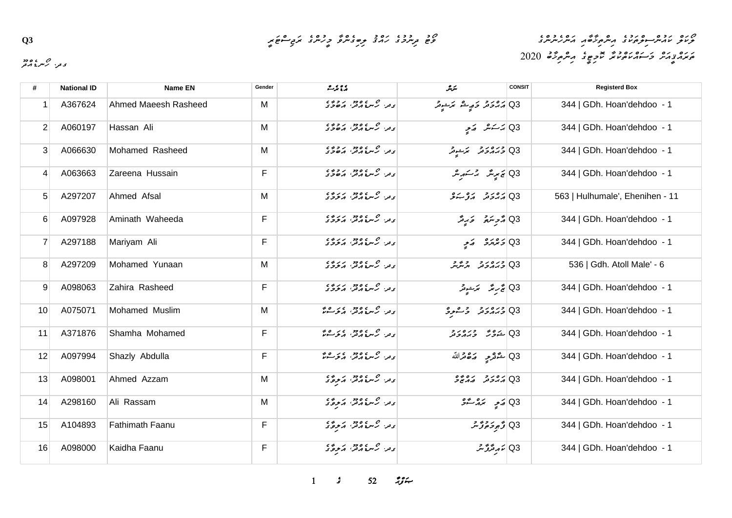*sCw7q7s5w7m< o<n9nOoAw7o< sCq;mAwBoEw7q<m; wBm;vB* م من المسجد المسجد المسجد المسجد المسجد العام 2020<br>مسجد المسجد المسجد المسجد المسجد المسجد المسجد المسجد المسجد ال

| #              | <b>National ID</b> | Name EN                | Gender      | ړ، پر                                         | ىترىتر                                           | <b>CONSIT</b> | <b>Registerd Box</b>            |
|----------------|--------------------|------------------------|-------------|-----------------------------------------------|--------------------------------------------------|---------------|---------------------------------|
| 1              | A367624            | Ahmed Maeesh Rasheed   | M           | رور، رکس دور، دروه د                          | Q3 <i>كەنگەنگە كەر</i> ىشە مكىش <sub>و</sub> نگر |               | 344   GDh. Hoan'dehdoo - 1      |
| $\overline{2}$ | A060197            | Hassan Ali             | M           | رود که ده دود دود.<br>دور که دور مص           | Q3  يَرْسَسْ كَمَ مِي مِيْتِ                     |               | 344   GDh. Hoan'dehdoo - 1      |
| 3              | A066630            | Mohamed Rasheed        | M           | ړی ره ده ده ده ده د                           | Q3 <i>\$ بَرُمْ دَمْرَ</i> - بَرَحْدِثْرُ        |               | 344   GDh. Hoan'dehdoo - 1      |
| 4              | A063663            | Zareena Hussain        | F           | رىر مىس دەھ بەدە د                            | Q3 کے مرینز کے شہر بنز                           |               | 344   GDh. Hoan'dehdoo - 1      |
| 5              | A297207            | Ahmed Afsal            | M           | ړین کرس ورو ار د ده د                         | Q3 <i>ټرې تروبکو</i>                             |               | 563   Hulhumale', Ehenihen - 11 |
| 6              | A097928            | Aminath Waheeda        | F           | رىر. <i>مىسى مەدەبىر بەر بەر</i>              | Q3 <i>مُّحِسَمُ مَي</i> تَرُ                     |               | 344   GDh. Hoan'dehdoo - 1      |
| $\overline{7}$ | A297188            | Mariyam Ali            | F           | دىن گەستەھ بەر بەر بەر<br>دىن گەستەھەر مەمەدى | Q3 ك <i>وندگر كەب</i>                            |               | 344   GDh. Hoan'dehdoo - 1      |
| 8              | A297209            | Mohamed Yunaan         | M           | ړین کرس ورو بر بر ده د<br>دین کرس ورو بر برخ  | Q3 <i>ۋېرو دې د شر</i> ېئر                       |               | 536   Gdh. Atoll Male' - 6      |
| 9              | A098063            | Zahira Rasheed         | $\mathsf F$ | ړین که روه در دره و.<br>دې که دول مرحود       | Q3 كېمبرىكى ئېرىش <sub>و</sub> نىز               |               | 344   GDh. Hoan'dehdoo - 1      |
| 10             | A075071            | Mohamed Muslim         | M           | ى تىر، كەس كەرگە كەرگە ئەرگە                  |                                                  |               | 344   GDh. Hoan'dehdoo - 1      |
| 11             | A371876            | Shamha Mohamed         | $\mathsf F$ | ى تىر، كەس كەن ئەر ئەر                        | Q3 خۇڭ <i>دېم</i> ۇتر                            |               | 344   GDh. Hoan'dehdoo - 1      |
| 12             | A097994            | Shazly Abdulla         | F           | ى تىر، گەس كەرەر ئەرگە ئەرگە                  | Q3 ڪُن <i>ئرمو مَڪمرالل</i> ه                    |               | 344   GDh. Hoan'dehdoo - 1      |
| 13             | A098001            | Ahmed Azzam            | M           | ى مەستاملىق مەم ئ                             | $38.222$ $25.27$ Q3                              |               | 344   GDh. Hoan'dehdoo - 1      |
| 14             | A298160            | Ali Rassam             | M           | ى تىر، كەسكەرگەن كەنزۈرگەن                    | Q3 <i>أَمَّجِ - مَدَّمَّ</i> مُحَمَّ             |               | 344   GDh. Hoan'dehdoo - 1      |
| 15             | A104893            | <b>Fathimath Faanu</b> | F           | ى تىر كەس كەن كەن ئوتۇنى                      | Q3 <i>و گېو خو</i> گر شر                         |               | 344   GDh. Hoan'dehdoo - 1      |
| 16             | A098000            | Kaidha Faanu           | F           | ى تىر، كەس كەن كە ئەترى                       | Q3   مَامِر مَّدَّوَّ مَّد                       |               | 344   GDh. Hoan'dehdoo - 1      |

*r@w<sF7v5 .@C*

*1 s* **52** *n***<sub>s</sub>**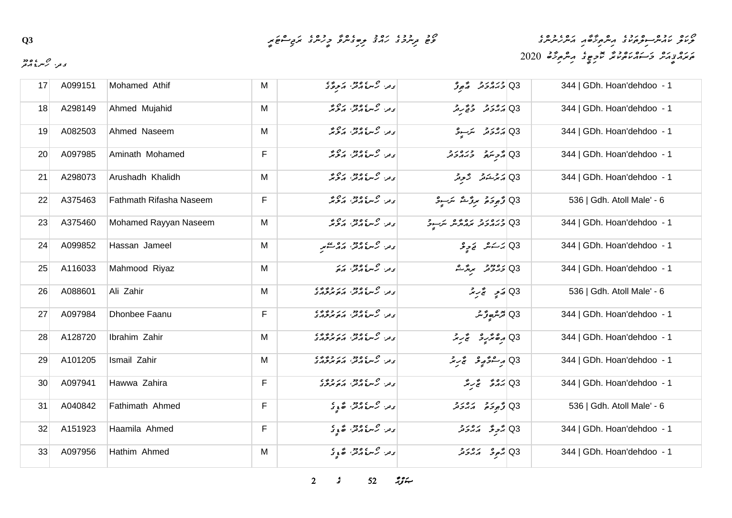*sCw7q7s5w7m< o<n9nOoAw7o< sCq;mAwBoEw7q<m; wBm;vB* م من المسجد المسجد المسجد المسجد المسجد العام 2020<br>مسجد المسجد المسجد المسجد المسجد المسجد المسجد المسجد المسجد ال

| 17 | A099151 | Mohamed Athif           | M            | ى قرار مىسكە 25%، ئەنزىق ئ                   | Q3  <i>3223 مگهو</i> ر                           | 344   GDh. Hoan'dehdoo - 1 |
|----|---------|-------------------------|--------------|----------------------------------------------|--------------------------------------------------|----------------------------|
| 18 | A298149 | Ahmed Mujahid           | M            | צעי צייע ברק גם ב                            | Q3 <i>كەنگەنىڭ</i> خەنق <i>ب</i> ىر              | 344   GDh. Hoan'dehdoo - 1 |
| 19 | A082503 | Ahmed Naseem            | M            | ى تىر، كەس كەتتى، ئەركەيم                    |                                                  | 344   GDh. Hoan'dehdoo - 1 |
| 20 | A097985 | Aminath Mohamed         | F            | ى تىر، گەس كەت بەر بىرى ئە                   | Q3 أ <i>مُّوسَمَّة وَيَدَوْمُ</i> رَ             | 344   GDh. Hoan'dehdoo - 1 |
| 21 | A298073 | Arushadh Khalidh        | M            | ى تىر، كەس كەتتى، ئەركەيم                    | Q3 كەترىش <i>ەتى گ</i> وتر                       | 344   GDh. Hoan'dehdoo - 1 |
| 22 | A375463 | Fathmath Rifasha Naseem | $\mathsf{F}$ | ى قرار مى مەكرە ئەرەر بىرى ئە                | Q3 <i>وُّجِودَةُ بِروُّ</i> تُ مَرَسِو <i>دُ</i> | 536   Gdh. Atoll Male' - 6 |
| 23 | A375460 | Mohamed Rayyan Naseem   | M            | <i>צעי לייש הרבי הרי ב</i>                   | Q3 <i>دېرو دو برو</i> رگه شرسو                   | 344   GDh. Hoan'dehdoo - 1 |
| 24 | A099852 | Hassan Jameel           | M            | ى قرار مى سى مەرق بىر كەن ئىسىمى             | Q3 ټر <i>شتر</i> ت <u>ق</u> انونو                | 344   GDh. Hoan'dehdoo - 1 |
| 25 | A116033 | Mahmood Riyaz           | M            | ى تىر، گەس كە دەر، بەر كە                    | Q3 <i>كەنگەنتى</i> بىرتە شە                      | 344   GDh. Hoan'dehdoo - 1 |
| 26 | A088601 | Ali Zahir               | M            | وی کس وود در دولار<br>دین کس دین مونوری      | Q3 <i>ھَ مِي پي تَج</i> ريتَر                    | 536   Gdh. Atoll Male' - 6 |
| 27 | A097984 | Dhonbee Faanu           | $\mathsf F$  | دىن گىس دەھرىر دەھەر<br>دىن گىس دىن دەپرىزدى | Q3   قريمو پورمبر                                | 344   GDh. Hoan'dehdoo - 1 |
| 28 | A128720 | Ibrahim Zahir           | M            | وی کسوه در دووو<br>دین کسوه ترا مونزمزد      | Q3 مەھە <i>تىر بىقى تارىتى</i>                   | 344   GDh. Hoan'dehdoo - 1 |
| 29 | A101205 | Ismail Zahir            | M            | وی کسوه در دووو<br>دین کسوه ترا مونزمزد      | Q3 م <i>ې</i> شۇم قىم ئ <sup>ى</sup> رىتى        | 344   GDh. Hoan'dehdoo - 1 |
| 30 | A097941 | Hawwa Zahira            | $\mathsf F$  | ولاړ کړي ووه د بر د وه و                     | Q3 <i>بَدْهُ جَ</i> بَرَ مَ                      | 344   GDh. Hoan'dehdoo - 1 |
| 31 | A040842 | Fathimath Ahmed         | $\mathsf F$  | ى مەس ئەرەپ ئە                               | Q3 <i>وَّجِوحَة مَدْحَدَّ</i>                    | 536   Gdh. Atoll Male' - 6 |
| 32 | A151923 | Haamila Ahmed           | $\mathsf F$  | ى مىستى مەن ھۆكى                             | Q3 جَّحِرَّ <i>مَدْدَنْد</i>                     | 344   GDh. Hoan'dehdoo - 1 |
| 33 | A097956 | Hathim Ahmed            | M            | ى مەر ئەس ئەرەر ئەلىي ئ                      |                                                  | 344   GDh. Hoan'dehdoo - 1 |

**2** *s* **52** *z***<sub>***s***</sub>**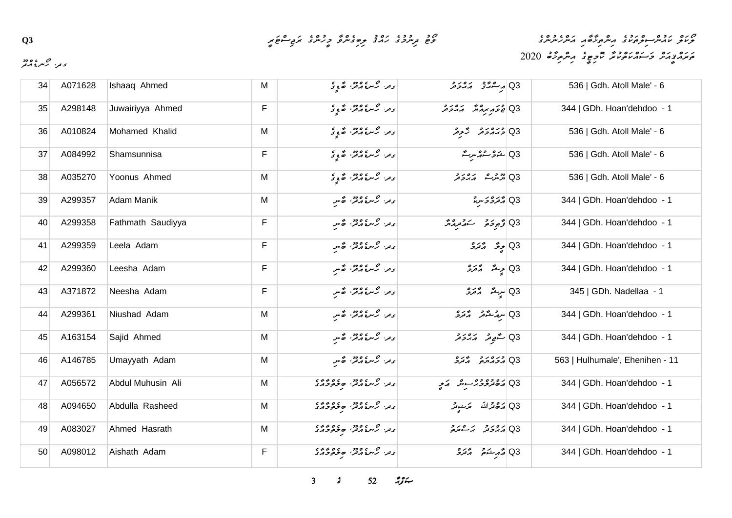*sCw7q7s5w7m< o<n9nOoAw7o< sCq;mAwBoEw7q<m; wBm;vB 2020<sup>, م</sup>وجدة المصرورة المجموعة المستورجة والم*جموعة والمجموعة والمجموعة والمجموعة والمجموعة والمجموعة والمجموعة

| 34 | A071628 | Ishaaq Ahmed      | м           | <sub>ى تىر</sub> ، ئۇسۇم تۇ، ئ <sup>ەت</sup> بۇ ئ | Q3 م س <i>مبرٌ تقریر می</i> روتر                                                                                                  | 536   Gdh. Atoll Male' - 6      |
|----|---------|-------------------|-------------|---------------------------------------------------|-----------------------------------------------------------------------------------------------------------------------------------|---------------------------------|
| 35 | A298148 | Juwairiyya Ahmed  | F           | ى مەستەمەت ھۆت                                    | Q3 <i>فوكم برونژ مردونر</i>                                                                                                       | 344   GDh. Hoan'dehdoo - 1      |
| 36 | A010824 | Mohamed Khalid    | M           | ا دىن كەس مەدەر ئەلىي ئى                          | Q3 <i>\$نەۋەتى</i> د <i>ۇم</i> ۇر                                                                                                 | 536   Gdh. Atoll Male' - 6      |
| 37 | A084992 | Shamsunnisa       | F           | ىر ئىس ئەمەت ھۆت                                  | Q3 شۇ ئەمەسرىسە                                                                                                                   | 536   Gdh. Atoll Male' - 6      |
| 38 | A035270 | Yoonus Ahmed      | M           | ى مەستەمەت ھېرى                                   | Q3 ټري <i>ز په ډېرو</i> تر                                                                                                        | 536   Gdh. Atoll Male' - 6      |
| 39 | A299357 | Adam Manik        | M           | ى مەس ئەھلىرى ئەس                                 | Q3 گەنىرى <i>5 س</i> رى <i>ق</i>                                                                                                  | 344   GDh. Hoan'dehdoo - 1      |
| 40 | A299358 | Fathmath Saudiyya | F           | ى قرار مىسى ئەرەر ئەھمىر                          | Q3  <i>وَّجِوَدَةُ</i> سَوَيْرِيْدَيْرَ                                                                                           | 344   GDh. Hoan'dehdoo - 1      |
| 41 | A299359 | Leela Adam        | F           | ى مەس ئەرەپ ھىر                                   | Q3 مِرَّدَّ مَ <i>ذَّمَرَّ</i> دُ                                                                                                 | 344   GDh. Hoan'dehdoo - 1      |
| 42 | A299360 | Leesha Adam       | $\mathsf F$ | ى تىر كەس ئەمەدى ھەس                              |                                                                                                                                   | 344   GDh. Hoan'dehdoo - 1      |
| 43 | A371872 | Neesha Adam       | F           | ى مەس ئەھلىرى ئەس                                 | Q3 سريسمًا گ <i>ر ترگر</i><br>پ                                                                                                   | 345   GDh. Nadellaa - 1         |
| 44 | A299361 | Niushad Adam      | M           | ىمىن كەس 2000 ھەس                                 | Q3 سرم شكر محمد محمد المحمد المحمد المحمد السياسية السياسية السياسية السياسية السياسية السياسية السياسية السيا<br>مستقبل السياسية | 344   GDh. Hoan'dehdoo - 1      |
| 45 | A163154 | Sajid Ahmed       | M           | ى مەس ئەھلىرى ئەس                                 | Q3 گەم <i>بەقر مەم</i> كەتر                                                                                                       | 344   GDh. Hoan'dehdoo - 1      |
| 46 | A146785 | Umayyath Adam     | M           | ى قىرا كەس كە 30 كەنبىرا ئە                       | Q3 22022 220                                                                                                                      | 563   Hulhumale', Ehenihen - 11 |
| 47 | A056572 | Abdul Muhusin Ali | M           | رىر. ر <i>ىس ئەمەر ئەمەدە</i>                     | Q3 كەھەر <i>355 س</i> ېتىر كەير                                                                                                   | 344   GDh. Hoan'dehdoo - 1      |
| 48 | A094650 | Abdulla Rasheed   | M           | رىر مى مەدەب مەدەبىر<br>ئىس ئىس ئەرەب مەدەبىرى    | Q3 كەڭداللە كە <u>ش</u> وتىر                                                                                                      | 344   GDh. Hoan'dehdoo - 1      |
| 49 | A083027 | Ahmed Hasrath     | M           | رى مەدەبىرى <i>مەدەب</i>                          | Q3 كەبرى <i>قىرى ئىستىم</i>                                                                                                       | 344   GDh. Hoan'dehdoo - 1      |
| 50 | A098012 | Aishath Adam      | F           | رى مەدەبە مەدەبە                                  | Q3 <i>مُمْ مِشْمَعْ مُ</i> مَتَرَدُّ                                                                                              | 344   GDh. Hoan'dehdoo - 1      |

*r@w<sF7v5 .@C*

**3** *s* **52** *z***<sub>***f***</sub><sub>s</sub>**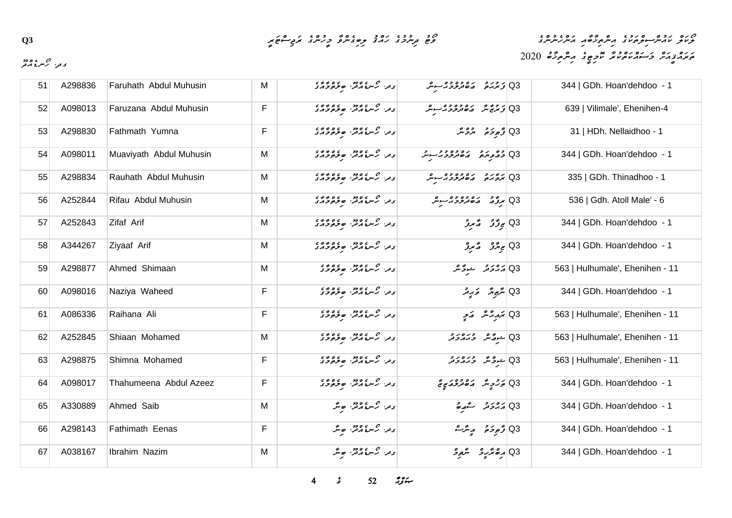*sCw7q7s5w7m< o<n9nOoAw7o< sCq;mAwBoEw7q<m; wBm;vB 2020<sup>, م</sup>وجدة المصرورة المجموعة المستورجة والم*جموعة والمجموعة والمجموعة والمجموعة والمجموعة والمجموعة والمجموعة

| 51 | A298836 | Faruhath Abdul Muhusin  | M            | ړند کرس ده.<br>دند کرس دند کلوگورون                   | $Q_3$ ) $Q_5$ , $Q_6$ , $Q_7$ , $Q_8$ , $Q_7$                                                                                                                                                                           | 344   GDh. Hoan'dehdoo - 1      |
|----|---------|-------------------------|--------------|-------------------------------------------------------|-------------------------------------------------------------------------------------------------------------------------------------------------------------------------------------------------------------------------|---------------------------------|
| 52 | A098013 | Faruzana Abdul Muhusin  | F            | ومر کرس موجود ہے وہ دور<br>ومرد کرس مرمز ہے وہ دوری   | Q3 <i>وَبِرْبِيٌ مَنْ</i> مَصْعَرْ <i>حْرَ جَبْ</i> سِرْ                                                                                                                                                                | 639   Vilimale', Ehenihen-4     |
| 53 | A298830 | Fathmath Yumna          | $\mathsf{F}$ | <i>وفر کرس ووو موه وه و</i> ر                         | Q3  <i>وَّجِءَ حَمَّةَ مَرْدُمَّةً</i>                                                                                                                                                                                  | 31   HDh. Nellaidhoo - 1        |
| 54 | A098011 | Muaviyath Abdul Muhusin | M            | رى مەدەبەر مەدەبەر<br>ئىراگىرىمىزا ھۆۋۈم              | $\int \frac{2}{\sqrt{2}} \frac{2}{\sqrt{2}} \frac{2}{\sqrt{2}} \frac{2}{\sqrt{2}} \frac{2}{\sqrt{2}} \frac{2}{\sqrt{2}} \frac{2}{\sqrt{2}} \frac{2}{\sqrt{2}} \frac{2}{\sqrt{2}} \frac{2}{\sqrt{2}} \frac{2}{\sqrt{2}}$ | 344   GDh. Hoan'dehdoo - 1      |
| 55 | A298834 | Rauhath Abdul Muhusin   | M            | <i>وفر کرس ووو موه وه</i> ون                          |                                                                                                                                                                                                                         | 335   GDh. Thinadhoo - 1        |
| 56 | A252844 | Rifau Abdul Muhusin     | M            | <i>وفر کرس ووو موه وه</i> ون                          | Q3 برو <i>ژه مقرود برد</i> ر                                                                                                                                                                                            | 536   Gdh. Atoll Male' - 6      |
| 57 | A252843 | Zifaf Arif              | M            | رور محسن و دو.<br>دور گس ماند صور دور                 | Q3 يوتۇق ھ <sup>ى</sup> مب <sup>ى</sup> ق                                                                                                                                                                               | 344   GDh. Hoan'dehdoo - 1      |
| 58 | A344267 | Ziyaaf Arif             | M            | <i>وفر کرس ووو وه وه وه</i>                           | Q3 يې تر تر گ <i>ې ب</i> ور                                                                                                                                                                                             | 344   GDh. Hoan'dehdoo - 1      |
| 59 | A298877 | Ahmed Shimaan           | M            | دىن كەس دەھ مەمەدى<br>دىن كەس مەمۇر مەم               | Q3 <i>مەدى ئىبۇ شىرى ئى</i> ر                                                                                                                                                                                           | 563   Hulhumale', Ehenihen - 11 |
| 60 | A098016 | Naziya Waheed           | $\mathsf{F}$ | <i>دىن گەرى بودە</i><br>ئەس كەس بەلگەن ئەھ            | Q3 سَمَعِ <i>مَّدَ وَبِ</i> تَرَ                                                                                                                                                                                        | 344   GDh. Hoan'dehdoo - 1      |
| 61 | A086336 | Raihana Ali             | $\mathsf F$  | ومن کرس وجو ہے وہ وہ<br>ومن کرس گھرمن صفر <i>و</i> حد | Q3 <i>بَزْمٍ بَدَّسَ مَ</i> حِ                                                                                                                                                                                          | 563   Hulhumale', Ehenihen - 11 |
| 62 | A252845 | Shiaan Mohamed          | M            | دىن گەس دەھرىسى دەپرى<br>دىن گەس دەرىس ھەجمى دى       | Q3 شو <i>ما بين جندوند</i>                                                                                                                                                                                              | 563   Hulhumale', Ehenihen - 11 |
| 63 | A298875 | Shimna Mohamed          | $\mathsf{F}$ | ومن کرس گھرمی ہے ہے وہ<br>ومن کرس گھرمی ہے جو جو دی   | Q3 جو <i>د شده در مرد</i>                                                                                                                                                                                               | 563   Hulhumale', Ehenihen - 11 |
| 64 | A098017 | Thahumeena Abdul Azeez  | F            | رىر. ر <i>ىس قەدە</i><br>رىر. رىس مەس                 | Q3 <i>مۇڭرېڭ مەھەر ۋە ي</i>                                                                                                                                                                                             | 344   GDh. Hoan'dehdoo - 1      |
| 65 | A330889 | Ahmed Saib              | M            | ى تىر، كەس ئەمەر ئەھەتگە                              | $\frac{2}{3}$ $\frac{2}{3}$ $\frac{2}{3}$ $\frac{2}{3}$ $\frac{2}{3}$                                                                                                                                                   | 344   GDh. Hoan'dehdoo - 1      |
| 66 | A298143 | Fathimath Eenas         | F            | ى تىر، گەس ئەمەر، ئەنىگە                              | Q3 <i>وُجوحَۃ</i> پہ یمَٹ                                                                                                                                                                                               | 344   GDh. Hoan'dehdoo - 1      |
| 67 | A038167 | Ibrahim Nazim           | M            | ى تىر، كەس ئەرەر، ئ ئىگر                              | Q3 <i>مەھتىب</i> ۇ ش <sub>غو</sub> ۇ                                                                                                                                                                                    | 344   GDh. Hoan'dehdoo - 1      |

*4 5 52*  $25.$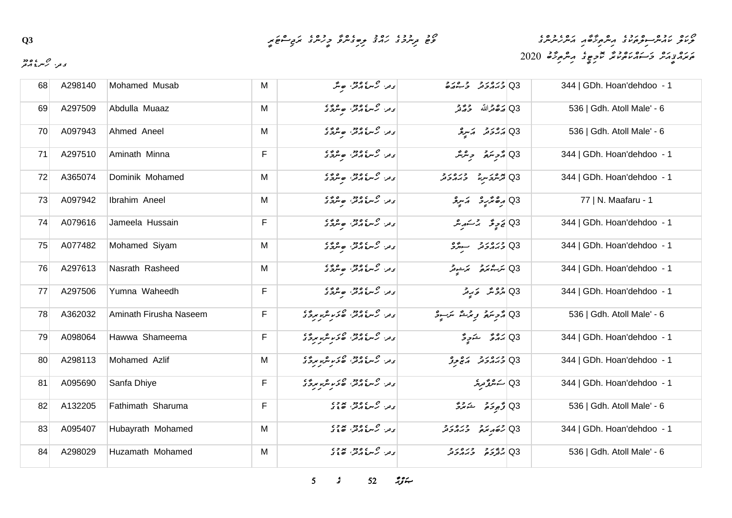*sCw7q7s5w7m< o<n9nOoAw7o< sCq;mAwBoEw7q<m; wBm;vB 2020<sup>, م</sup>وجدة المصرورة المجموعة المستورجة والم*جموعة والمجموعة والمجموعة والمجموعة والمجموعة والمجموعة والمجموعة

| 68 | A298140 | Mohamed Musab          | M           | ى تىر، كەس ئە 250 ھەنگە                                |                                                             | 344   GDh. Hoan'dehdoo - 1 |
|----|---------|------------------------|-------------|--------------------------------------------------------|-------------------------------------------------------------|----------------------------|
| 69 | A297509 | Abdulla Muaaz          | M           | ير مساور و و و و و                                     | Q3 كەشكەللە 3.5 ك                                           | 536   Gdh. Atoll Male' - 6 |
| 70 | A097943 | Ahmed Aneel            | M           | دىر. رىس دەھ ھەمدى                                     | Q3   كەش <sup>ى</sup> ر قىرىگە كەسىر قىل                    | 536   Gdh. Atoll Male' - 6 |
| 71 | A297510 | Aminath Minna          | F           | ىمىن كىسا مەدەر ئەمەدى                                 | Q3 أ <i>مَّ جِسَعَة جِسْرَتَ</i> ّ                          | 344   GDh. Hoan'dehdoo - 1 |
| 72 | A365074 | Dominik Mohamed        | M           | كرور كرسي ورود المعادوري                               | Q3 ترى <i>گە ئىرىقىدە ئەرە</i>                              | 344   GDh. Hoan'dehdoo - 1 |
| 73 | A097942 | Ibrahim Aneel          | M           | ومن كرسي وجود المعدوري                                 | Q3 م <i>وڭ تگرى مى</i> رىگە                                 | 77   N. Maafaru - 1        |
| 74 | A079616 | Jameela Hussain        | F           | ير مساور و و و و و                                     |                                                             | 344   GDh. Hoan'dehdoo - 1 |
| 75 | A077482 | Mohamed Siyam          | M           | دىر. رىس دەھ ھەمدى                                     | $2.5 - 2.5$ $2.5 - 0.3$                                     | 344   GDh. Hoan'dehdoo - 1 |
| 76 | A297613 | Nasrath Rasheed        | M           | ومن كرسي وجود المعدوري                                 | Q3 <i>مَرْ يَكْهُمْ مَنْ مَنْ مِنْ</i>                      | 344   GDh. Hoan'dehdoo - 1 |
| 77 | A297506 | Yumna Waheedh          | F           | ومن كرسي وجود المعدوري                                 | Q3 <i>مرڈ نگر</i> قریر تھر                                  | 344   GDh. Hoan'dehdoo - 1 |
| 78 | A362032 | Aminath Firusha Naseem | $\mathsf F$ | ومن كرس ودور مى مور مورد                               | Q3   مَّ <i>وِ مَرَمَّۃُ</i> وِ مَرْسَّۃُ مَرَسِو <i>دُ</i> | 536   Gdh. Atoll Male' - 6 |
| 79 | A098064 | Hawwa Shameema         | F           | ىمى كەرەم ئەرەپ ئەر                                    | Q3 <i>بَدْدُوَّ</i> شَوِوَّ                                 | 344   GDh. Hoan'dehdoo - 1 |
| 80 | A298113 | Mohamed Azlif          | M           | צעי צייע גפי שיציע ייצא בי                             | Q3 <i>وَبَهُ وَبَنَّ مَنْ وَفَرَّ وَ</i>                    | 344   GDh. Hoan'dehdoo - 1 |
| 81 | A095690 | Sanfa Dhiye            | F           | د د. ص ع و دو ص د س و د د د و د د د د                  | Q3 سەھەر <i>قىر</i> ىتىر                                    | 344   GDh. Hoan'dehdoo - 1 |
| 82 | A132205 | Fathimath Sharuma      | F           |                                                        | Q3 <i>وَّجِ حَمَّى حَمَّمَ</i> دَّ                          | 536   Gdh. Atoll Male' - 6 |
| 83 | A095407 | Hubayrath Mohamed      | M           | ى تىر، گەس كە 32°، ئەچ ئ                               | $22022$ $2040$                                              | 344   GDh. Hoan'dehdoo - 1 |
| 84 | A298029 | Huzamath Mohamed       | M           | ړیں گر مرکز دی ہے والی<br>الاور اگر مرکز کر الاس کا دی | Q3 يُؤْرِحْمُ وَيَرْمُونُوْ                                 | 536   Gdh. Atoll Male' - 6 |

*r@w<sF7v5 .@C*

 $5$   $5$   $52$   $52$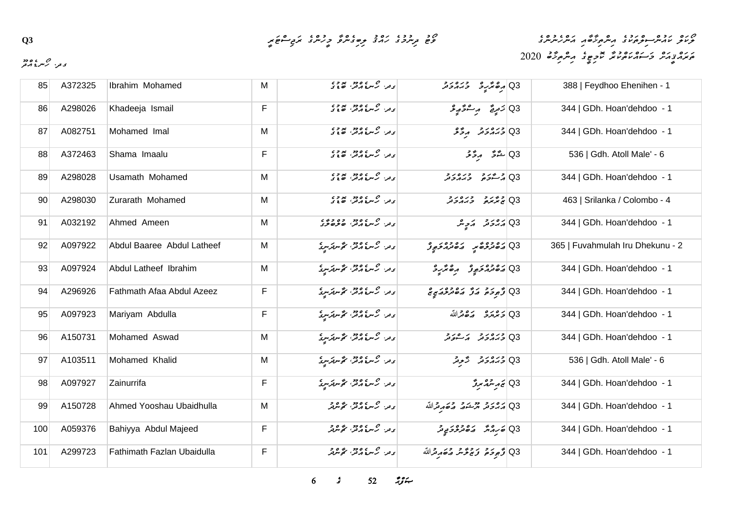*sCw7q7s5w7m< o<n9nOoAw7o< sCq;mAwBoEw7q<m; wBm;vB 2020<sup>, م</sup>وجدة المصرورة المجموعة المستورجة والم*جموعة والمجموعة والمجموعة والمجموعة والمجموعة والمجموعة والمجموعة

| 85  | A372325 | Ibrahim Mohamed                   | м           | ړند کرس ده.<br>دند کرس د ډنر کلون                                                                                                                                                                                               | Q3 مەھەر بەر 25,000                               | 388   Feydhoo Ehenihen - 1       |
|-----|---------|-----------------------------------|-------------|---------------------------------------------------------------------------------------------------------------------------------------------------------------------------------------------------------------------------------|---------------------------------------------------|----------------------------------|
| 86  | A298026 | Khadeeja Ismail                   | F           | ړی ره ده پروه<br>ډی کس دی                                                                                                                                                                                                       | Q3 كَسِيعٌ مِ سُوَّمِ وُلَ                        | 344   GDh. Hoan'dehdoo - 1       |
| 87  | A082751 | Mohamed Imal                      | M           | و مرد ره مرد ده ده در در برد و مرد و مرد و مرد و مرد و مرد و مرد و مرد و مرد و مرد و مرد و مرد و مرد و مرد و م<br>مرد است و مرد مرد مرد مرد و مرد و مرد و مرد و مرد و مرد و مرد و مرد و مرد و مرد و مرد و مرد و مرد و مرد و مرد | Q3 <i>جَدَمْ جَدَّة مِدَّنْ</i>                   | 344   GDh. Hoan'dehdoo - 1       |
| 88  | A372463 | Shama Imaalu                      | F           | وتر، رګښو ورو د پروه<br>وتر، رګښو مرتر، هغو                                                                                                                                                                                     | $35 - 23$                                         | 536   Gdh. Atoll Male' - 6       |
| 89  | A298028 | Usamath Mohamed                   | м           | ړی ره مرده پروه<br>دین رس                                                                                                                                                                                                       | Q3 كار مركز در در در د                            | 344   GDh. Hoan'dehdoo - 1       |
| 90  | A298030 | Zurarath Mohamed                  | M           | ى قرار كى سى 300 مۇ جەم 2                                                                                                                                                                                                       | Q3 ج <i>مربره در در د</i>                         | 463   Srilanka / Colombo - 4     |
| 91  | A032192 | Ahmed Ameen                       | M           | ړین کرس وه ده ده ده<br>ډین کرس ورتن صوصوري                                                                                                                                                                                      | Q3   <i>مەنى</i> قىر مەر شەر                      | 344   GDh. Hoan'dehdoo - 1       |
| 92  | A097922 | Abdul Baaree Abdul Latheef        | M           | ىمى ئىسكەر ئەرەپى ئەسىر ئىس                                                                                                                                                                                                     | Q3 مەھرگرىگە مەھەرمۇمۇر                           | 365   Fuvahmulah Iru Dhekunu - 2 |
| 93  | A097924 | Abdul Latheef Ibrahim             | M           | ومن كرسة ودين كوَسيرَسية                                                                                                                                                                                                        | Q3 مَ <i>ـُّومْدَ جَمِيْرْ مَـ</i> ْمَبِّرْدُ     | 344   GDh. Hoan'dehdoo - 1       |
| 94  | A296926 | Fathmath Afaa Abdul Azeez         | F           | ىمى ئىسكەر ئۇن ئۇستىرسى                                                                                                                                                                                                         | $2, 2, 3, 5, 6$ $\sqrt{2}$ $\approx$ $6, 6, 7, 8$ | 344   GDh. Hoan'dehdoo - 1       |
| 95  | A097923 | Mariyam Abdulla                   | $\mathsf F$ | ى قرار مىسى ئەرەس كۆسۈرسى                                                                                                                                                                                                       |                                                   | 344   GDh. Hoan'dehdoo - 1       |
| 96  | A150731 | Mohamed Aswad                     | M           | ى قرار مىس ئۇرۇش كۆسۈرسى                                                                                                                                                                                                        | Q3 دېم دې ته شونر                                 | 344   GDh. Hoan'dehdoo - 1       |
| 97  | A103511 | Mohamed Khalid                    | M           | ى قرار مىسى ئەمەس كۆس قىرىپى                                                                                                                                                                                                    | Q3  <i>ويەممى دې</i> مى                           | 536   Gdh. Atoll Male' - 6       |
| 98  | A097927 | Zainurrifa                        | F           | ىمى ئىسكەر ئۇن ئۇستىرسى                                                                                                                                                                                                         | Q3 ئ <i>ے مہ مثم</i> د سمبر تر                    | 344   GDh. Hoan'dehdoo - 1       |
| 99  | A150728 | Ahmed Yooshau Ubaidhulla          | M           | ى قرار مى مەكتەر بىر ئەرەر ئە                                                                                                                                                                                                   | Q3 <i>مُدْوَمْه مُرْحُومْ مُ</i> صَمِّرْتُلَّهُ   | 344   GDh. Hoan'dehdoo - 1       |
| 100 | A059376 | Bahiyya Abdul Majeed              | F           | ى قرار كى سرى مۇرى ئە ئەرەر ئە                                                                                                                                                                                                  | Q3 خرم پر محصور د در در حرم د                     | 344   GDh. Hoan'dehdoo - 1       |
| 101 | A299723 | <b>Fathimath Fazlan Ubaidulla</b> | F           | ى قىر ، كەس كە 20 مۇ ئەرەر ،                                                                                                                                                                                                    | Q3 أَوَّجِوَحَمْ وَتَحْمَّدُ صَصَمِقْرَاللَّه     | 344   GDh. Hoan'dehdoo - 1       |

 $6$   $3$   $52$   $29$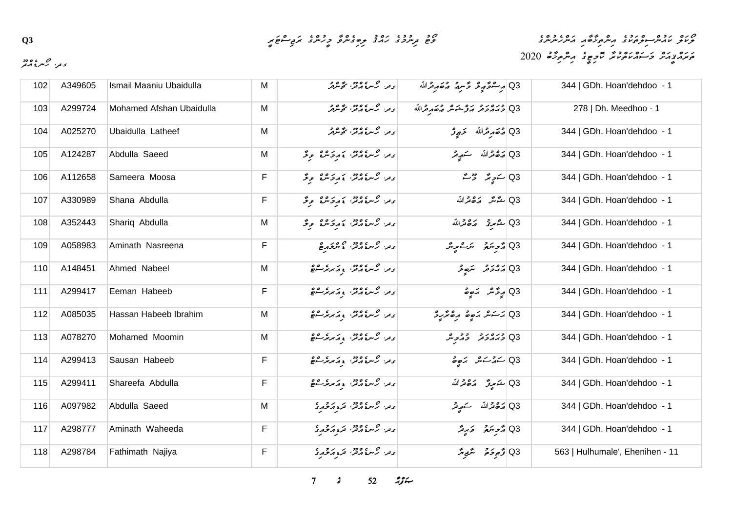*sCw7q7s5w7m< o<n9nOoAw7o< sCq;mAwBoEw7q<m; wBm;vB* م من المرة المرة المرة المرجع المرجع في المركبة 2020<br>مجم*د المريض المربوط المربع المرجع في المراجع المركبة* 

| 102 | A349605 | Ismail Maaniu Ubaidulla  | М | ى قرار مى مەم 300 كىلى ئىش قىر             | Q3 مِ سُمَّحَم <i>ُ جُدْ حَسِيمٌ مُنْ صَوْبِ</i> قْرَاللَّه                                          | 344   GDh. Hoan'dehdoo - 1      |
|-----|---------|--------------------------|---|--------------------------------------------|------------------------------------------------------------------------------------------------------|---------------------------------|
| 103 | A299724 | Mohamed Afshan Ubaidulla | M | ى قرار مىس ئام 20 مى مى مىلىرى ئىش قىر     | Q3 حيده مرحمد مركز شوشر مركزم مركزالله                                                               | 278   Dh. Meedhoo - 1           |
| 104 | A025270 | Ubaidulla Latheef        | M | ى قرار مىس ئە 20 كەن بۇ ئەرەر بول ئارلىق ئ |                                                                                                      | 344   GDh. Hoan'dehdoo - 1      |
| 105 | A124287 | Abdulla Saeed            | M | ىلا رىمىدە بەر ئەرە ب                      | Q3 كَدَهْ قَدْاللَّهُ مُسَمَّمِيَّةً                                                                 | 344   GDh. Hoan'dehdoo - 1      |
| 106 | A112658 | Sameera Moosa            | F | ىلا رىس دەھرىدە ئەرەپ ب                    | Q3  سَمِ پُر مُشَرِ مُشَرِّدًا مُشَرِّدًا مُشَرِّدًا مُشَرِّدًا مُشَرِّدًا مُشَرِّدًا مُشَرِّدًا مُش | 344   GDh. Hoan'dehdoo - 1      |
| 107 | A330989 | Shana Abdulla            | F | ىلىن كەسلەملىرى كەركەن بولۇ                | Q3 گەنگر كەڭ قىراللە                                                                                 | 344   GDh. Hoan'dehdoo - 1      |
| 108 | A352443 | Shariq Abdulla           | M | ىلا رىمىدە ئەرەپ بۇ ئ                      | Q3 كەمبر <i>ىق مەھەم</i> ەللە                                                                        | 344   GDh. Hoan'dehdoo - 1      |
| 109 | A058983 | Aminath Nasreena         | F | ى مىن كى مەدەر ئەس ئىس كىلەر ئ             | Q3   مَّرْحِ سَرَمْ سَرَسْ مَرِسَّرَ                                                                 | 344   GDh. Hoan'dehdoo - 1      |
| 110 | A148451 | Ahmed Nabeel             | M | ومن كرس ودور و كرير وه وه                  | Q3 <i>كەنگەنىڭ سىھ</i> وتى                                                                           | 344   GDh. Hoan'dehdoo - 1      |
| 111 | A299417 | Eeman Habeeb             | F | ومن كرس ودور و كرير وه وه                  | Q3 <sub>مو</sub> ڱن <i>د نہوھ</i> ُ                                                                  | 344   GDh. Hoan'dehdoo - 1      |
| 112 | A085035 | Hassan Habeeb Ibrahim    | M | ىمىن كىس مەدەب بەتمە ترىمى ھ               | Q3 كەسكەر <i>كەھ مەھەرد</i> ۇ                                                                        | 344   GDh. Hoan'dehdoo - 1      |
| 113 | A078270 | Mohamed Moomin           | M | ى مەس ئەمەدە بەر <i>مەس ئەم</i>            | Q3  <i>32,25 مق</i> رح                                                                               | 344   GDh. Hoan'dehdoo - 1      |
| 114 | A299413 | Sausan Habeeb            | F | ومن كرس ودور و كرير وه وه                  | Q3  سَ <i>مَرْ سَعْر بَنَ</i> وِرَةَ                                                                 | 344   GDh. Hoan'dehdoo - 1      |
| 115 | A299411 | Shareefa Abdulla         | F | ومن كرس ودود و كريم من وه                  | Q3 ش <i>ەمرۇ مەھ قر</i> اللە                                                                         | 344   GDh. Hoan'dehdoo - 1      |
| 116 | A097982 | Abdulla Saeed            | M | ىلا رىساملا كەن ئىرە ئەخمەت                | Q3 كەڭ قىراللە س <i>ەمبەتر</i>                                                                       | 344   GDh. Hoan'dehdoo - 1      |
| 117 | A298777 | Aminath Waheeda          | F | وفرا الرسمة وفين المروج والمحرورى          | Q3 م <i>ُّ جِسَعَۃ وَب</i> ِعَ <i>ّر</i>                                                             | 344   GDh. Hoan'dehdoo - 1      |
| 118 | A298784 | Fathimath Najiya         | F | ى مەس ھەر ئەيدىن كىلىم ئە                  | Q3 <i>وُّجوحَةْ مُتَّ</i> وِمَّ                                                                      | 563   Hulhumale', Ehenihen - 11 |

*7 sC 52 nNw?mS*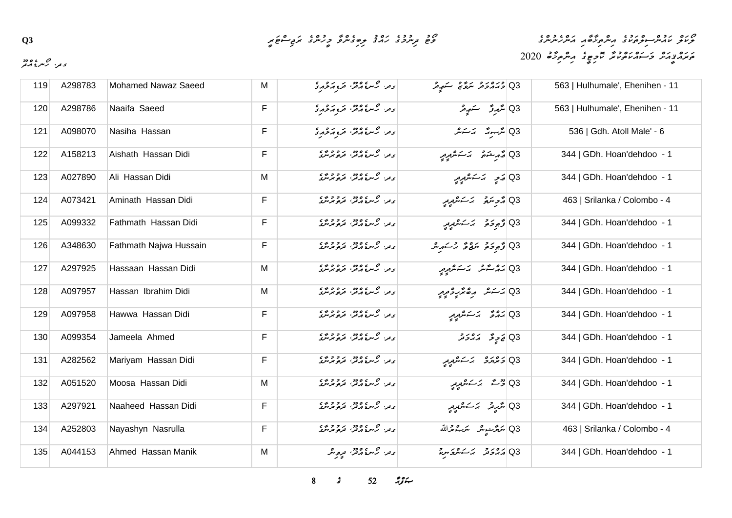*sCw7q7s5w7m< o<n9nOoAw7o< sCq;mAwBoEw7q<m; wBm;vB 2020<sup>, م</sup>وجدة المصرورة المجموعة المستورجة والم*جموعة والمجموعة والمجموعة والمجموعة والمجموعة والمجموعة والمجموعة

| 119 | A298783 | <b>Mohamed Nawaz Saeed</b> | M           | المعر المحسن المعجم والمحدود المحمد المحمد المحمد المحمد المحمد المحمد المحمد المحمد المحمد المحمد ا                                                                                                                            | Q3  <i>وبروبروتر مرة بي سكوبر</i>                       | 563   Hulhumale', Ehenihen - 11 |
|-----|---------|----------------------------|-------------|---------------------------------------------------------------------------------------------------------------------------------------------------------------------------------------------------------------------------------|---------------------------------------------------------|---------------------------------|
| 120 | A298786 | Naaifa Saeed               | F           | وفرا الرسمة أوقرا المروج والمحرورى                                                                                                                                                                                              | Q3 سُمْرِرٌ سَمْرٍ شَرْ                                 | 563   Hulhumale', Ehenihen - 11 |
| 121 | A098070 | Nasiha Hassan              | F           | ى مرا كەس ھەم ئىگە ئە ئە ئوم ئ                                                                                                                                                                                                  | Q3 مگرسون <sup>ت</sup> - ٹرکٹر                          | 536   Gdh. Atoll Male' - 6      |
| 122 | A158213 | Aishath Hassan Didi        | F           | ړی ده ده د د ده د                                                                                                                                                                                                               | Q3 <i>مەم ھەم ئەسكىتى بويى</i> ر                        | 344   GDh. Hoan'dehdoo - 1      |
| 123 | A027890 | Ali Hassan Didi            | M           |                                                                                                                                                                                                                                 | Q3 كەب <i>چە بەكسى</i> ھىرىر                            | 344   GDh. Hoan'dehdoo - 1      |
| 124 | A073421 | Aminath Hassan Didi        | F           | ر در ده ده در دره در در در در در در این در در این در در این در در این در در این در دارای در دارای در دارای در<br>در این در این در این در دارای در دارای در دارای در دارای در دارای در دارای در دارای در دارای در دارای در دارای | Q3 <mark>مُ</mark> حِسَمَة سَسَسْمِيدِ                  | 463   Srilanka / Colombo - 4    |
| 125 | A099332 | Fathmath Hassan Didi       | F           |                                                                                                                                                                                                                                 | Q3 <i>وَّجِ دَمَّةَ بَرَسَتَوْمِرِ م</i> ِرِ            | 344   GDh. Hoan'dehdoo - 1      |
| 126 | A348630 | Fathmath Najwa Hussain     | F           | رور کرس ورو در دوره و<br>روز کرس اروز تره مرس                                                                                                                                                                                   | Q3 <i>وَّجِعَةَ مَنْ</i> قَعَّ يُمَسَمَ <i>رِ مَّرْ</i> | 344   GDh. Hoan'dehdoo - 1      |
| 127 | A297925 | Hassaan Hassan Didi        | M           |                                                                                                                                                                                                                                 | Q3   ئەبۇسە ئەس ئاس ئىس ئارى <i>سى</i> بولس             | 344   GDh. Hoan'dehdoo - 1      |
| 128 | A097957 | Hassan Ibrahim Didi        | M           | ړين کرس ده ده بر د د ور د د<br>ډېر کرس د ډېر او تره مرس                                                                                                                                                                         | Q3 ئەسەش ب <i>ەھەترىي</i> قىيدىنىيە بىر                 | 344   GDh. Hoan'dehdoo - 1      |
| 129 | A097958 | Hawwa Hassan Didi          | F           | وفر کر سره ورو د د و د و.<br>وفر کر سره مرفر افزاد مربع                                                                                                                                                                         | Q3  كەنگە ئەسكەتلەرى <i>يە</i>                          | 344   GDh. Hoan'dehdoo - 1      |
| 130 | A099354 | Jameela Ahmed              | $\mathsf F$ |                                                                                                                                                                                                                                 | Q3 <i>في حي تقرير المراج</i> ع                          | 344   GDh. Hoan'dehdoo - 1      |
| 131 | A282562 | Mariyam Hassan Didi        | $\mathsf F$ | و در و ده در دوره و در در در در در این کنید و این این در این کنید و در این کنید و در این کنید و در این کنید و<br>در این کنید و در این کنید و در این کنید و در این کنید و در این کنید و در این کنید و در این کنید و در این کنید  | Q3 كەنگەنگە كەسكەتلەرلىر                                | 344   GDh. Hoan'dehdoo - 1      |
| 132 | A051520 | Moosa Hassan Didi          | M           |                                                                                                                                                                                                                                 | Q3   جُرْ - بُرْ سَ <i>مْ مِبِرِ م</i> ِرِ              | 344   GDh. Hoan'dehdoo - 1      |
| 133 | A297921 | Naaheed Hassan Didi        | $\mathsf F$ | ر در ده ده در دره در در در در در در این در در این در در این در در این در در این در دارای در دارای در دارای در<br>در این در این در این در دارای در دارای در دارای در دارای در دارای در دارای در دارای در دارای در دارای در دارای | Q3 مَّرْرٍ مَرْ سَنَّرْمِرِيْرِ                         | 344   GDh. Hoan'dehdoo - 1      |
| 134 | A252803 | Nayashyn Nasrulla          | F           | ړی کې ده ده د د و و د د<br>ډین کرس د دنن تره مرس                                                                                                                                                                                | Q3 <i>سَهَّرَشِيِّسْ سَرَبَّ</i> دْ سَرَائِدَ           | 463   Srilanka / Colombo - 4    |
| 135 | A044153 | Ahmed Hassan Manik         | M           | <sub>ى</sub> مە ئىس ئەمەر مى <i>مەن</i> گە                                                                                                                                                                                      | Q3 <i>مُدْوَمْ بُهَــَمْدُوَمِي</i> رْ                  | 344   GDh. Hoan'dehdoo - 1      |

**8** *s* **52** *z***<sub>***f***</sub>**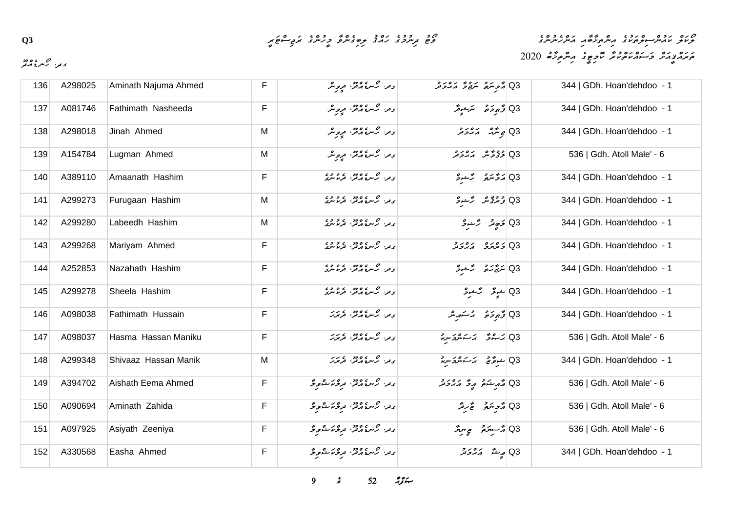*sCw7q7s5w7m< o<n9nOoAw7o< sCq;mAwBoEw7q<m; wBm;vB 2020<sup>, م</sup>وجدة المصرورة المجموعة المستورجة والم*جموعة والمجموعة والمجموعة والمجموعة والمجموعة والمجموعة والمجموعة

| 136 | A298025 | Aminath Najuma Ahmed | F            | دىر. گرسۇ ئۇقر، يېرو بىر                                              | Q3 أَمُّ مِسْمَعٌ سَمْعَ مَنْ مَدَوَمْر       | 344   GDh. Hoan'dehdoo - 1 |
|-----|---------|----------------------|--------------|-----------------------------------------------------------------------|-----------------------------------------------|----------------------------|
| 137 | A081746 | Fathimath Nasheeda   | $\mathsf F$  | ى مەستۇمۇش مومۇرىسى                                                   | Q3 <i>وُّجِ دَمُ</i> سَ مَشِيقٌر              | 344   GDh. Hoan'dehdoo - 1 |
| 138 | A298018 | Jinah Ahmed          | M            | <sub>ى</sub> مە ئىس ئەمىر مى <i>مەن</i> گە                            | Q3 م <i>ې مگر<sup>2</sup> مرکز دو</i>         | 344   GDh. Hoan'dehdoo - 1 |
| 139 | A154784 | Lugman Ahmed         | M            | ى تىر بىر مەمەدە بىر تەرەپىر                                          | Q3 تر <i>وژۇنل مەددىر</i>                     | 536   Gdh. Atoll Male' - 6 |
| 140 | A389110 | Amaanath Hashim      | $\mathsf{F}$ | دىن گەس مەھ بىر دەپ<br>دىن گەس مەھر ئىرىم سرى                         | Q3 كەڭ <i>تىگى ئى</i> سۇ                      | 344   GDh. Hoan'dehdoo - 1 |
| 141 | A299273 | Furugaan Hashim      | M            | ى قرار كەن ئەھ ئە ئەر ئەر ئەر                                         | Q3 <i>وَجَدَّةٌ مَّرْ حَ</i> سْوَةٌ           | 344   GDh. Hoan'dehdoo - 1 |
| 142 | A299280 | Labeedh Hashim       | M            | ړی کرمړي وه.<br>ډین کرمړنۍ ترم مرد                                    | Q3 ك <i>ۈمۈنگە</i> گەھىدۇ                     | 344   GDh. Hoan'dehdoo - 1 |
| 143 | A299268 | Mariyam Ahmed        | $\mathsf{F}$ | ړیں <sup>،</sup> گرس گروه پر دره د                                    | Q3 <i>كەبەر ئەرەبىر</i>                       | 344   GDh. Hoan'dehdoo - 1 |
| 144 | A252853 | Nazahath Hashim      | $\mathsf F$  | ى قرار كەن ئەھ ئە ئەر ئەر ئەر                                         | Q3 <i>سَيِّ رَبِّيْ مَشْ</i> رِدُّ            | 344   GDh. Hoan'dehdoo - 1 |
| 145 | A299278 | Sheela Hashim        | F            | رور، کرس ورو، در دره<br>روز، کرس وروز، فرم سری                        | Q3 موٹی گرموٹی<br>ا                           | 344   GDh. Hoan'dehdoo - 1 |
| 146 | A098038 | Fathimath Hussain    | $\mathsf F$  | ى قرار مىسونى 20%، قرىرىيەت                                           | Q3 <i>وُجوح</i> و مُ سَمهِ مَدْ               | 344   GDh. Hoan'dehdoo - 1 |
| 147 | A098037 | Hasma Hassan Maniku  | F            | ى قرار مى مەم 3 مەم بىرىدى.<br>ئاقىرار مىڭ مەم قىلى قىزىيەت كىلەر بىر | Q3   ئەس <sup>ى</sup> ر ئەسىر ئەسىر ئىسىر ئىس | 536   Gdh. Atoll Male' - 6 |
| 148 | A299348 | Shivaaz Hassan Manik | M            | ى قرار مى سو كا دىن ئى قرىرىگەن.                                      | Q3 شوقري بر سەنكرى سرى <sup>م</sup>           | 344   GDh. Hoan'dehdoo - 1 |
| 149 | A394702 | Aishath Eema Ahmed   | F            | دىر. كەس 250 مەركەت ھەرگە                                             | Q3 مەم شەقر ب <i>وڭ مەم</i> دىر               | 536   Gdh. Atoll Male' - 6 |
| 150 | A090694 | Aminath Zahida       | F            | ىمەر كەس مەدەر بولار شەھ بۇ                                           | Q3 م <i>ُّ جِسَعَة تَّ</i> تَحْرِمَّدُ        | 536   Gdh. Atoll Male' - 6 |
| 151 | A097925 | Asiyath Zeeniya      | F            | ى قرار مىس ئەمەدە بىر قىرىم ئىشرىدىگە                                 | Q3 أ <i>مُّ سِيرَةٌ</i> بِمِس <i>رَّدُ</i>    | 536   Gdh. Atoll Male' - 6 |
| 152 | A330568 | Easha Ahmed          | F            | ى مەر ئەس بۇرى بولۇپمىش ئوق                                           | Q3 م <sub>و</sub> ڪ <i>مگ</i> وگر             | 344   GDh. Hoan'dehdoo - 1 |

*9 s* 52 *fg*  $\rightarrow$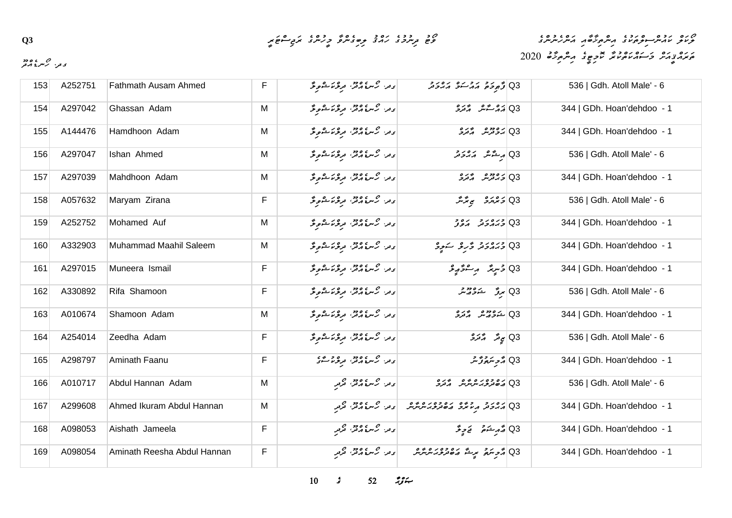*sCw7q7s5w7m< o<n9nOoAw7o< sCq;mAwBoEw7q<m; wBm;vB 2020<sup>, م</sup>وجدة المصرورة المجموعة المستورجة والم*جموعة والمجموعة والمجموعة والمجموعة والمجموعة والمجموعة والمجموعة

| 153 | A252751 | <b>Fathmath Ausam Ahmed</b> | F | دىن گەس 200 مركزىم شەھرىگ                                                                                                 | $\sim$ כל האבל הא האבטר האבטר (Q3           | 536   Gdh. Atoll Male' - 6 |
|-----|---------|-----------------------------|---|---------------------------------------------------------------------------------------------------------------------------|---------------------------------------------|----------------------------|
| 154 | A297042 | Ghassan Adam                | М | .<br>ئەرەب سىدەرىر، ئىربىرىشومەتتى                                                                                        | Q3 كەبۇ شەرق ئۇنى <i>رى</i>                 | 344   GDh. Hoan'dehdoo - 1 |
| 155 | A144476 | Hamdhoon Adam               | M | ى قرار مىس ئەمەدە بىر قايرىنى قىرىگە                                                                                      | Q3 <i>برووژیش مرکزی</i>                     | 344   GDh. Hoan'dehdoo - 1 |
| 156 | A297047 | Ishan Ahmed                 | M | ى مەس مەھدىن بىر ھەر شەھ بۇ                                                                                               | Q3 مېشتى <i>ڭ مەشىقى</i> ر                  | 536   Gdh. Atoll Male' - 6 |
| 157 | A297039 | Mahdhoon Adam               | M | ى مەس ئەھەدىرى بولۇم ئىشرونى                                                                                              | Q3 كەبەددىر مەمر <i>ۇ</i>                   | 344   GDh. Hoan'dehdoo - 1 |
| 158 | A057632 | Maryam Zirana               | F | ى قرار مىس ئەرەبىرە قىرىمى ئىس ئىستىم ئىستىم ئىستىم ئىستىم ئىستىم ئىستىم ئىستىم ئىستىم ئىستىم ئىستىم ئىستى                | Q3   <i>كەنگەنگە</i> سىمەتكەنگە             | 536   Gdh. Atoll Male' - 6 |
| 159 | A252752 | Mohamed Auf                 | M | .<br>ئەرەب سىدەرىر، ئېرماشومۇ                                                                                             | Q3 <i>22222 23 Q3</i>                       | 344   GDh. Hoan'dehdoo - 1 |
| 160 | A332903 | Muhammad Maahil Saleem      | M | ى قرار مىس ئەمەدە بىر قىرىم ئىشرىدىگە                                                                                     | Q3  <i>وتەم</i> دىر دىرى سەرپى              | 344   GDh. Hoan'dehdoo - 1 |
| 161 | A297015 | Muneera Ismail              | F | ا دىن كەس مەدەبە بىرى مەھرىمى<br>دىن كەس مەنى بىرى مەھرىم                                                                 | Q3 ئ <sup>ې</sup> رى <i>گە مەشۇم</i> ۇ      | 344   GDh. Hoan'dehdoo - 1 |
| 162 | A330892 | Rifa Shamoon                | F | رىر. ر <i>ىس مەن بىر ئىم ئىم ئى</i> رىگە                                                                                  | Q3 بروٌ ش <i>ۇھەتت</i> ر                    | 536   Gdh. Atoll Male' - 6 |
| 163 | A010674 | Shamoon Adam                | M | رىر. ر <i>ىس مەن بىر ئىم ئىم ئى</i> رىگە                                                                                  | $03$ $22.2$ $03$                            | 344   GDh. Hoan'dehdoo - 1 |
| 164 | A254014 | Zeedha Adam                 | F | ى تىر كەس بۇن بولۇم شوم ئى                                                                                                |                                             | 536   Gdh. Atoll Male' - 6 |
| 165 | A298797 | Aminath Faanu               | F | ىلىن كەس ەمەدە بىر ئۇرا ئىسى                                                                                              | Q3 م <i>ۇج ئىمۇ ۋىتر</i>                    | 344   GDh. Hoan'dehdoo - 1 |
| 166 | A010717 | Abdul Hannan Adam           | M | ا <sub>مح</sub> س محسن معرض المحرم المحمد المحرم المحمد المحمد المحمد المحمد المحمد المحمد المحمد المحمد المحمد المحمد ال | Q3 <i>مەھەر بىر بىر بىر بىر بىر بىر بىر</i> | 536   Gdh. Atoll Male' - 6 |
| 167 | A299608 | Ahmed Ikuram Abdul Hannan   | M |                                                                                                                           |                                             | 344   GDh. Hoan'dehdoo - 1 |
| 168 | A098053 | Aishath Jameela             | F | د مر ، ر مسء وجو ، او محرمر                                                                                               | Q3 <i>مُگهِ مِنْ</i> مَوَ مِحَ              | 344   GDh. Hoan'dehdoo - 1 |
| 169 | A098054 | Aminath Reesha Abdul Hannan | F |                                                                                                                           |                                             | 344   GDh. Hoan'dehdoo - 1 |

 $10$  *s* 52  $2.94$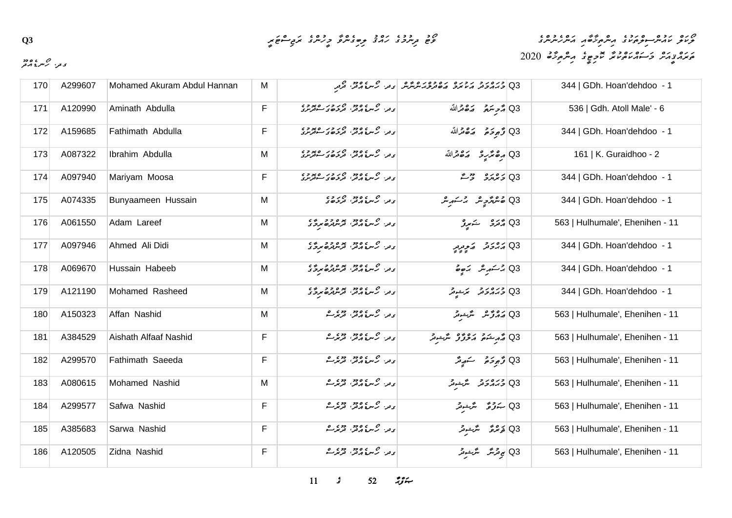*sCw7q7s5w7m< o<n9nOoAw7o< sCq;mAwBoEw7q<m; wBm;vB* م من المرة المرة المرة المرجع المرجع في المركبة 2020<br>مجم*د المريض المربوط المربع المرجع في المراجع المركبة* 

| 170 | A299607 | Mohamed Akuram Abdul Hannan  | M            |                                                                                              | $\mathbb{C}^{2}$ و رو ر د ر و ر و ر و ر و ر شریکس او در همان در در همر د شرید $\mathbb{C}^{3}$ | 344   GDh. Hoan'dehdoo - 1      |
|-----|---------|------------------------------|--------------|----------------------------------------------------------------------------------------------|------------------------------------------------------------------------------------------------|---------------------------------|
| 171 | A120990 | Aminath Abdulla              | F            | ے مرد اس عام 1970ء کی دور ہے تو 2 جاتا ہے۔<br>اس کے مسینے اور قبل اس کو میں مرد سے قبل سروری | Q3 مُرْحِ سَرَةَ      مَرْكَ قَدْاللّه                                                         | 536   Gdh. Atoll Male' - 6      |
| 172 | A159685 | Fathimath Abdulla            | F            |                                                                                              | Q3 <i>وَّجِوَة مَـُهْ</i> قَرَاللَّه                                                           | 344   GDh. Hoan'dehdoo - 1      |
| 173 | A087322 | Ibrahim Abdulla              | M            |                                                                                              | Q3 م <i>وڭ مگرى</i> ھەقراللە                                                                   | 161   K. Guraidhoo - 2          |
| 174 | A097940 | Mariyam Moosa                | F            | و در هم ده ده در در در دور و د<br>د در کرس در در در در در در                                 | $2^{3}$ $2^{6}$ $2^{10}$ $2^{3}$                                                               | 344   GDh. Hoan'dehdoo - 1      |
| 175 | A074335 | Bunyaameen Hussain           | M            | ړی هم ده وه ده ده.<br>دې کرس کړنې ترنومۍ                                                     | Q3 <i>ھىنگوچىلى جىسكى</i> رىنى                                                                 | 344   GDh. Hoan'dehdoo - 1      |
| 176 | A061550 | Adam Lareef                  | M            | و در هم ده ده ده و د و ده<br>و در کرس ارتر از ترس تره برو د                                  |                                                                                                | 563   Hulhumale', Ehenihen - 11 |
| 177 | A097946 | Ahmed Ali Didi               | M            |                                                                                              | Q3 كەش <sup>ى</sup> كەڭ كەنچەتتىرىسى                                                           | 344   GDh. Hoan'dehdoo - 1      |
| 178 | A069670 | Hussain Habeeb               | M            | وتر کرس ووو بوه وو دی<br>وتر کرس دتر ترس بروی                                                | Q3   جُرْسَمَ سِرْ سَرِ جَمْعِ صَحْ                                                            | 344   GDh. Hoan'dehdoo - 1      |
| 179 | A121190 | Mohamed Rasheed              | M            | وتر کرس ورو پر ورو دی<br>وتر کرس دیگر ترس بروی                                               | Q3 <i>\$ بَرُدْ دَوْرٌ مَرَسْ</i> بِيْر                                                        | 344   GDh. Hoan'dehdoo - 1      |
| 180 | A150323 | Affan Nashid                 | M            | ړين کرس ورو اودې ه<br>د تر کرس ورتن افزيز ک                                                  | Q3 <i>مەمۇ</i> ش شىسىتى                                                                        | 563   Hulhumale', Ehenihen - 11 |
| 181 | A384529 | <b>Aishath Alfaaf Nashid</b> | F            | ى قرار كەس ئە 25 مەدەب ھەر                                                                   | Q3 <i>مەم شەق مۇۋۇ مۇ</i> سىر                                                                  | 563   Hulhumale', Ehenihen - 11 |
| 182 | A299570 | Fathimath Saeeda             | $\mathsf{F}$ | ى قرار مى مەن 20 دەرىم قى                                                                    | Q3 <i>وَّجِوَدَةْ</i> سَم <i>َّهِ</i> مَّذَ                                                    | 563   Hulhumale', Ehenihen - 11 |
| 183 | A080615 | Mohamed Nashid               | M            |                                                                                              | Q3 <i>وُبَرُوْدُونُ</i> سُرْجِعْرُ                                                             | 563   Hulhumale', Ehenihen - 11 |
| 184 | A299577 | Safwa Nashid                 | F            | ړیں <sup>،</sup> ر <i>کسی ووو، ووی و</i>                                                     | Q3 <i>سەۋۇ ئىگىغ</i> ىقر                                                                       | 563   Hulhumale', Ehenihen - 11 |
| 185 | A385683 | Sarwa Nashid                 | F            | ړیں گرس وروپر دور ہے<br>برابر کرس وراثیر افریقر کے                                           | Q3 <i>فَوَعْرَةً</i> سَرَى <i>تِ مَ</i> رْ                                                     | 563   Hulhumale', Ehenihen - 11 |
| 186 | A120505 | Zidna Nashid                 | F            | ړیں <sup>،</sup> گرس ووی ووی م                                                               | Q3 <sub>مح</sub> رشر گر <sub>شو</sub> رژ                                                       | 563   Hulhumale', Ehenihen - 11 |

 $11$  *s* 52  $294$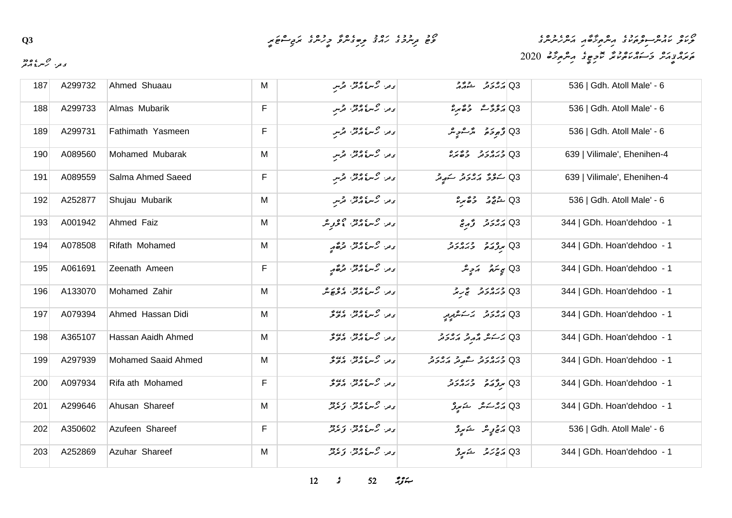*sCw7q7s5w7m< o<n9nOoAw7o< sCq;mAwBoEw7q<m; wBm;vB* م من المرة المرة المرة المرجع المرجع في المركبة 2020<br>مجم*د المريض المربوط المربع المرجع في المراجع المركبة* 

| 187 | A299732 | Ahmed Shuaau               | M            | ا <sub>م</sub> امر: گرسونکاروژ، افریس            | Q3 <i>كەنگەنلى</i> مىش <i>ەرگە</i>       | 536   Gdh. Atoll Male' - 6  |
|-----|---------|----------------------------|--------------|--------------------------------------------------|------------------------------------------|-----------------------------|
| 188 | A299733 | Almas Mubarik              | $\mathsf{F}$ | ى قىز، كەسمە 250 قىلىر                           | Q3 كەنزىر ئەھمىدىقى بىر                  | 536   Gdh. Atoll Male' - 6  |
| 189 | A299731 | Fathimath Yasmeen          | $\mathsf F$  | دىن گەس مەھرى تەس                                | Q3 <i>أَدْوِحَ</i> هُ مُرْسْمَوِيْر      | 536   Gdh. Atoll Male' - 6  |
| 190 | A089560 | Mohamed Mubarak            | M            | دىن گەندى <mark>دە</mark> ئەھرىر                 | $0.42 - 2.012$                           | 639   Vilimale', Ehenihen-4 |
| 191 | A089559 | Salma Ahmed Saeed          | $\mathsf{F}$ | أرمرا الركسية وفرض فرس                           | Q3   سَوْدَ كَمْ يَرْدَوْ مِسَمَّةٍ مِنْ | 639   Vilimale', Ehenihen-4 |
| 192 | A252877 | Shujau Mubarik             | M            | ى قرار كەن ئەھىرى قرىس                           | $2.53$ $-2.52$ $-0.3$                    | 536   Gdh. Atoll Male' - 6  |
| 193 | A001942 | Ahmed Faiz                 | M            | ى مەس ئەھ ھەم بۇ ئاھرىسى                         | Q3 <i>كەندى قەم</i> ق                    | 344   GDh. Hoan'dehdoo - 1  |
| 194 | A078508 | Rifath Mohamed             | M            | رور کرس ورو دور                                  | Q3 بر <i>ومن</i> و وبروبرو               | 344   GDh. Hoan'dehdoo - 1  |
| 195 | A061691 | Zeenath Ameen              | $\mathsf F$  | دىر. ر <i>ىس خەم</i> ەر دەر                      | Q3 <sub>م</sub> ېرى <i>ڭە مەج</i> ىر     | 344   GDh. Hoan'dehdoo - 1  |
| 196 | A133070 | Mohamed Zahir              | M            | ى تىر كەس ئەم تەرەپ ئىش                          | Q3 <i>جەنگە جۇ ج</i> ج                   | 344   GDh. Hoan'dehdoo - 1  |
| 197 | A079394 | Ahmed Hassan Didi          | M            | ړی ره ده ده ده ده ده ده ده د                     | Q3 كەندى قىلى ئەسكەتلەرلىر               | 344   GDh. Hoan'dehdoo - 1  |
| 198 | A365107 | Hassan Aaidh Ahmed         | M            | ى تىر، گەس كەن ئەرەپ ئ                           | Q3 كەسكەنلەر <i>مەرەرد</i>               | 344   GDh. Hoan'dehdoo - 1  |
| 199 | A297939 | <b>Mohamed Saaid Ahmed</b> | M            | ى قرار كەس كەن ئەرەر ئ                           | Q3 درەرد ئەرەر ئەرەرد                    | 344   GDh. Hoan'dehdoo - 1  |
| 200 | A097934 | Rifa ath Mohamed           | F            | ى مەسكەرە بەيدە بەيدە                            | Q3 برق <i>مه ورور</i> و                  | 344   GDh. Hoan'dehdoo - 1  |
| 201 | A299646 | Ahusan Shareef             | M            | ړين کرسو ورود کر پروو<br>دين کرسو وري کو بري     | Q3 <i>كەنگەنگە</i> شە <i>يو</i> ۋ        | 344   GDh. Hoan'dehdoo - 1  |
| 202 | A350602 | Azufeen Shareef            | F            |                                                  | Q3 <i>كەنج ب</i> وشر سى <i>كەمپ</i> و    | 536   Gdh. Atoll Male' - 6  |
| 203 | A252869 | Azuhar Shareef             | M            | <sub>ى قىز</sub> ، گەس كەن تەرەپچە بەر يەرە<br>ئ | Q3 <i>مَنْ جُرْنَةْ</i> سَمَيْرُوْ       | 344   GDh. Hoan'dehdoo - 1  |

 $12$  *s* 52  $25$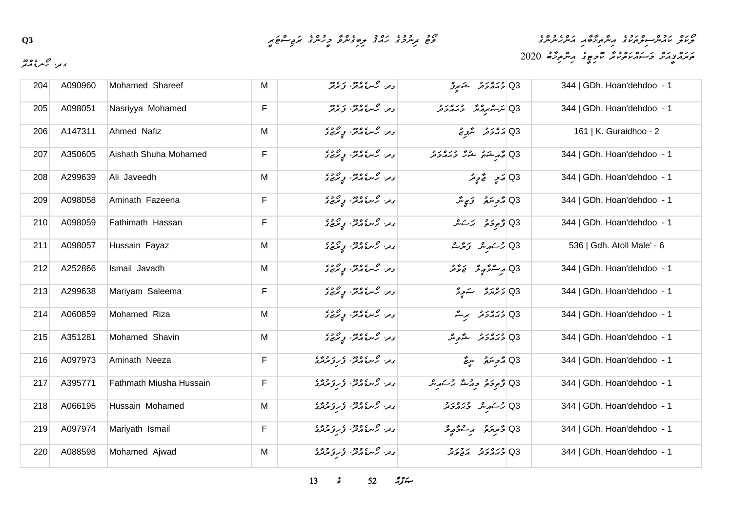*sCw7q7s5w7m< o<n9nOoAw7o< sCq;mAwBoEw7q<m; wBm;vB 2020<sup>, م</sup>وجدة المصرورة المجموعة المستورجة والم*جموعة والمجموعة والمجموعة والمجموعة والمجموعة والمجموعة والمجموعة

| 204 | A090960 | Mohamed Shareef         | M           | ا د مر اس و د د د د د د د د د                                 | Q3 <i>\$نەۋەقى</i> ش <i>ەيدۇ</i>                      | 344   GDh. Hoan'dehdoo - 1 |
|-----|---------|-------------------------|-------------|---------------------------------------------------------------|-------------------------------------------------------|----------------------------|
| 205 | A098051 | Nasriyya Mohamed        | $\mathsf F$ | دىن گەر 300 رىپەدە<br>دىن گەرى ھەر                            | Q3 <i>سَبِ مِهِ مَعْ مِهْ مِهَ مِهَ مِ</i>            | 344   GDh. Hoan'dehdoo - 1 |
| 206 | A147311 | Ahmed Nafiz             | M           | ړی ره ساره ده کړي د ده ده د                                   | Q3   كەش <sup>ى</sup> رىقى سى <i>گەن</i> ى            | 161   K. Guraidhoo - 2     |
| 207 | A350605 | Aishath Shuha Mohamed   | F           | رو. ر <i>گس کارون و بر</i> ی                                  | Q3 مەم خىر ئەرەر دىر دىر                              | 344   GDh. Hoan'dehdoo - 1 |
| 208 | A299639 | Ali Javeedh             | M           | دىن گەر ، مەدىن كومىيى د                                      | Q3 <i>جَرْمٍ</i> گَ <i>رِمِ</i> دً                    | 344   GDh. Hoan'dehdoo - 1 |
| 209 | A098058 | Aminath Fazeena         | $\mathsf F$ | ړی ره موځ ده ده ده ده د                                       | Q3 م <i>ۇجىنىڭ ق</i> ېرى <i>گ</i>                     | 344   GDh. Hoan'dehdoo - 1 |
| 210 | A098059 | Fathimath Hassan        | F           | ړی ره موځ وره ده ده ده د                                      | Q3 <i>وَّجِوحَةْ بَرَسَتْرُ</i>                       | 344   GDh. Hoan'dehdoo - 1 |
| 211 | A098057 | Hussain Fayaz           | M           | ړی ره موځ وره ده ده ده د                                      | Q3 كەسكەر <i>بىر تەنگە</i> شە                         | 536   Gdh. Atoll Male' - 6 |
| 212 | A252866 | Ismail Javadh           | M           | دىن كەس مەدەر بولىرى د                                        | Q3 م <i>ې</i> شۇم <i>ۇ قۇقر</i>                       | 344   GDh. Hoan'dehdoo - 1 |
| 213 | A299638 | Mariyam Saleema         | F           | ړی ره موځ ده ده ده ده د                                       | Q3  <i>5 بروڈ</i> س <i>کو</i> ڈ                       | 344   GDh. Hoan'dehdoo - 1 |
| 214 | A060859 | Mohamed Riza            | M           | ړی ره موځ ده ده ده ده د                                       | Q3 <i>وَيَهْوَوْتَرْ بِرِتَ</i> ّ                     | 344   GDh. Hoan'dehdoo - 1 |
| 215 | A351281 | Mohamed Shavin          | M           | ړی ره ساره ده کړي د ده ده د                                   | Q3 <i>دېمممر دی شوم</i> ر                             | 344   GDh. Hoan'dehdoo - 1 |
| 216 | A097973 | Aminath Neeza           | $\mathsf F$ | .<br>دىن گەرگەن ۋىرى <i>ر ب</i> وي                            | Q3 أ <i>مَّ مِ تَعَهُ</i> مِيعَ                       | 344   GDh. Hoan'dehdoo - 1 |
| 217 | A395771 | Fathmath Miusha Hussain | F           | دىر. مىسمە مەدەب ئەرىپ دىدى<br>دىن كىسمە مەنتى، ئۇرىق بىرىترى | Q3 <i>وُّجِودَة وِم</i> ُ شَدَّ بُرْسَهِ مَ <i>رْ</i> | 344   GDh. Hoan'dehdoo - 1 |
| 218 | A066195 | Hussain Mohamed         | M           | .<br>دىن گەرگەن ۋىرى <i>ر ب</i> وي                            | Q3 يُرْسَمب <sup>9</sup> وَيَرْدُونَّرْ               | 344   GDh. Hoan'dehdoo - 1 |
| 219 | A097974 | Mariyath Ismail         | F           | .<br>دىن گەنگەملىرى ئەرىرىدىن                                 | Q3 ك <i>ۈيىدى مەشۇم</i> ۇ                             | 344   GDh. Hoan'dehdoo - 1 |
| 220 | A088598 | Mohamed Ajwad           | M           | .<br>دىن گەرەمەت ۋىرى <i>ر بولى</i>                           | Q3 31013 2013                                         | 344   GDh. Hoan'dehdoo - 1 |

*r@w<sF7v5 .@C*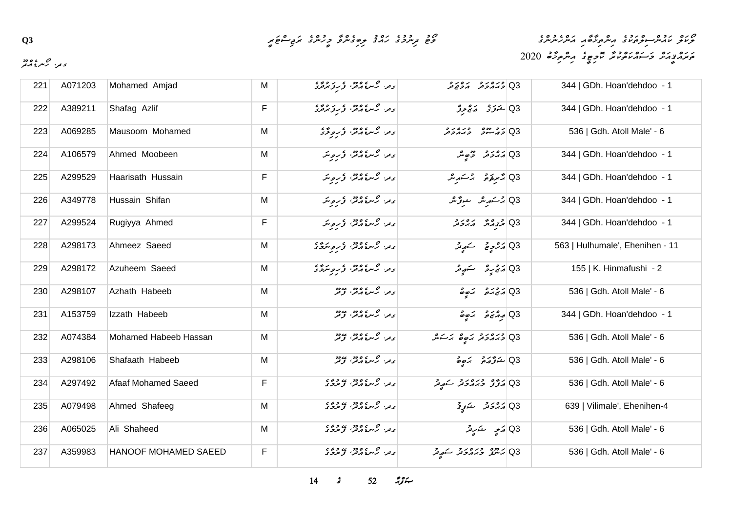*sCw7q7s5w7m< o<n9nOoAw7o< sCq;mAwBoEw7q<m; wBm;vB 2020<sup>, م</sup>وسوق المسجد التحقيق وسرمونية والم*جمع المسجد المسجد المسجد المسجد المسجد المسجد المسجد المسجد المسجد ال

| 221 | A071203 | Mohamed Amjad              | M | دىن گەس 200 كۈن دىرى                                                                                                                                                                                                             | Q3 <i>בגמכת הסיפ</i> ת                                                                            | 344   GDh. Hoan'dehdoo - 1      |
|-----|---------|----------------------------|---|----------------------------------------------------------------------------------------------------------------------------------------------------------------------------------------------------------------------------------|---------------------------------------------------------------------------------------------------|---------------------------------|
| 222 | A389211 | Shafag Azlif               | F | .<br>دىن گەرەمەت ۋىرى <i>ر بولى</i>                                                                                                                                                                                              | Q3  ڪوتر <i>5 ھيج ج</i> و                                                                         | 344   GDh. Hoan'dehdoo - 1      |
| 223 | A069285 | Mausoom Mohamed            | M | ئەس كەس كەن ئۇرى ئۇنج                                                                                                                                                                                                            | $22022$ $2720$                                                                                    | 536   Gdh. Atoll Male' - 6      |
| 224 | A106579 | Ahmed Moobeen              | M | دىن رىسكا ئۇن ئۇرىيەتكە                                                                                                                                                                                                          | Q3 <i>كەندى قى قى</i> ر                                                                           | 344   GDh. Hoan'dehdoo - 1      |
| 225 | A299529 | Haarisath Hussain          | F | دىن گەنگەنگەن ۋىرەپتى                                                                                                                                                                                                            | Q3 ئ <i>ىبدۇم ئىسكى</i> رى <i>ش</i>                                                               | 344   GDh. Hoan'dehdoo - 1      |
| 226 | A349778 | Hussain Shifan             | M | ى بىر بىرى دەھق ئۇرى <i>مەت</i> كە                                                                                                                                                                                               | Q3   ير سكر سورٌ مثر مصر                                                                          | 344   GDh. Hoan'dehdoo - 1      |
| 227 | A299524 | Rugiyya Ahmed              | F | دىن كەس 200 كى بىر بىكە                                                                                                                                                                                                          | Q3 <i>برت<sub>و</sub> مرگر مرکز در</i>                                                            | 344   GDh. Hoan'dehdoo - 1      |
| 228 | A298173 | Ahmeez Saeed               | M | ى قرار ئەرەپ ئەرەپ ئەرەپ ئىرى                                                                                                                                                                                                    | Q3 <i>مَرْدُجِ</i> مَ سَهِ مَرْ                                                                   | 563   Hulhumale', Ehenihen - 11 |
| 229 | A298172 | Azuheem Saeed              | M | دىن كەس ەەدەرە بەر بەرە                                                                                                                                                                                                          | Q3 كەنچ <i>يىر ئىن سكە</i> پەتر                                                                   | 155   K. Hinmafushi - 2         |
| 230 | A298107 | Azhath Habeeb              | M | ى قرار مى ھەر ئەرە                                                                                                                                                                                                               | $60 - 222$                                                                                        | 536   Gdh. Atoll Male' - 6      |
| 231 | A153759 | Izzath Habeeb              | M |                                                                                                                                                                                                                                  | $\frac{2}{3}$ $\frac{2}{3}$ $\frac{2}{3}$ $\frac{2}{3}$ $\frac{2}{3}$                             | 344   GDh. Hoan'dehdoo - 1      |
| 232 | A074384 | Mohamed Habeeb Hassan      | м | ى قىر كەس كە 32 يەرد                                                                                                                                                                                                             | Q3 <i>وَيَهُوَوَ يَهِ وَيَسْتَمَرُ</i>                                                            | 536   Gdh. Atoll Male' - 6      |
| 233 | A298106 | Shafaath Habeeb            | M | ا دور کرس ورو است دور<br>اولار کرس ورفر او قر                                                                                                                                                                                    | $\frac{2}{9}$ $\frac{2}{9}$ $\frac{2}{9}$ $\frac{2}{9}$ $\frac{2}{9}$ $\frac{2}{9}$ $\frac{2}{9}$ | 536   Gdh. Atoll Male' - 6      |
| 234 | A297492 | <b>Afaaf Mohamed Saeed</b> | F | دىن كەس مەدەب بەدەبە<br>دىن كەس مەدىن ك <i>ەس ج</i>                                                                                                                                                                              | Q3 <i>مَرْدٌوْ دْبَهْدْدَةْ</i> سَمِيةْر                                                          | 536   Gdh. Atoll Male' - 6      |
| 235 | A079498 | Ahmed Shafeeg              | M | دىن گەر ئەمەدە بەدە ئەرە<br>دىن گەس كەندىن كەندۈ ئ                                                                                                                                                                               | Q3 <i>كەنگە كىلى ئىقۇ</i> تۇ                                                                      | 639   Vilimale', Ehenihen-4     |
| 236 | A065025 | Ali Shaheed                | М | و در همی دوره در دره در در این در این در این در این در این در این در این در این در این در این در این در این در<br>در این در این در این در این در این در این در این در این در این در این در این در این در این در این در این در ای | Q3 <i>ھَ جِ</i> شَرِيْرُ                                                                          | 536   Gdh. Atoll Male' - 6      |
| 237 | A359983 | HANOOF MOHAMED SAEED       | F | ر من ره ده ده ده ده در د                                                                                                                                                                                                         | Q3 برميو <i>محمد حساب</i> قر                                                                      | 536   Gdh. Atoll Male' - 6      |

*r@w<sF7v5 .@C*

 $14$  *s* 52  $2.3$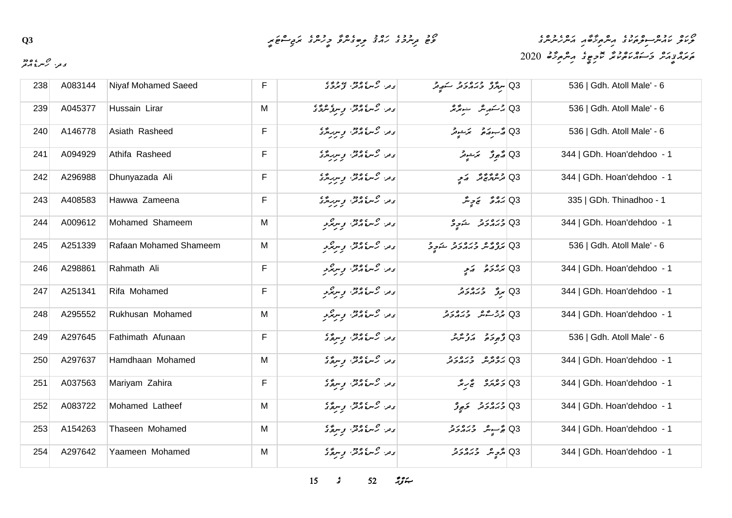*sCw7q7s5w7m< o<n9nOoAw7o< sCq;mAwBoEw7q<m; wBm;vB 2020<sup>, م</sup>وجدة المصرورة المجموعة المستورجة والم*جموعة والمجموعة والمجموعة والمجموعة والمجموعة والمجموعة والمجموعة

| 238 | A083144 | <b>Niyaf Mohamed Saeed</b> | F            | دىن گەستەمەت ئەجەدى<br>دىن گەستەمەت ۋىلەد د | Q3 سِرْدٌ دَيَرْدَدَ سَهِيْرٌ                 | 536   Gdh. Atoll Male' - 6 |
|-----|---------|----------------------------|--------------|---------------------------------------------|-----------------------------------------------|----------------------------|
| 239 | A045377 | Hussain Lirar              | M            | رىر. ئۇس مەدەبە بوسۇسىدى                    | Q3   جرشر منب <i>وتر بن</i><br>منابع          | 536   Gdh. Atoll Male' - 6 |
| 240 | A146778 | Asiath Rasheed             | $\mathsf F$  | دىن كەس كەن بولىرىدىگە                      | Q3 <i>مُنْ بِيَرْمَةً مَنْ بِيُرْمِ</i> رْ    | 536   Gdh. Atoll Male' - 6 |
| 241 | A094929 | Athifa Rasheed             | F            | ىلىن كەس ھەق بەس كەن                        | Q3 م <i>ُنَّهُوِدٌ</i> - مَرْشُوِ <i>نْدُ</i> | 344   GDh. Hoan'dehdoo - 1 |
| 242 | A296988 | Dhunyazada Ali             | $\mathsf{F}$ | .<br>دىن گەن مەن ئۇس بەر                    | Q3 ت <i>ر شریح تر م</i> َ پر                  | 344   GDh. Hoan'dehdoo - 1 |
| 243 | A408583 | Hawwa Zameena              | $\mathsf F$  | ىمە كەركەت ۋەرىر                            | Q3 <i>يَدْهُمَّ</i> بِحَ <i>جِي</i> مَّر      | 335   GDh. Thinadhoo - 1   |
| 244 | A009612 | Mohamed Shameem            | M            |                                             | Q3  <i>وْبَهْدُوَمْ حْوِوْ</i>                | 344   GDh. Hoan'dehdoo - 1 |
| 245 | A251339 | Rafaan Mohamed Shameem     | M            | دىن كەسكەرگەر بوسرىگەنىي                    | Q3 برەۋە دىرەرد خوچ                           | 536   Gdh. Atoll Male' - 6 |
| 246 | A298861 | Rahmath Ali                | $\mathsf F$  | ىمىن كەنتكەن ۋىنىڭرى                        | Q3 <i>بَرْدْدَةْ</i> كَمَعِ                   | 344   GDh. Hoan'dehdoo - 1 |
| 247 | A251341 | Rifa Mohamed               | F            | ىلىن كەسكەن ئۇسىتىل                         | Q3 بر <i>وَّ ويم ودو</i>                      | 344   GDh. Hoan'dehdoo - 1 |
| 248 | A295552 | Rukhusan Mohamed           | M            | ى قرار ھى ئام قرار قرار بىرىگى ق            | Q3 برزشهر وبرورو                              | 344   GDh. Hoan'dehdoo - 1 |
| 249 | A297645 | Fathimath Afunaan          | $\mathsf F$  | .<br>دىن رىس دەن رىس دى                     | Q3 <i>و څو خو مو مرگر مرگر</i>                | 536   Gdh. Atoll Male' - 6 |
| 250 | A297637 | Hamdhaan Mohamed           | M            | ىمەر كەر ئەھمىر كۆرگەن                      | Q3 كەۋش <i>دىنەدى</i> ر                       | 344   GDh. Hoan'dehdoo - 1 |
| 251 | A037563 | Mariyam Zahira             | F            | ى قرار ئەرەپ بۇ ئەرەپ كە                    | Q3 <i>كَرْ بَرْدَدْ</i> جِّ سِتَّر            | 344   GDh. Hoan'dehdoo - 1 |
| 252 | A083722 | Mohamed Latheef            | M            | ى تىر ، گەسكەرگەر ، توسرچە ئ                | Q3  <i>وټرونو څو</i> و                        | 344   GDh. Hoan'dehdoo - 1 |
| 253 | A154263 | Thaseen Mohamed            | M            | دىن كەس كەن بوسرىمى                         | Q3 يۇسومى <i>ر دېمم</i> ۇتر                   | 344   GDh. Hoan'dehdoo - 1 |
| 254 | A297642 | Yaameen Mohamed            | M            | دىن كەس كەن بوسر <i>ۇ</i> ئ                 | Q3 گوچ می <i>می دو د</i> ر                    | 344   GDh. Hoan'dehdoo - 1 |

 $15$  *s*  $52$  *n***<sub>i</sub>** *n***<sub>i</sub>**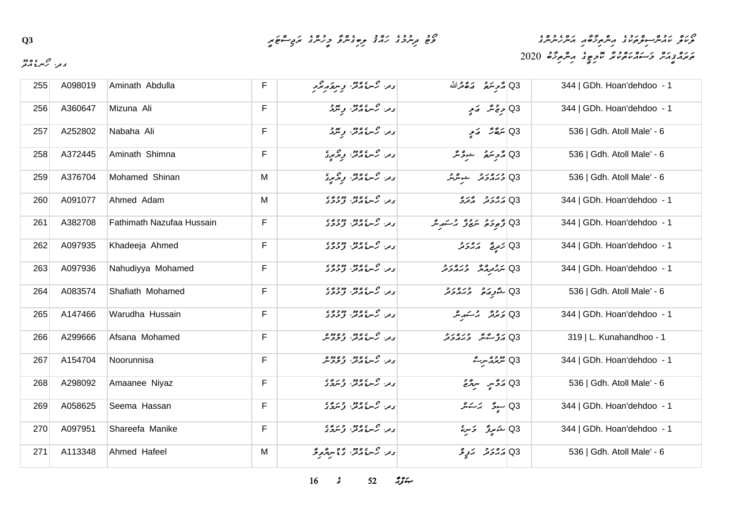*sCw7q7s5w7m< o<n9nOoAw7o< sCq;mAwBoEw7q<m; wBm;vB* م من المسجد المسجد المسجد المسجد المسجد العام 2020<br>مسجد المسجد المسجد المسجد المسجد المسجد المسجد المسجد المسجد ال

| 255 | A098019 | Aminath Abdulla           | F           | ىلىن ئۇسكەم ئۇن بوسرىم بولمبر ئولمبر                                   | Q3 <mark>تَرْحِ سَرَة مَ صَ</mark> قْرَاللَّه | 344   GDh. Hoan'dehdoo - 1 |
|-----|---------|---------------------------|-------------|------------------------------------------------------------------------|-----------------------------------------------|----------------------------|
| 256 | A360647 | Mizuna Ali                | F           | ړیں گرس وود الدور                                                      | Q3 <i>جي پڻھ پر کي</i>                        | 344   GDh. Hoan'dehdoo - 1 |
| 257 | A252802 | Nabaha Ali                | F           | ى قىرا كەس كەردىن كۆرلىرى ئ                                            | Q3 سَمَ <i>ةً - مَ</i> حِ                     | 536   Gdh. Atoll Male' - 6 |
| 258 | A372445 | Aminath Shimna            | F           | ى قرار ھى مەم ئۇنجار ئاھرىم ئ                                          | Q3 <i>مُّجِسَعُ</i> شَرَحْتُمُ                | 536   Gdh. Atoll Male' - 6 |
| 259 | A376704 | Mohamed Shinan            | M           | ى تىر، كەس كەنتى، تورىم يى                                             | $O3$ د بر بر د بر شو بگریگر                   | 536   Gdh. Atoll Male' - 6 |
| 260 | A091077 | Ahmed Adam                | M           | ړين کې ده وروده د ده وروده کې د کال کړي.<br>د تعريب کرسې کړي او لورو ک | Q3 <i>كەبۇخۇ گەنگ</i> ۇ                       | 344   GDh. Hoan'dehdoo - 1 |
| 261 | A382708 | Fathimath Nazufaa Hussain | F           | ړی ده. ده دوه ده ده<br>ډېر کرس کړې تر لرون                             | Q3 <i>وُجوحَةَ مَيْنَ وُسُمَيْرِ</i>          | 344   GDh. Hoan'dehdoo - 1 |
| 262 | A097935 | Khadeeja Ahmed            | $\mathsf F$ | ړی ري وه دوه ده<br>ډین ريسون ولرون                                     | Q3 كَتَمِيعٌ      مُكْرَكَ مُرْ               | 344   GDh. Hoan'dehdoo - 1 |
| 263 | A097936 | Nahudiyya Mohamed         | F           | ومرکب مرکب و دوم و دوم<br>ومرکب مرکب و دوم                             | Q3 <i>سَرُ توره مَدَّ حَدَ مَدَوَ تَرَ</i>    | 344   GDh. Hoan'dehdoo - 1 |
| 264 | A083574 | Shafiath Mohamed          | F           | ومرکب مرکب و دوم و دوم<br>ومرکب مرکب و دوم                             | Q3 ش <i>ۇرۇمۇ جەم</i> جىر                     | 536   Gdh. Atoll Male' - 6 |
| 265 | A147466 | Warudha Hussain           | $\mathsf F$ | ړين کې ده وروده د ده وروده کې د کال کړي.<br>د تعريب کرسې کړي او لورو ک | Q3 كەترى <i>گە بۇستىرى</i> گە                 | 344   GDh. Hoan'dehdoo - 1 |
| 266 | A299666 | Afsana Mohamed            | $\mathsf F$ | ړین کرس ورو وه وه وه وه و                                              | Q3 كەۋشە ھەر دىر دىر                          | 319   L. Kunahandhoo - 1   |
| 267 | A154704 | Noorunnisa                | F           | ړين کرس ده ده ده وه ده<br>ډين کرس ديمن وخومش                           | Q3 میتر پر میٹر سر کے ا                       | 344   GDh. Hoan'dehdoo - 1 |
| 268 | A298092 | Amaanee Niyaz             | F           | ىلىن كەسكەم ئۇسىرە ئ                                                   | Q3   رَدُّ سٍ سِرَدَّ جَ                      | 536   Gdh. Atoll Male' - 6 |
| 269 | A058625 | Seema Hassan              | $\mathsf F$ | ړین کرس وره دره دره د                                                  | Q3 س <sub>و</sub> ڈ برسکھ                     | 344   GDh. Hoan'dehdoo - 1 |
| 270 | A097951 | Shareefa Manike           | $\mathsf F$ | ړین کې په ده ده دره د                                                  | Q3 خەمرى <i>گە كەس</i> رى <i>گ</i> ا          | 344   GDh. Hoan'dehdoo - 1 |
| 271 | A113348 | Ahmed Hafeel              | M           | ى مەسلەم بىر ئۇي ئىر ئىس                                               | Q3   <i>مَدْدَوَدْ بَهْدٍ وَ</i>              | 536   Gdh. Atoll Male' - 6 |

*r@w<sF7v5 .@C*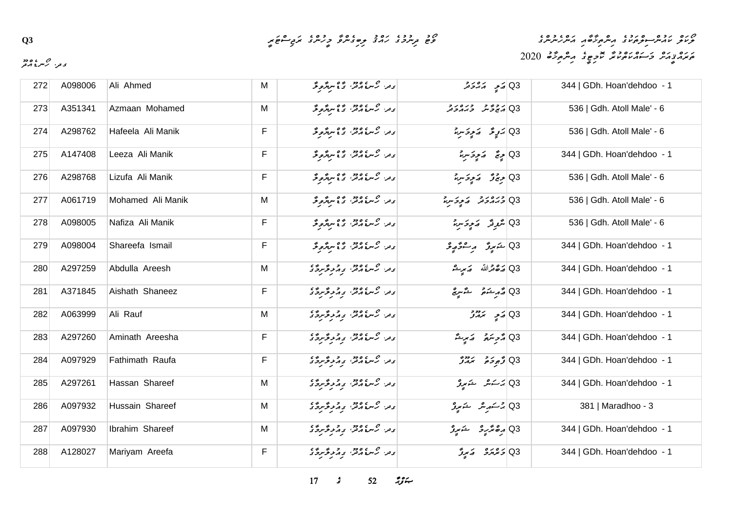*sCw7q7s5w7m< o<n9nOoAw7o< sCq;mAwBoEw7q<m; wBm;vB 2020<sup>, م</sup>وجدة المصرورة المجموعة المستورجة والم*جموعة والمجموعة والمجموعة والمجموعة والمجموعة والمجموعة والمجموعة

| 272 | A098006 | Ali Ahmed         | M | دىن كەس 200 كىڭ مېرىگرىمىگە                                          |                                                                                                                         | 344   GDh. Hoan'dehdoo - 1 |
|-----|---------|-------------------|---|----------------------------------------------------------------------|-------------------------------------------------------------------------------------------------------------------------|----------------------------|
| 273 | A351341 | Azmaan Mohamed    | M | ىلىن كەسلەملىرى ئاسلام ئ                                             | Q3 كەنج ئەر ئەز ئەر ئەر ئ                                                                                               | 536   Gdh. Atoll Male' - 6 |
| 274 | A298762 | Hafeela Ali Manik | F | ومن كساءه وه وه وسره و محمد المستقرم المحمد                          | لايا ئەرىپى ھەم ئەرىكى ئ $\vert$ 03                                                                                     | 536   Gdh. Atoll Male' - 6 |
| 275 | A147408 | Leeza Ali Manik   | F | ى مەس ئەھمەت ئەس ئەس ئى                                              | Q3 حِيَّةٌ صَحِيحَ سِرْءٌ                                                                                               | 344   GDh. Hoan'dehdoo - 1 |
| 276 | A298768 | Lizufa Ali Manik  | F | ى تەرەپ ئەھمەت ئەھمەت ئىچە ئىلگەن ئىس                                | Q3 <i>حِينْ دَ جِي</i> حَسِيْدُ                                                                                         | 536   Gdh. Atoll Male' - 6 |
| 277 | A061719 | Mohamed Ali Manik | M | ىلىن كەسلەملىرى ئۇ ئاسلام ئ                                          | Q3  <i>وُبَرُهُ دَيْرٍ <sub>ه</sub>ُ بِ</i> رِدَ سِرَءُ                                                                 | 536   Gdh. Atoll Male' - 6 |
| 278 | A098005 | Nafiza Ali Manik  | F | رى ئەرەبىرى ئۇسترەتى                                                 | Q3 <i>سُّعِيةٌ مَجِ</i> حَسِينٌ                                                                                         | 536   Gdh. Atoll Male' - 6 |
| 279 | A098004 | Shareefa Ismail   | F | ى مەرەبىيە ئۇي ئىس ئۇي ئىس ئۇ                                        | Q3 خىرى <i>ر مەۋرى</i> ر                                                                                                | 344   GDh. Hoan'dehdoo - 1 |
| 280 | A297259 | Abdulla Areesh    | M | .<br>دىن گەن مەن بەم ئوم ئوم ئور                                     | Q3 كەڭ قىرىشە                                                                                                           | 344   GDh. Hoan'dehdoo - 1 |
| 281 | A371845 | Aishath Shaneez   | F | ىلىن ئەسكەن بەر ئەر ئەرى                                             | Q3 <i>مُ</i> مِرْ مُحَمَّدٍ مُحَسِّيَّةٍ                                                                                | 344   GDh. Hoan'dehdoo - 1 |
| 282 | A063999 | Ali Rauf          | M | .<br>دىر گەن مەدىر دېمبۇترى                                          | Q3 <i>حَمِي بَرْدُوْ</i>                                                                                                | 344   GDh. Hoan'dehdoo - 1 |
| 283 | A297260 | Aminath Areesha   | F | ىلا ئۇسقەرلىرى بەر ئەس ئەس                                           | Q3   مَرْحِ سَمَعَ = مَسِيحَة                                                                                           | 344   GDh. Hoan'dehdoo - 1 |
| 284 | A097929 | Fathimath Raufa   | F | رىر. ر <i>ىس ەەھەر جەم بەترى</i><br>رىر. رىس <i>مەن بوم ب</i> ۇترىرى | Q3 تَ <i>مِعِ حَمَّةٍ</i> مَس <i>مَّةٍ</i>                                                                              | 344   GDh. Hoan'dehdoo - 1 |
| 285 | A297261 | Hassan Shareef    | M | دىر كەس ھەر جەھ ئوتۇرگە                                              | Q3   يَرْسَمْرْ مُسَمَّرِيْرْ                                                                                           | 344   GDh. Hoan'dehdoo - 1 |
| 286 | A097932 | Hussain Shareef   | M | ىلا رىما ئەمەر بەر ئەرگەر                                            | Q3 كەسكەر شەھرىرى كەنتىر كىلىن بىر ئىكەنتىر بىر ئىكەنتىر كىلەت كەنتىر كىلەت كىلەت كىلەت كىلەت كىلەت كىلەت كىلە<br>مەنبە | 381   Maradhoo - 3         |
| 287 | A097930 | Ibrahim Shareef   | M | ى ئەرەپ ئەھمەر ئەھرىمى ئەرەپ كەندە                                   | Q3 <i>برھنڙپ</i> و شمېرو                                                                                                | 344   GDh. Hoan'dehdoo - 1 |
| 288 | A128027 | Mariyam Areefa    | F | دىن گەرەم دەرە بەر ئەرەپ<br>دىن گەن ئەرىئە بەر ئەرىرى                | Q3 <i>كا بروگر مك</i> برگر                                                                                              | 344   GDh. Hoan'dehdoo - 1 |

*r@w<sF7v5 .@C*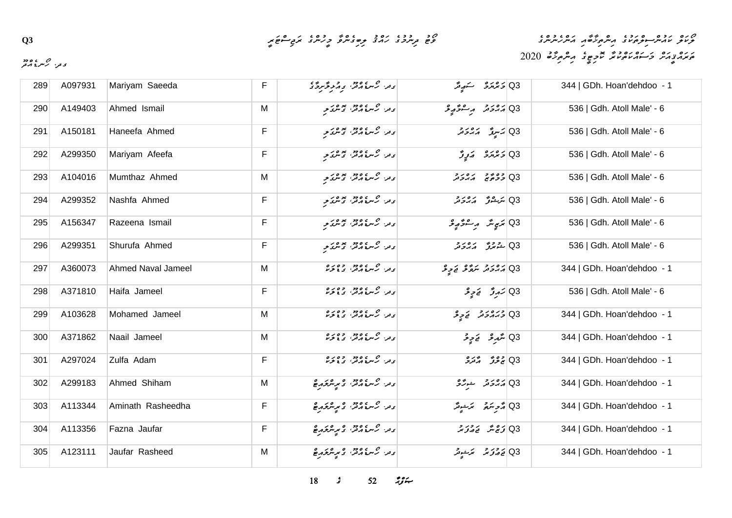*sCw7q7s5w7m< o<n9nOoAw7o< sCq;mAwBoEw7q<m; wBm;vB* م من المسجد المسجد المسجد المسجد المسجد العام 2020<br>مسجد المسجد المسجد المسجد المسجد المسجد المسجد المسجد المسجد ال

| 289 | A097931 | Mariyam Saeeda            | F | دىن رىسكەمۇش بەم بۇ ئويرى ئا                                                                         | Q3 كەنگەنگە سى <i>م بەنگ</i> ە                                                                                                                                                                                                  | 344   GDh. Hoan'dehdoo - 1 |
|-----|---------|---------------------------|---|------------------------------------------------------------------------------------------------------|---------------------------------------------------------------------------------------------------------------------------------------------------------------------------------------------------------------------------------|----------------------------|
| 290 | A149403 | Ahmed Ismail              | M | المحمد المحمد المحمد المحمد المحمد المحمد المحمد المحمد المحمد المحمد المحمد المحمد المحمد المحمد ال | Q3   <i>مادة مادة مادة و</i> قو                                                                                                                                                                                                 | 536   Gdh. Atoll Male' - 6 |
| 291 | A150181 | Haneefa Ahmed             | F | ى قرار ھى مەھمەت ئەسىم ئور                                                                           | Q3 كەس <i>ىدۇ مەمەكە</i> تر                                                                                                                                                                                                     | 536   Gdh. Atoll Male' - 6 |
| 292 | A299350 | Mariyam Afeefa            | F | دىن كەس دەھ بىرەر<br>دىن كەس مەتىر، دىشمەم                                                           | Q3 <i>وَ بُرْدَدْ   مَ وِ رَّ</i>                                                                                                                                                                                               | 536   Gdh. Atoll Male' - 6 |
| 293 | A104016 | Mumthaz Ahmed             | M | ى قرار ھى ئام ھەر بىر ھەر ب                                                                          | Q3 دوم پر پرور د                                                                                                                                                                                                                | 536   Gdh. Atoll Male' - 6 |
| 294 | A299352 | Nashfa Ahmed              | F | دىن گەر دەھرىم دەرىج                                                                                 |                                                                                                                                                                                                                                 | 536   Gdh. Atoll Male' - 6 |
| 295 | A156347 | Razeena Ismail            | F | رىن كەرەم بىرەرىدە ب                                                                                 | Q3 <i>ىكتېنگە مەسىۋەپ</i> ۇ                                                                                                                                                                                                     | 536   Gdh. Atoll Male' - 6 |
| 296 | A299351 | Shurufa Ahmed             | F | ى قرار ھى ئام ھەر بىر ھەر ب                                                                          | Q3 شىر <i>ۇ مەدە</i> تر                                                                                                                                                                                                         | 536   Gdh. Atoll Male' - 6 |
| 297 | A360073 | <b>Ahmed Naval Jameel</b> | M | ى تىر كەس ئەھ بىر بول تەرەپ                                                                          | Q3 <i>جَهْدُونْدْ سَعَّوْ فَإِج</i> وْ                                                                                                                                                                                          | 344   GDh. Hoan'dehdoo - 1 |
| 298 | A371810 | Haifa Jameel              | F | ړی ره ده ده ده ده.<br>دین رسون دی دره                                                                | Q3  ر <i>َ<sub>م</sub>وڙ ڇَ ڇ</i> و                                                                                                                                                                                             | 536   Gdh. Atoll Male' - 6 |
| 299 | A103628 | Mohamed Jameel            | M | ى مەس ئەھەر مەرە                                                                                     | Q3 <i>وُبَرُوْدَوْ</i> کَے <i>وِ</i> وْ                                                                                                                                                                                         | 344   GDh. Hoan'dehdoo - 1 |
| 300 | A371862 | Naail Jameel              | M | ړیں گرس ورو وه ره<br>دین گرس ورتعن د ع څرم                                                           | Q3 <i>سُمب</i> و ت <sub>ح</sub> وِمُ                                                                                                                                                                                            | 344   GDh. Hoan'dehdoo - 1 |
| 301 | A297024 | Zulfa Adam                | F | ړیں گرس وور وه ره<br>دین گرس ورتن د عامره                                                            | Q3 ج ع تر محمد حرب المحمد السير حرب السير حرب السير السير السير السير السير السير السير السير السير السير الس<br>مستقبل السير السير السير السير السير السير السير السير السير السير السير السير السير السير السير السير السير ا | 344   GDh. Hoan'dehdoo - 1 |
| 302 | A299183 | Ahmed Shiham              | M | ومن كرسوماتر، ومرشر مع                                                                               | Q3   <i>كەنگەنگە</i> ئىب <i>رىگ</i> ۇ                                                                                                                                                                                           | 344   GDh. Hoan'dehdoo - 1 |
| 303 | A113344 | Aminath Rasheedha         | F | ىمىن كەس مەدەر ئەس مەدەر ئ                                                                           | 03 أ <i>مُّ حِ سَع</i> ْمٍ مَسْتَبِع <i>ُدَ</i> ّ                                                                                                                                                                               | 344   GDh. Hoan'dehdoo - 1 |
| 304 | A113356 | Fazna Jaufar              | F | ى تىر كەس بۇرى ئە ئوسرى ئەر                                                                          | Q3 كَرْجْ مَدْ صَ <i>مْرُوْ مْرْ</i>                                                                                                                                                                                            | 344   GDh. Hoan'dehdoo - 1 |
| 305 | A123111 | Jaufar Rasheed            | M | وترا الرسوماني المحافر والمحمدة                                                                      | Q3 <i>فَهَوْكُمْ مَ</i> حَسِيْرَ                                                                                                                                                                                                | 344   GDh. Hoan'dehdoo - 1 |

*r@w<sF7v5 .@C*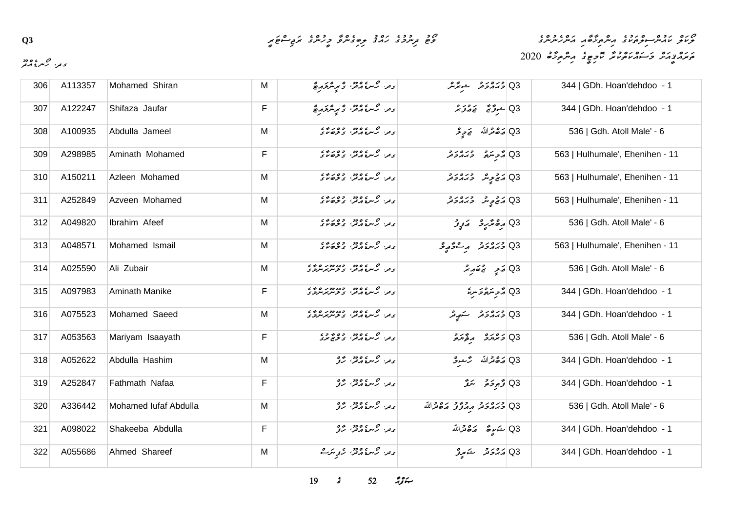*sCw7q7s5w7m< o<n9nOoAw7o< sCq;mAwBoEw7q<m; wBm;vB 2020<sup>, م</sup>وجدة المصرورة المجموعة المستورجة والم*جموعة والمجموعة والمجموعة والمجموعة والمجموعة والمجموعة والمجموعة

| 306 | A113357 | Mohamed Shiran        | M           | ىلىن كىسكەن ئۇ ئېرىكرىم ھ                                            | Q3  <i>ۇبرۇدۇ خېڭى</i> ر               | 344   GDh. Hoan'dehdoo - 1      |
|-----|---------|-----------------------|-------------|----------------------------------------------------------------------|----------------------------------------|---------------------------------|
| 307 | A122247 | Shifaza Jaufar        | F           | ومن كرسوماتر، ومرتفقها في                                            | Q3 حو <i>وٌجٌ جَهُوَ بَرْ</i>          | 344   GDh. Hoan'dehdoo - 1      |
| 308 | A100935 | Abdulla Jameel        | M           | ړین کرس وره ده ده ده.<br>دې کرس درې                                  | Q3  رَحْمَرْاللّه بَحْرِكْر            | 536   Gdh. Atoll Male' - 6      |
| 309 | A298985 | Aminath Mohamed       | F           | رس کرس ورو وه ده د<br>دین کرس در ترکیبر در د                         | Q3 أ <i>مَّ جِسَمَّة حَمَدَّ مَدَّ</i> | 563   Hulhumale', Ehenihen - 11 |
| 310 | A150211 | Azleen Mohamed        | M           | ومر ده ده ده ده ده ده ده د<br>ومن گرس ارتعابی دخوه بر د              | Q3  كەنج يەرقە ئەم 1975 كىلىرى بىر     | 563   Hulhumale', Ehenihen - 11 |
| 311 | A252849 | Azveen Mohamed        | M           | رور، کرس ورو وہ دورہ<br>رور، کرس ورور، روحان                         | Q3  كاتجمومتر المحكمة كالدونسر         | 563   Hulhumale', Ehenihen - 11 |
| 312 | A049820 | Ibrahim Afeef         | M           | ړین کرس وره د ورځ ورځ د کال                                          | Q3 ر <i>ەنگەر ئەزۇ</i>                 | 536   Gdh. Atoll Male' - 6      |
| 313 | A048571 | Mohamed Ismail        | м           | رس کرس ورو وہ دورہ<br>رس کرس درس روحان                               | Q3 <i>جەممەدىر</i> م <i>ىشۇم</i> ۇ     | 563   Hulhumale', Ehenihen - 11 |
| 314 | A025590 | Ali Zubair            | M           | د در هم ده ده ده ده ده ده ده د<br>دو کس در در د                      | Q3 <i>مَجِ بِحَقَدِيمٌ</i>             | 536   Gdh. Atoll Male' - 6      |
| 315 | A097983 | Aminath Manike        | F           | د تر ده ده ده ده ده ده ده و ده و د<br>د تر کرس د تر تر د کرس تر تر د | Q3   مَّەحِسَمَةْ حَسِرْتَم            | 344   GDh. Hoan'dehdoo - 1      |
| 316 | A075523 | Mohamed Saeed         | M           | وتر کرس وہ ور ور ور ور<br>وتر کرس دیں وحس پرس                        | Q3 <i>\$22,23 سَنْهِيمْ</i>            | 344   GDh. Hoan'dehdoo - 1      |
| 317 | A053563 | Mariyam Isaayath      | F           | ړی که ده ده وه ده ده<br>ډین که ده ډین د څخه مرد                      | Q3 <i>كا بحر برقى مى بارقى</i> بىر     | 536   Gdh. Atoll Male' - 6      |
| 318 | A052622 | Abdulla Hashim        | M           | ى قىر ، كەسكە 25 . جۇ ج                                              |                                        | 344   GDh. Hoan'dehdoo - 1      |
| 319 | A252847 | Fathmath Nafaa        | F           | ى قىز كەس ئەھ بۇرە بۇ قاتى                                           | Q3 <i>وُّجِوَدَةُ</i> سَمَدٌ           | 344   GDh. Hoan'dehdoo - 1      |
| 320 | A336442 | Mohamed lufaf Abdulla | M           | ى قىز كەس ئەھ بۇرە بىرى                                              | Q3 <i>وبروبر محدود م</i> صغرالله       | 536   Gdh. Atoll Male' - 6      |
| 321 | A098022 | Shakeeba Abdulla      | $\mathsf F$ | ى قىر، كەنتىق كەنتى، كەنتى                                           | Q3 خَمَدٍ صَّ صَرَّدَة اللَّه          | 344   GDh. Hoan'dehdoo - 1      |
| 322 | A055686 | Ahmed Shareef         | M           | ى قرار كەس ئەرەتتى كەي ئىرىسى                                        | Q3   <i>كەنگەڭر</i> خ <i>ەير</i> ۇ     | 344   GDh. Hoan'dehdoo - 1      |

*r@w<sF7v5 .@C*

*19 s* 52 *if*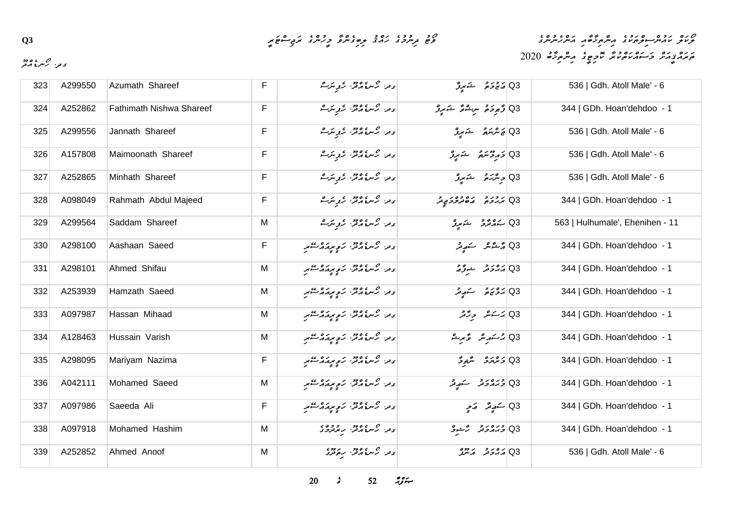*sCw7q7s5w7m< o<n9nOoAw7o< sCq;mAwBoEw7q<m; wBm;vB 2020<sup>, م</sup>وجدة المصرورة المجموعة المستورجة والم*جموعة والمجموعة والمجموعة والمجموعة والمجموعة والمجموعة والمجموعة

| 323 | A299550 | Azumath Shareef                 | F           | <sub>م</sub> امر: اگر سرع مرفقر: اگر سرکت ا                  | Q3 <i>مَەينى دَمَّة</i> شَمَىرِتْر       | 536   Gdh. Atoll Male' - 6      |
|-----|---------|---------------------------------|-------------|--------------------------------------------------------------|------------------------------------------|---------------------------------|
| 324 | A252862 | <b>Fathimath Nishwa Shareef</b> | F           |                                                              | Q3 <i>وَّجِودَةُ</i> سِنْدْةُ سَمَعِرْدُ | 344   GDh. Hoan'dehdoo - 1      |
| 325 | A299556 | Jannath Shareef                 | F           | ى قىر، كەسكەم قىلى كىلى ئوسكەت كىلى                          | Q3 كۆپىتى <i>گە</i> شەمب <i>و</i> گە     | 536   Gdh. Atoll Male' - 6      |
| 326 | A157808 | Maimoonath Shareef              | F           | ى مەر بۇ ساھ ھەر ئەس ئىر ئىرگ                                | Q3 <i>كَەرتى مىتى ھىمب</i> ۇ             | 536   Gdh. Atoll Male' - 6      |
| 327 | A252865 | Minhath Shareef                 | F           | ى مەر كەس كەنتى، كەبە ئىرىكە                                 | Q3 <i>جِـ بَرْبَہُ ۖ سُنَبِيرُ</i>       | 536   Gdh. Atoll Male' - 6      |
| 328 | A098049 | Rahmath Abdul Majeed            | $\mathsf F$ | ى مەر بۇ ساھ ھەر ئەس ئىر ئىرگ                                | Q3 <i>بزرد دەوەد ب</i> ور                | 344   GDh. Hoan'dehdoo - 1      |
| 329 | A299564 | Saddam Shareef                  | M           | ى قىرا كەسكەم 25. كەبە ئۇ ئىرىگە                             | Q3 جۇمۇر ئىمب <i>و</i> گە                | 563   Hulhumale', Ehenihen - 11 |
| 330 | A298100 | Aashaan Saeed                   | F           | ىمى ئىس مەن ئىم بىر مەن ئىمى                                 | Q3 گەش <i>گىل سەمبەت</i> ر               | 344   GDh. Hoan'dehdoo - 1      |
| 331 | A298101 | Ahmed Shifau                    | M           | ىمىن كەس مەق كەم بەر مەسىر                                   | Q3 <i>مَدْدَوْرٌ</i> سِوَرُمُ            | 344   GDh. Hoan'dehdoo - 1      |
| 332 | A253939 | Hamzath Saeed                   | M           | ىمى ئىس مەق ئېرىمەر ئىسىم                                    | Q3 <i>بَدْوْيَ ۾</i> سَم <i>وِيٽر</i>    | 344   GDh. Hoan'dehdoo - 1      |
| 333 | A097987 | Hassan Mihaad                   | M           | ى مەس ئەمەدەر كەيدىدە كەن                                    | Q3  پرسته <sub>حب</sub> رته              | 344   GDh. Hoan'dehdoo - 1      |
| 334 | A128463 | Hussain Varish                  | M           | دىن كەس 2000 كى بىر مەھكىسى<br>دىن كەس مەھرى كىي بىر مەھكىسى | Q3   جُرسَمَ مِر مُحَ مِر مِشْرِ         | 344   GDh. Hoan'dehdoo - 1      |
| 335 | A298095 | Mariyam Nazima                  | F           | ىمى ئىس مەن ئېرىمەر ئەس                                      | Q3 <i>وَ بُرْمَرْدُ مُّهْدِ</i> دُّ      | 344   GDh. Hoan'dehdoo - 1      |
| 336 | A042111 | Mohamed Saeed                   | M           | رو. ر <i>گس و وجود کے برمارہ سیم</i> ر                       | Q3 <i>\$22.2 مكونى</i>                   | 344   GDh. Hoan'dehdoo - 1      |
| 337 | A097986 | Saeeda Ali                      | F           | رو. حسن مع دور کرد ده در در د                                | Q3 س <i>تمږمڈ مَن</i> حٍ                 | 344   GDh. Hoan'dehdoo - 1      |
| 338 | A097918 | Mohamed Hashim                  | M           | دىن كەس 200 بەيرىدى.<br>دىن كەس 200 بەيرى                    | Q3 <i>وَيَدْوُ</i> وَتَرَ كَسَبُوتَرَ    | 344   GDh. Hoan'dehdoo - 1      |
| 339 | A252852 | Ahmed Anoof                     | M           | دىن گەس 290 رودە<br>دىن گەس كەنتى، رەۋىرى                    | Q3 كەبرى <i>قىرىقلا</i>                  | 536   Gdh. Atoll Male' - 6      |

 $20$  *s* 52 *n***<sub>3</sub>** *n***<sub>3</sub>** *n***<sub>1</sub>**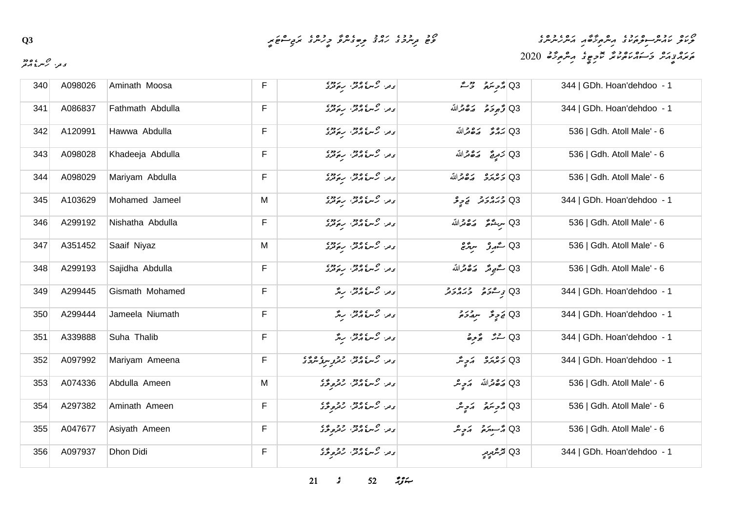*sCw7q7s5w7m< o<n9nOoAw7o< sCq;mAwBoEw7q<m; wBm;vB* م من المرة المرة المرة المرجع المرجع المرجع في 2020<br>مجم*د المريض المرجع المرجع المرجع المرجع المراجع المراجع الم*رجع

| 340 | A098026 | Aminath Moosa    | F           |                                                                  | Q3 أ <i>مَّة بِهُمْ</i> تَرْتَسَمُ             | 344   GDh. Hoan'dehdoo - 1 |
|-----|---------|------------------|-------------|------------------------------------------------------------------|------------------------------------------------|----------------------------|
| 341 | A086837 | Fathmath Abdulla | F           | دىن گەرى 200 روم.<br>دىن گەرى بەلگەن بەلگەندى                    | Q3 وَّجِوَة صَدَّاللَّهُ                       | 344   GDh. Hoan'dehdoo - 1 |
| 342 | A120991 | Hawwa Abdulla    | F           | دىن گەر 200 روم.<br>دىن گەر كەندىن رەمى                          | Q3 <i>بَدْهُ فَي هُ</i> قْدَاللَّه             | 536   Gdh. Atoll Male' - 6 |
| 343 | A098028 | Khadeeja Abdulla | F           | دىن كەس 200 رودە                                                 | Q3 كَتَعْرِيَّة     مَدَّةْ مَدَّاللَّه        | 536   Gdh. Atoll Male' - 6 |
| 344 | A098029 | Mariyam Abdulla  | F           | ر دور، گرس و دور، بروده د                                        | $Q3$ $\approx$ $\approx$ $\approx$ $Q3$        | 536   Gdh. Atoll Male' - 6 |
| 345 | A103629 | Mohamed Jameel   | M           | ا د مراجع د ده در دود .<br>ار مراجع د مرکز از مرکز د             | Q3  <i>وْبَہْدُوَمْ فَإِج</i> ْرَ              | 344   GDh. Hoan'dehdoo - 1 |
| 346 | A299192 | Nishatha Abdulla | F           | دىن گەر 200 روم.<br>دىن گەر قاھاتى بەھ                           | Q3 سِرْشَمَّة كَمَّاهُ مَا لِلَّهُ             | 536   Gdh. Atoll Male' - 6 |
| 347 | A351452 | Saaif Niyaz      | M           | دىن كەس كەن بەھ بود                                              | Q3 گەرۇ س <i>ىدى</i> ج                         | 536   Gdh. Atoll Male' - 6 |
| 348 | A299193 | Sajidha Abdulla  | $\mathsf F$ | ر دور، گرس و دور، بروده د                                        | Q3 گوم تر محرك الله                            | 536   Gdh. Atoll Male' - 6 |
| 349 | A299445 | Gismath Mohamed  | F           | ى قىز، كەسمە مەتتى، بەير                                         | Q3 <i>ت<sub>و</sub>حدة وكمم</i> حقر            | 344   GDh. Hoan'dehdoo - 1 |
| 350 | A299444 | Jameela Niumath  | F           | ى قىز، كەس 200 مەركى ب                                           | Q3 <i>في جو محمد المراكز في</i>                | 344   GDh. Hoan'dehdoo - 1 |
| 351 | A339888 | Suha Thalib      | F           | ى قىز، كەسمە مەقىر، بەير                                         | Q3 جي <del>ئر ۾ م</del> وض                     | 344   GDh. Hoan'dehdoo - 1 |
| 352 | A097992 | Mariyam Ameena   | $\mathsf F$ | دىن گەر ئەمەدە 1997.<br>ئەمەر گەس كەنگەر كەنگەر بىرى بىرى ئەمەدى | Q3 كەب <i>گەنگە مەم</i> رىگر                   | 344   GDh. Hoan'dehdoo - 1 |
| 353 | A074336 | Abdulla Ameen    | M           | دىن كەس كەن ئەرەپ ئەرەپ ئۇي                                      | Q3 <i>مَدَّة مَّ</i> اللَّهُ مَ <i>حِي</i> ْرٌ | 536   Gdh. Atoll Male' - 6 |
| 354 | A297382 | Aminath Ameen    | F           | دىن كەس ھەدەر 1997 كەنى<br>  دىن كەس ھەمدىن كەنىرى بۇرى          | Q3 <i>مُّحِسَّعُ مَجِ</i> سُّ                  | 536   Gdh. Atoll Male' - 6 |
| 355 | A047677 | Asiyath Ameen    | $\mathsf F$ | ى تەرەپ ئەھەر ئەھرىمى ئەرە                                       | Q3   پڑ سو <i>مزہ کے پر ب</i> ھر               | 536   Gdh. Atoll Male' - 6 |
| 356 | A097937 | Dhon Didi        | F           | ړي که ده ده ده ده ده.<br>دې که د ارتوبونو د                      | Q3   تَرْسُّرْمِرِ مِر                         | 344   GDh. Hoan'dehdoo - 1 |

 $21$  *s* 52  $294$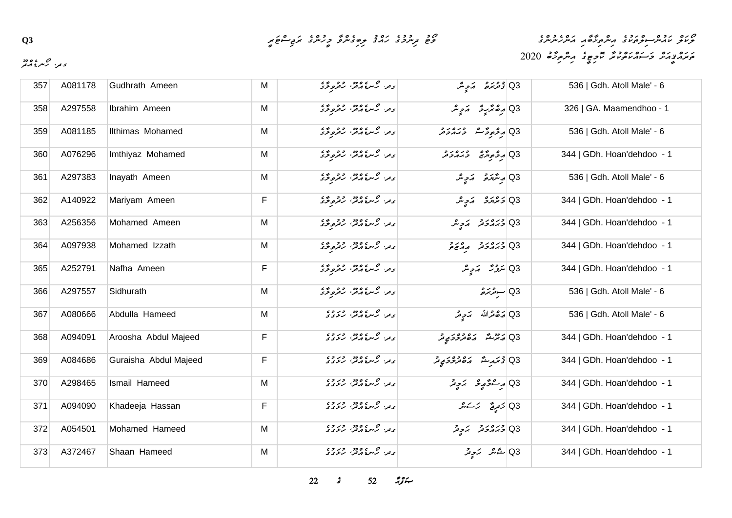*sCw7q7s5w7m< o<n9nOoAw7o< sCq;mAwBoEw7q<m; wBm;vB 2020<sup>, م</sup>وجدة المصرورة المجموعة المستورجة والم*جموعة والمجموعة والمجموعة والمجموعة والمجموعة والمجموعة والمجموعة

| 357 | A081178 | Gudhrath Ameen        | M           | دىر. گەس گەم دەر دەر دى<br>  دىر. گەس گەندىن كەنگەن دىر | Q3 تۇت <i>رىترى مۇم</i> رى <i>گ</i>  | 536   Gdh. Atoll Male' - 6 |
|-----|---------|-----------------------|-------------|---------------------------------------------------------|--------------------------------------|----------------------------|
| 358 | A297558 | Ibrahim Ameen         | M           | دىن كەس ەھەدەرە ئەرەپ ئەرەپ ئەرەپ ئۇ                    | Q3 <i>مەھترى</i> ر مەرىپ             | 326   GA. Maamendhoo - 1   |
| 359 | A081185 | Ilthimas Mohamed      | M           | دىن كەس مەھ 32° دىن ئەرەپ ئە                            | Q3 مۇمۇشى ئ <i>ەندەن</i> ر           | 536   Gdh. Atoll Male' - 6 |
| 360 | A076296 | Imthiyaz Mohamed      | M           | .<br>دىن گەن مەدىن كەرەپچە                              | Q3 مۇمۇمى ئەدەرد                     | 344   GDh. Hoan'dehdoo - 1 |
| 361 | A297383 | Inayath Ameen         | M           | دىن گەرە 39 ق 29 ق 2<br>دىن گەس كەنتى، كەنترە بىرى      | Q3 م <i>ېنگونتو م</i> ېرىشر          | 536   Gdh. Atoll Male' - 6 |
| 362 | A140922 | Mariyam Ameen         | $\mathsf F$ | ى تىر كەس كەن بەر ئەرەپ ئەرە                            | Q3 ك <i>و برو برې م</i> ر            | 344   GDh. Hoan'dehdoo - 1 |
| 363 | A256356 | Mohamed Ameen         | М           | رىر كەس بەھ 32 ق مەدە                                   | Q3  <i>3223 كەچ</i> ىر               | 344   GDh. Hoan'dehdoo - 1 |
| 364 | A097938 | Mohamed Izzath        | M           | ى مەس ئەرەپ بەر ئەرەپ ئە                                | 2, 2, 3, 2, 3                        | 344   GDh. Hoan'dehdoo - 1 |
| 365 | A252791 | Nafha Ameen           | F           | دىن كەس ەھەدەرە ئەرەپ ئەرەپ ئەرەپ ئۇ                    | Q3 سَمَدْتَ     مَرِيْر              | 344   GDh. Hoan'dehdoo - 1 |
| 366 | A297557 | Sidhurath             | M           | ى مەس ئەرەپ بەر ئەرەپ ئە                                | $O3$ سونترىرى                        | 536   Gdh. Atoll Male' - 6 |
| 367 | A080666 | Abdulla Hameed        | M           | ړی که ده ده دره د                                       | Q3 كەھەرللە ئەم <u>ر</u> ىتر         | 536   Gdh. Atoll Male' - 6 |
| 368 | A094091 | Aroosha Abdul Majeed  | F           | ړی ره په ده دره ده<br>ري رسونه ري                       | Q3 كەنترىشقا كەھەر <i>ج</i> وم يور   | 344   GDh. Hoan'dehdoo - 1 |
| 369 | A084686 | Guraisha Abdul Majeed | F           | ى تىر ، ھى ھە ھە جە جە ج                                | Q3 تۇتترىرىش مەھە <i>ترىۋى ي</i>     | 344   GDh. Hoan'dehdoo - 1 |
| 370 | A298465 | Ismail Hameed         | M           | ړی که ده ده دره د ده<br>دی کرس دی کردی                  | Q3 م <i>ې</i> شۇم ئۇ سىر ئىر         | 344   GDh. Hoan'dehdoo - 1 |
| 371 | A094090 | Khadeeja Hassan       | F           | ړین کرس ورو دروه<br>دین کرس ورون کرد د                  | Q3   زَمرِيحٌ   بَرَسَ <i>م</i> َّرُ | 344   GDh. Hoan'dehdoo - 1 |
| 372 | A054501 | Mohamed Hameed        | M           | ړی که ده ده دره د                                       | Q3 <i>\$ بَدُوْدَوْ بَ</i> حِيشْ     | 344   GDh. Hoan'dehdoo - 1 |
| 373 | A372467 | Shaan Hameed          | M           | ړین کرس ورو دروه<br>دین کرس ورون کرد د                  | Q3 گەنگە كەر <i>ب</i> ۇر             | 344   GDh. Hoan'dehdoo - 1 |

 $22$  *s* 52  $25$   $\div$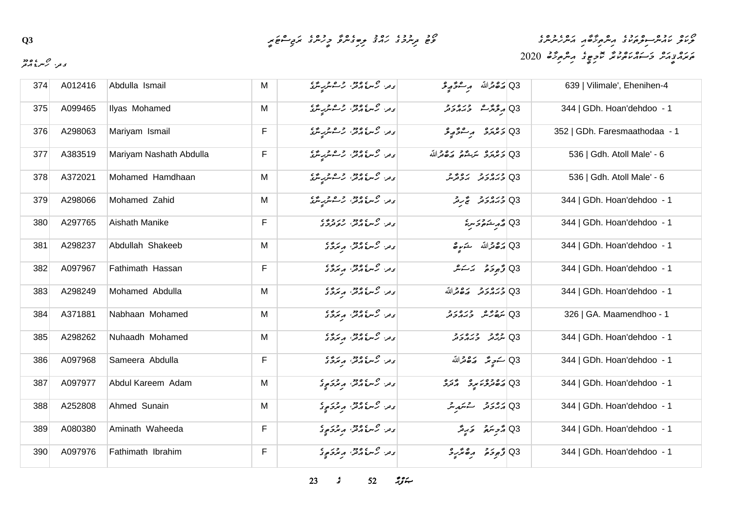*sCw7q7s5w7m< o<n9nOoAw7o< sCq;mAwBoEw7q<m; wBm;vB 2020<sup>, م</sup>وجدة المصرورة المجموعة المستورجة والم*جموعة والمجموعة والمجموعة والمجموعة والمجموعة والمجموعة والمجموعة

| 374 | A012416 | Abdulla Ismail          | M | ى تىر ، ھەس مەھرىر ھەر بەر ئايرى ئىس كەن ئايرى ئىس كەن ئايرى ئايرى ئايرى ئايرى كەن ئايرى ئايرى ئايرى ئايرى ئاي<br>ئايرى ئايرى ئايرى ئايرى ئايرى ئايرى ئايرى ئايرى ئايرى ئايرى ئايرى ئايرى ئايرى ئايرى ئايرى ئايرى ئايرى ئايرى ئا | Q3 كەھەراللە ب <i>ەشۇرى</i> 3                   | 639   Vilimale', Ehenihen-4   |
|-----|---------|-------------------------|---|----------------------------------------------------------------------------------------------------------------------------------------------------------------------------------------------------------------------------------|-------------------------------------------------|-------------------------------|
| 375 | A099465 | Ilyas Mohamed           | M | دىن كەس ئەقەر بىر ئاس ئىرىدىكى                                                                                                                                                                                                   | Q3 مەمگەر قىدىم <i>دىن</i>                      | 344   GDh. Hoan'dehdoo - 1    |
| 376 | A298063 | Mariyam Ismail          | F | ىمەر كەس مەدەر بىر ئەس ئىرىدىكى                                                                                                                                                                                                  | Q3 <i>كەنگەر م سۇمۇ</i> بو                      | 352   GDh. Faresmaathodaa - 1 |
| 377 | A383519 | Mariyam Nashath Abdulla | F | ىلىن كەسلەملەر ئەس ئەسرىيەتلىكى                                                                                                                                                                                                  | Q3 كَرْمُ مَرْ مَرْ مُدَّمَّةً مَرْ هُمْ اللَّه | 536   Gdh. Atoll Male' - 6    |
| 378 | A372021 | Mohamed Hamdhaan        | M | ىلىن كەسكەرلىق كەسكەرلىگىگە                                                                                                                                                                                                      | Q3 <i>وبروبرو بروبۇ</i> بر                      | 536   Gdh. Atoll Male' - 6    |
| 379 | A298066 | Mohamed Zahid           | M | ىلىن كەسلام بىرە بىر كەشرىتىرى ئىك                                                                                                                                                                                               | Q3 <i>وَبَرْوْدُو تَّ</i> يُوسُ                 | 344   GDh. Hoan'dehdoo - 1    |
| 380 | A297765 | Aishath Manike          | F | د در ده ده در دره د                                                                                                                                                                                                              | Q3 <i>مەم ھەقەھ بىرىغ</i>                       | 344   GDh. Hoan'dehdoo - 1    |
| 381 | A298237 | Abdullah Shakeeb        | M | دىن كەس كەم بەر بەر                                                                                                                                                                                                              | Q3 مَرْحَمْراللّه شَوْرِحْ                      | 344   GDh. Hoan'dehdoo - 1    |
| 382 | A097967 | Fathimath Hassan        | F | كرورا المرسي وجود المرادان                                                                                                                                                                                                       | Q3 <i>وُجوحَةْ بَرَسَ</i> سَّر                  | 344   GDh. Hoan'dehdoo - 1    |
| 383 | A298249 | Mohamed Abdulla         | M | دىن كەس كەن مەيرى                                                                                                                                                                                                                | $Q3$ $z$ $z$ $z$ $z$ $z$ $z$ $Q3$               | 344   GDh. Hoan'dehdoo - 1    |
| 384 | A371881 | Nabhaan Mohamed         | M | ومن كرسة وجود المرواة                                                                                                                                                                                                            | Q3 م <i>ُهَدُّسْ وَبَدُونَّر</i>                | 326   GA. Maamendhoo - 1      |
| 385 | A298262 | Nuhaadh Mohamed         | M | ى مەستەمەت مەدە                                                                                                                                                                                                                  | Q3 بر <i>ممبر وبرو</i> رو                       | 344   GDh. Hoan'dehdoo - 1    |
| 386 | A097968 | Sameera Abdulla         | F | ومن كرسي وود . د و ،                                                                                                                                                                                                             | Q3 سَمَّوِيَّد صَ <b>صْد</b> َاللَّه            | 344   GDh. Hoan'dehdoo - 1    |
| 387 | A097977 | Abdul Kareem Adam       | M | دىن كەس كەن ئەس دىر ئ                                                                                                                                                                                                            |                                                 | 344   GDh. Hoan'dehdoo - 1    |
| 388 | A252808 | Ahmed Sunain            | M | دىن گەس 200 مەمرىي د                                                                                                                                                                                                             | Q3 <i>كەبۇ ئۇنى ئىترىدى</i> گە                  | 344   GDh. Hoan'dehdoo - 1    |
| 389 | A080380 | Aminath Waheeda         | F | ى تىر، كەس ئەمەر مەيرى بولىر ئ                                                                                                                                                                                                   | Q3 <i>مُّجِسَعُو وَبِ</i> عَدُ                  | 344   GDh. Hoan'dehdoo - 1    |
| 390 | A097976 | Fathimath Ibrahim       | F | ر من من معرض المستقرر من المستقرر من المستقرر من المستقرر من المستقرر من المستقرر من المستقرر من ال<br>المستقرر المستقرر المستقرر المستقرر المستقرر المستقرر المستقرر المستقرر المستقرر المستقرر المستقرر المستقرر ال            | Q3 <i>و محمد م</i> و متربه                      | 344   GDh. Hoan'dehdoo - 1    |

 $23$  *s*  $52$  *n***<sub>i</sub>** *n***<sub>i</sub>**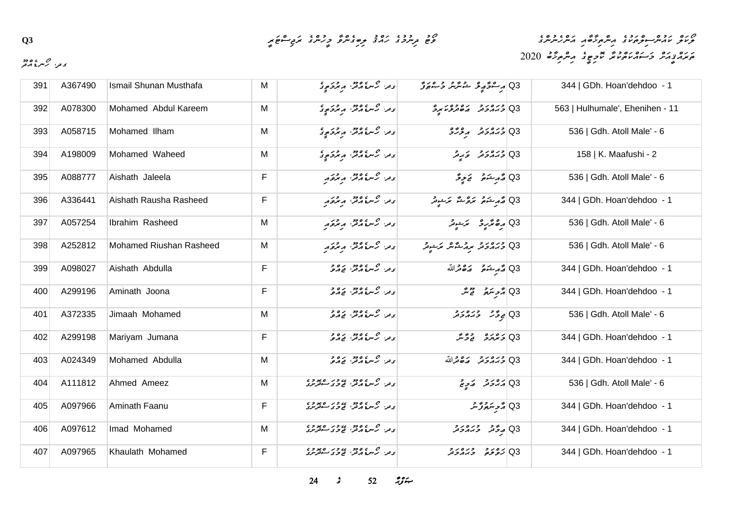*sCw7q7s5w7m< o<n9nOoAw7o< sCq;mAwBoEw7q<m; wBm;vB* م من المسجد المسجد المسجد المسجد المسجد العام 2020<br>مسجد المسجد المسجد المسجد المسجد المسجد المسجد المسجد المسجد ال

| 391 | A367490 | <b>Ismail Shunan Musthafa</b>  | M | دىن رىس كەفتۇ، مەير دەپرى                                                                                                                                                                                              | Q3 مِ سُمَّرَّم ِ وَ سُمْسَ دَسْمَةَ رَ    | 344   GDh. Hoan'dehdoo - 1      |
|-----|---------|--------------------------------|---|------------------------------------------------------------------------------------------------------------------------------------------------------------------------------------------------------------------------|--------------------------------------------|---------------------------------|
| 392 | A078300 | Mohamed Abdul Kareem           | M | ر من ري مري ورد به مركز مريح كر استرات به كر استاده به كر استاده به كر استاده به كر استاده به كار من<br>مركز استادام كريم به مركز كرد بر كر بر كرد بر كرد به كرد به كرد به كرد به كرد به كرد به كرد به كرد به كرد به ك | Q3 כלה כל הסיני ביל אביר                   | 563   Hulhumale', Ehenihen - 11 |
| 393 | A058715 | Mohamed Ilham                  | M | ى تىر، كەس ئەمەر مەردە ئە                                                                                                                                                                                              | Q3  <i>وبەممىق م</i> ور <i>د</i> ۇ         | 536   Gdh. Atoll Male' - 6      |
| 394 | A198009 | Mohamed Waheed                 | M | ى مەس ئەرەپىر مەر مە                                                                                                                                                                                                   | Q3 <i>جُهُوُدُو دُ وَبِ</i> رْ             | 158   K. Maafushi - 2           |
| 395 | A088777 | Aishath Jaleela                | F | ىر. ئەرەم مىدەم                                                                                                                                                                                                        | Q3 <i>مُ</i> مِ شَمْ کَے مِرْمَّر          | 536   Gdh. Atoll Male' - 6      |
| 396 | A336441 | Aishath Rausha Rasheed         | F | دىن كەس دەھ بىر دىر                                                                                                                                                                                                    | Q3 م <i>ەم خىم موڭ مۇ</i> خون <i>ى</i>     | 344   GDh. Hoan'dehdoo - 1      |
| 397 | A057254 | Ibrahim Rasheed                | M | دىن كەس مۇھۇر مەيھۇم                                                                                                                                                                                                   | Q3 <i>بر&amp;نڈیرِ\$</i> نمَڪون <i>ڈ</i>   | 536   Gdh. Atoll Male' - 6      |
| 398 | A252812 | <b>Mohamed Riushan Rasheed</b> | M | دىن كەسكەرتى مەيرەم                                                                                                                                                                                                    | Q3 <i>درور د بروشگر پرشور</i>              | 536   Gdh. Atoll Male' - 6      |
| 399 | A098027 | Aishath Abdulla                | F | ى قرار كى سرى 30 م 20 مى 20 مى                                                                                                                                                                                         | Q3 <i>مُّهِ شَوَّةٍ مَنْ هُ</i> قْرَاللَّه | 344   GDh. Hoan'dehdoo - 1      |
| 400 | A299196 | Aminath Joona                  | F | ى تىر، گەس كە ئەق بەرە ج                                                                                                                                                                                               | Q3 أ <i>مَّ جِسَعَةً</i> فَيُمَّدُ         | 344   GDh. Hoan'dehdoo - 1      |
| 401 | A372335 | Jimaah Mohamed                 | M | ړی ره ده ده ده ده د                                                                                                                                                                                                    | Q3 ي <i>ې دگه د کارون</i> گر               | 536   Gdh. Atoll Male' - 6      |
| 402 | A299198 | Mariyam Jumana                 | F | ړور کرس ورو ده ده.<br>د تر کرس ورتر کے درو                                                                                                                                                                             | Q3 <i>ۈيۈم</i> ۇ يۇش                       | 344   GDh. Hoan'dehdoo - 1      |
| 403 | A024349 | Mohamed Abdulla                | M | ى تىر، گەس كە 20%، ئىم 2 % ق                                                                                                                                                                                           | Q3 322 كوبر مركز مركز الله                 | 344   GDh. Hoan'dehdoo - 1      |
| 404 | A111812 | Ahmed Ameez                    | м |                                                                                                                                                                                                                        | Q3 <i>كەندى كەم كەن</i>                    | 536   Gdh. Atoll Male' - 6      |
| 405 | A097966 | Aminath Faanu                  | F |                                                                                                                                                                                                                        | Q3   مَّرْحِ سَمَّرْوَ سَرَ                | 344   GDh. Hoan'dehdoo - 1      |
| 406 | A097612 | Imad Mohamed                   | м |                                                                                                                                                                                                                        | Q3 مەڭ <i>قىدە دى</i> ر                    | 344   GDh. Hoan'dehdoo - 1      |
| 407 | A097965 | Khaulath Mohamed               | F |                                                                                                                                                                                                                        | Q3 كەنزىقى ئ <i>ەتەرەر</i>                 | 344   GDh. Hoan'dehdoo - 1      |

 $24$  *s* 52  $29$   $\div$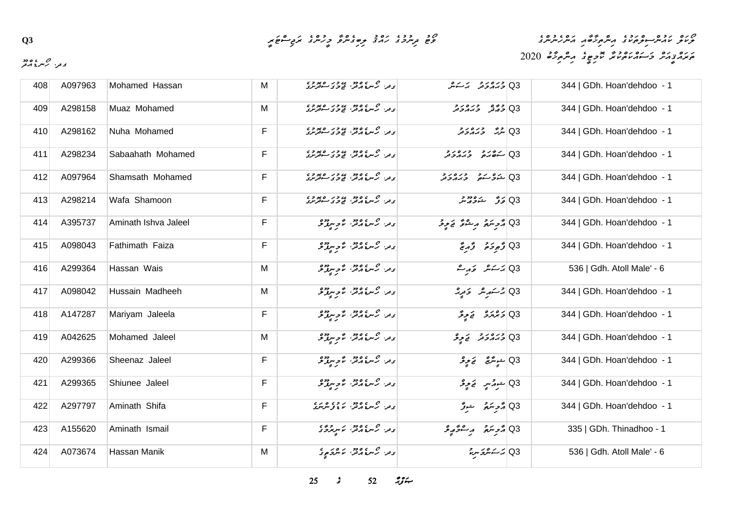*sCw7q7s5w7m< o<n9nOoAw7o< sCq;mAwBoEw7q<m; wBm;vB* م من المسجد المسجد المسجد المسجد المسجد العام 2020<br>مسجد المسجد المسجد المسجد المسجد المسجد المسجد المسجد المسجد ال

| 408 | A097963 | Mohamed Hassan       | М           | وتر کر سره دو در در در در در<br>د تر کر سره در تور د سوتر سرد                                                  | Q3  <i>32,323, 23.2</i>                      | 344   GDh. Hoan'dehdoo - 1 |
|-----|---------|----------------------|-------------|----------------------------------------------------------------------------------------------------------------|----------------------------------------------|----------------------------|
| 409 | A298158 | Muaz Mohamed         | M           |                                                                                                                | Q3  <i>جەھ جەم</i> كەتر                      | 344   GDh. Hoan'dehdoo - 1 |
| 410 | A298162 | Nuha Mohamed         | F           |                                                                                                                | Q3 بَرْدٌ دِيَرْدُدَوْر                      | 344   GDh. Hoan'dehdoo - 1 |
| 411 | A298234 | Sabaahath Mohamed    | F           |                                                                                                                | Q3  س <i>َقَّةَ قَدَّةَ دَوَ</i>             | 344   GDh. Hoan'dehdoo - 1 |
| 412 | A097964 | Shamsath Mohamed     | F           |                                                                                                                | Q3 خۇشۇ ئ <i>ۇندۇ</i> رۇر                    | 344   GDh. Hoan'dehdoo - 1 |
| 413 | A298214 | Wafa Shamoon         | F           | ه در ه ده در ه پرون<br>د تر گرس کارتر که حرک سوتر برد                                                          | Q3 كَوْتَرْ شَوْتَهْ شْر                     | 344   GDh. Hoan'dehdoo - 1 |
| 414 | A395737 | Aminath Ishva Jaleel | F           | رىر. ئ <i>ۇستاملار، ئام سرقى</i> ئ                                                                             | Q3   مُرْحِسَمُ مِرْحَمْدٌ   فَيَجِرْدُ      | 344   GDh. Hoan'dehdoo - 1 |
| 415 | A098043 | Fathimath Faiza      | F           | ى قرار ھى مەم ئەرەپ ئىس ئۇيىلى ئوق                                                                             | Q3 <i>وُجِوحَةْ</i> وُبِيَّ                  | 344   GDh. Hoan'dehdoo - 1 |
| 416 | A299364 | Hassan Wais          | M           | ىلىن ئۇسكەن ئەربىرىدۇ                                                                                          | Q3 كەسكە <i>ق</i> ەرىشە                      | 536   Gdh. Atoll Male' - 6 |
| 417 | A098042 | Hussain Madheeh      | M           | ىلىن كەسكەن ئەربىرىدى                                                                                          | Q3  جُرْسَمَ سِرْ مَسِيرٌ = 2                | 344   GDh. Hoan'dehdoo - 1 |
| 418 | A147287 | Mariyam Jaleela      | $\mathsf F$ | ى مەرەپ ئەھۋە ئەھمىرى بولغا ئوسىرى ئولغا ئولغا ئولغا ئولغا ئولغا ئولغا ئولغا ئولغا ئولغا ئولغا ئولغا ئولغا ئول | Q3 ك <i>ونونزو قام</i> ونژ                   | 344   GDh. Hoan'dehdoo - 1 |
| 419 | A042625 | Mohamed Jaleel       | M           | دىن كەس ھەر ئەھمىر دوھ                                                                                         | Q3 <i>\$نە\$قۇ قوق</i>                       | 344   GDh. Hoan'dehdoo - 1 |
| 420 | A299366 | Sheenaz Jaleel       | F           | ى تىر، كەس ئەرەق ئەر بىرى تور                                                                                  | Q3 حي <i>مَنْ جَمْ وَيُوْ</i>                | 344   GDh. Hoan'dehdoo - 1 |
| 421 | A299365 | Shiunee Jaleel       | F           | ىر ئىس ئەق ئىچ بېرىم                                                                                           | ل شوړسي کا موگو $\sim$                       | 344   GDh. Hoan'dehdoo - 1 |
| 422 | A297797 | Aminath Shifa        | F           | دىن كەس ەەھدىرە بەرەر                                                                                          | Q3 م <i>ُّ مِ سَع</i> َّرِ                   | 344   GDh. Hoan'dehdoo - 1 |
| 423 | A155620 | Aminath Ismail       | F           | رى ئەرەم بەر دە                                                                                                | Q3 مَ <i>ُحِسَمَةُ مِ</i> سْءَّم <i>ُودْ</i> | 335   GDh. Thinadhoo - 1   |
| 424 | A073674 | Hassan Manik         | M           | ىلىن كەس 200 كەنبەر كە                                                                                         | Q3   ئەسەھەكەس <i>ىد</i>                     | 536   Gdh. Atoll Male' - 6 |

 $25$  *s*  $52$  *n***<sub>i</sub>** *n***<sub>i</sub>**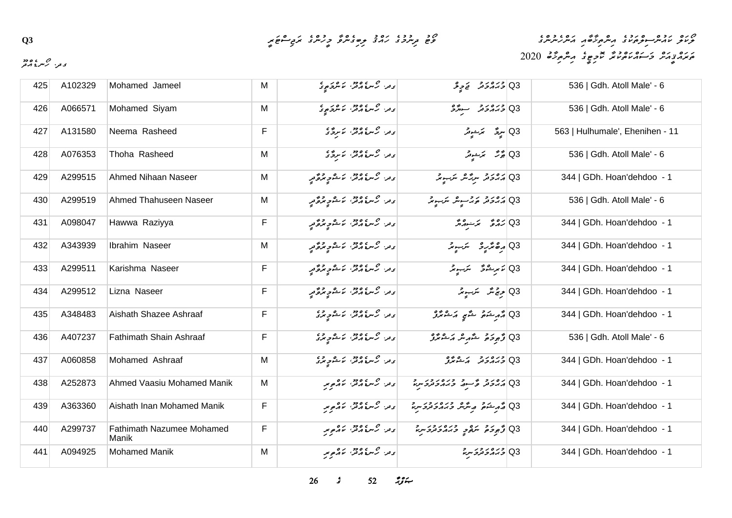*sCw7q7s5w7m< o<n9nOoAw7o< sCq;mAwBoEw7q<m; wBm;vB* م من المسجد المسجد المسجد المسجد المسجد العام 2020<br>مسجد المسجد المسجد المسجد المسجد المسجد المسجد المسجد المسجد ال

| 425 | A102329 | Mohamed Jameel                            | M            | ى تىر ، كەس كەمىر ، كەنگە ئەيدى كەنگە ئەيدى كەنگە ئەيدى كەنگە ئەيدى كەنگە ئەيدى كەنگە ئەيدىن كەنگە ئ                                                                                                                             | Q3  <i>ڈیزوگوٹر فی ج</i> و                         | 536   Gdh. Atoll Male' - 6      |
|-----|---------|-------------------------------------------|--------------|----------------------------------------------------------------------------------------------------------------------------------------------------------------------------------------------------------------------------------|----------------------------------------------------|---------------------------------|
| 426 | A066571 | Mohamed Siyam                             | M            | ى تىر، كەس كەنتۈر كەنتەر ئە                                                                                                                                                                                                      | Q3 <i>دېمم</i> ونه سرگرو                           | 536   Gdh. Atoll Male' - 6      |
| 427 | A131580 | Neema Rasheed                             | F            | ى قرار مىس ئەھ بىر كەن ئامىرى كە                                                                                                                                                                                                 | Q3 سرِمَّۃ کرشہِ <i>مُڑ</i>                        | 563   Hulhumale', Ehenihen - 11 |
| 428 | A076353 | Thoha Rasheed                             | M            | ى قرار ئىسكەرلىق ئابرىگى                                                                                                                                                                                                         | Q3 ۾ <i>گڏ</i> - مَرَڪومَرُ                        | 536   Gdh. Atoll Male' - 6      |
| 429 | A299515 | Ahmed Nihaan Naseer                       | M            | <br>  دىن كەس مەن ئەشرى بىرگەير                                                                                                                                                                                                  | Q3 <i>كەندى كىر بىر ئىگە بىر بىر</i>               | 344   GDh. Hoan'dehdoo - 1      |
| 430 | A299519 | Ahmed Thahuseen Naseer                    | M            | ى تىر كەس مەدەر كەن ئۇچ بىر ئەتىر                                                                                                                                                                                                | Q3 <i>كەنگە تۇ</i> ئەرسىدىگە س <i>رسىدىگە</i>      | 536   Gdh. Atoll Male' - 6      |
| 431 | A098047 | Hawwa Raziyya                             | F            | ى مەس ئەمەدەرى ئەھمىدى مەدىرى<br>ئەمەس ئىس ئەمەمەس ئەسىرى مەدىرى                                                                                                                                                                 | Q3 <i>كەنگە تەخەمگە</i>                            | 344   GDh. Hoan'dehdoo - 1      |
| 432 | A343939 | Ibrahim Naseer                            | M            | ى مەس ئەمەدەرى ئەھمىدى ھەر ئايدان ئاستان ئايدان ئايدان ئايدان ئايدان ئايدان ئايدان ئايدان ئايدان ئايدان ئايدان<br>ئايدان ئايدان ئايدان ئايدان ئايدان ئايدان ئايدان ئايدان ئايدان ئايدان ئايدان ئايدان ئايدان ئايدان ئايدان ئايدا | Q3 <i>برھنگرچ سکہونڈ</i>                           | 344   GDh. Hoan'dehdoo - 1      |
| 433 | A299511 | Karishma Naseer                           | $\mathsf{F}$ | ى تىر كەس ھەتىر ، ئەشۋىر ئەر                                                                                                                                                                                                     | Q3 <i>بارىشۇ - بىكىبون</i> گە                      | 344   GDh. Hoan'dehdoo - 1      |
| 434 | A299512 | Lizna Naseer                              | F            | .<br>دىن كەس مەن ئىشمى ئىشمى ئىرگە ئېر                                                                                                                                                                                           | Q3 مویچ مگر   سربایتر                              | 344   GDh. Hoan'dehdoo - 1      |
| 435 | A348483 | Aishath Shazee Ashraaf                    | $\mathsf F$  | ومن کرس گھرمی کے مقبوض                                                                                                                                                                                                           | Q3 أَمَّ مِسْمَعْ صَمَّعٍ مَسْمَعَتَّرَ            | 344   GDh. Hoan'dehdoo - 1      |
| 436 | A407237 | <b>Fathimath Shain Ashraaf</b>            | F            | ى قرار مى سى مەدەب ئەسىرى ئەرەب ئەرى                                                                                                                                                                                             | Q3 <i>وَّجِوَدَة</i> شَمَّ مِسْ مَشْ <i>مَرُوْ</i> | 536   Gdh. Atoll Male' - 6      |
| 437 | A060858 | Mohamed Ashraaf                           | M            | ى تەرەپ ھەدەر بەيدە ئەرەپ                                                                                                                                                                                                        | Q3 <i>وبروبرو مرشورو</i>                           | 344   GDh. Hoan'dehdoo - 1      |
| 438 | A252873 | Ahmed Vaasiu Mohamed Manik                | M            | ىمىن كەس مەدەر بول بولم                                                                                                                                                                                                          | Q3 ממכת קיים כממכתבית                              | 344   GDh. Hoan'dehdoo - 1      |
| 439 | A363360 | Aishath Inan Mohamed Manik                | $\mathsf{F}$ | كمحدد المحمد المعروض الأمراضي مدرج المحدد المحدد المحمد المحمد المحمد المحمد المحمد المحمد المحمد ال                                                                                                                             | Q3 كەرىشكى مەش <i>2019-يىلى</i> س                  | 344   GDh. Hoan'dehdoo - 1      |
| 440 | A299737 | <b>Fathimath Nazumee Mohamed</b><br>Manik | $\mathsf F$  | ومن رسيع مردوبه المرجوب                                                                                                                                                                                                          | Q3 أَرْجِعَةً سَهْوِي حَبَيْهِ حَقِيقَ سِيرٌ       | 344   GDh. Hoan'dehdoo - 1      |
| 441 | A094925 | <b>Mohamed Manik</b>                      | M            | <i>ى قرار مى موجودى مەھم بىر</i>                                                                                                                                                                                                 | Q3 <i>دېم د دو</i> ر سرير                          | 344   GDh. Hoan'dehdoo - 1      |

 $26$  *s* 52 *n***<sub>3</sub>** *z***<sub>3</sub>**  $\leftarrow$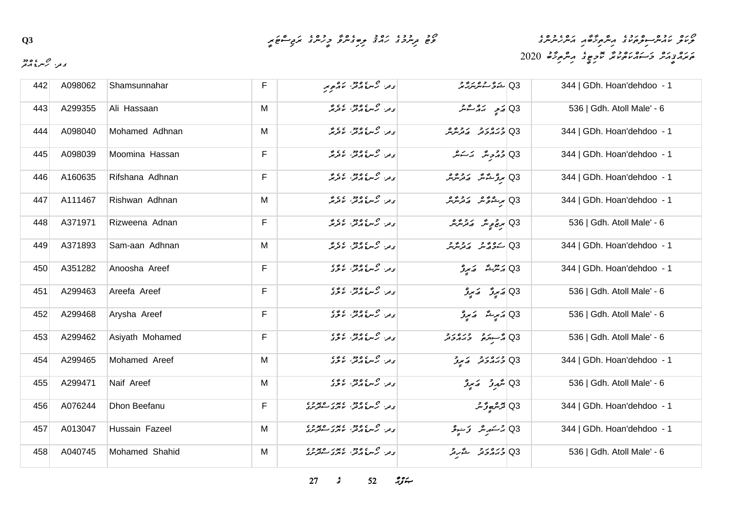*sCw7q7s5w7m< o<n9nOoAw7o< sCq;mAwBoEw7q<m; wBm;vB 2020<sup>, م</sup>وجدة المصرورة المجموعة المستورجة والم*جموعة والمجموعة والمجموعة والمجموعة والمجموعة والمجموعة والمجموعة

| 442 | A098062 | Shamsunnahar    | F           | ړی ر څېر پا ووه ده ده پر                                                                | Q3 غۇر قەش <i>رىردى</i> ر                 | 344   GDh. Hoan'dehdoo - 1 |
|-----|---------|-----------------|-------------|-----------------------------------------------------------------------------------------|-------------------------------------------|----------------------------|
| 443 | A299355 | Ali Hassaan     | M           | ى تىر ، گەس كەتتى ، كە ئەرىپى                                                           | Q3 <i>ھَ۔ يہ ش</i> مش                     | 536   Gdh. Atoll Male' - 6 |
| 444 | A098040 | Mohamed Adhnan  | M           | ى قرار كەس كە تەرەپ ئەرىپى كە                                                           | Q3 <i>دېمم</i> ونر كەنگەش                 | 344   GDh. Hoan'dehdoo - 1 |
| 445 | A098039 | Moomina Hassan  | $\mathsf F$ | ى قرار كەس كە تەرەپ كە تەرىپى كە                                                        | Q3   ج <i>ۇج بىر بىر ئى</i> كەش           | 344   GDh. Hoan'dehdoo - 1 |
| 446 | A160635 | Rifshana Adhnan | F           | ى تىر ، ھى ھە تەرەپ ئە ئەرىپى .                                                         | Q3 برۇش <sup>ى</sup> ر <i>مەر شەر شەر</i> | 344   GDh. Hoan'dehdoo - 1 |
| 447 | A111467 | Rishwan Adhnan  | M           | ى تىر ، گەس كەتتى ، كە ئەرىپى                                                           | Q3 برىش <i>ۇش مەترىترىتر</i>              | 344   GDh. Hoan'dehdoo - 1 |
| 448 | A371971 | Rizweena Adnan  | F           | ى قرار كەس كە تەرەپ كە تەرىپى كە                                                        | Q3 <i>برېځ پېنگ پرکونگرنگ</i> ر           | 536   Gdh. Atoll Male' - 6 |
| 449 | A371893 | Sam-aan Adhnan  | M           | ى قرار كەس كە تەرەپ ئەرىپى كە                                                           | Q3 جۇھ. مەر ئەر ئىگەنلىر                  | 344   GDh. Hoan'dehdoo - 1 |
| 450 | A351282 | Anoosha Areef   | $\mathsf F$ | ړی ري ده ده ده ده<br>دې ريسواله تر، مانور                                               | Q3 كەشرىش <i>ە كەيد</i> ۇ                 | 344   GDh. Hoan'dehdoo - 1 |
| 451 | A299463 | Areefa Areef    | F           | ړی ره ده ده ده ده ده د                                                                  | Q3 <i>ھَ مِرِدَّ سَمِرِدْ</i>             | 536   Gdh. Atoll Male' - 6 |
| 452 | A299468 | Arysha Areef    | F           | ړی ره سره ورو ده ده د                                                                   | Q3   پَرِیدٌ     پَریوْ                   | 536   Gdh. Atoll Male' - 6 |
| 453 | A299462 | Asiyath Mohamed | F           | ړی ره ده ده ده ده<br>دی کرس دی لوی                                                      | Q3 مجسي <i>زة وبرورو</i>                  | 536   Gdh. Atoll Male' - 6 |
| 454 | A299465 | Mohamed Areef   | M           |                                                                                         | Q3  <i>وبەم 3 ھېرۇ</i>                    | 344   GDh. Hoan'dehdoo - 1 |
| 455 | A299471 | Naif Areef      | M           | ى تىر، كەس كەم تەرەپ كە ئەت                                                             | Q3 سَمَد <i>ِ 3 مَ</i> عِيدُ              | 536   Gdh. Atoll Male' - 6 |
| 456 | A076244 | Dhon Beefanu    | F           |                                                                                         | Q3   قرينزم پورتر                         | 344   GDh. Hoan'dehdoo - 1 |
| 457 | A013047 | Hussain Fazeel  | M           | د د. همین ده ده ان داده در در داده در داده کنید.<br>داد: را مرد در در از در در سودر مرد | Q3   پرستهر ترسیو C3                      | 344   GDh. Hoan'dehdoo - 1 |
| 458 | A040745 | Mohamed Shahid  | M           | د در هسره ورو الاندار العدوان<br>ادامه: رکس داراد که در کاربرد                          | Q3 <i>\$نەۋەقە</i> ھ <i>ەرى</i> ر         | 536   Gdh. Atoll Male' - 6 |

*27 sC 52 nNw?mS*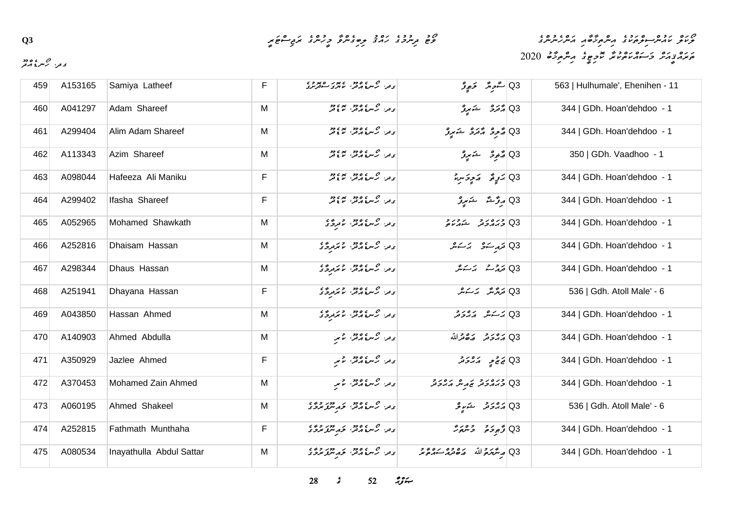*sCw7q7s5w7m< o<n9nOoAw7o< sCq;mAwBoEw7q<m; wBm;vB* م من المسجد المسجد المسجد المسجد المسجد العام 2020<br>مسجد المسجد المسجد المسجد المسجد المسجد المسجد المسجد المسجد ال

| 459 | A153165 | Samiya Latheef           | F           |                                                                                                                                                                                                                        | Q3 سەمەقە كەنب <i>و</i> گە                           | 563   Hulhumale', Ehenihen - 11 |
|-----|---------|--------------------------|-------------|------------------------------------------------------------------------------------------------------------------------------------------------------------------------------------------------------------------------|------------------------------------------------------|---------------------------------|
| 460 | A041297 | Adam Shareef             | M           | ى قرار مىس ئام 20 مىلى 20 مىلى 20 مىلى 20 مىلى 20 مىلى 20 مىلى 20 مىلى 20 مىلى 20 مىلى 20 مىلى 20 مى<br>مىلى 20 مىلى 20 مىلى 20 مىلى 20 مىلى 20 مىلى 20 مىلى 20 مىلى 20 مىلى 20 مىلى 20 مىلى 20 مىلى 20 مىلى 20 مىلى 2 | Q3   پژنزو شمېرتر                                    | 344   GDh. Hoan'dehdoo - 1      |
| 461 | A299404 | Alim Adam Shareef        | M           | ى قىر ، گەستە 296 ، ئەن 29<br>ئى قىر ، گەستە 296 ، ئىل قىل                                                                                                                                                             | Q3 م <i>مَّحِرة مُمَّتَرة حَمَيْرة</i>               | 344   GDh. Hoan'dehdoo - 1      |
| 462 | A113343 | Azim Shareef             | M           | ړیں گر مرکز دی پر دارد.<br>دین گر مرکز کر دی                                                                                                                                                                           | Q3 كەنموق شىمبور                                     | 350   GDh. Vaadhoo - 1          |
| 463 | A098044 | Hafeeza Ali Maniku       | F           | ړی ره ده پره ده<br>ډین کرس کړې لاغ                                                                                                                                                                                     | Q3 كەرپۇ قەمچە كەس                                   | 344   GDh. Hoan'dehdoo - 1      |
| 464 | A299402 | Ifasha Shareef           | F           |                                                                                                                                                                                                                        | Q3 پر <i>وگ</i> شکا سنگ سنگ میرو                     | 344   GDh. Hoan'dehdoo - 1      |
| 465 | A052965 | Mohamed Shawkath         | M           | ړی ره ده ده د وره د ور                                                                                                                                                                                                 | 2, 2, 3, 4, 5, 6, 7, 8                               | 344   GDh. Hoan'dehdoo - 1      |
| 466 | A252816 | Dhaisam Hassan           | M           | ىلىن كەسكەرلىقى ئەسكەرلىرى                                                                                                                                                                                             | Q3 <i>قەم شىڭ بەستى</i> ر                            | 344   GDh. Hoan'dehdoo - 1      |
| 467 | A298344 | Dhaus Hassan             | M           | ى بور، كەس ئەمەر بەر بەر بەر                                                                                                                                                                                           | Q3 ك <i>ورژنے پر سک</i> ھر                           | 344   GDh. Hoan'dehdoo - 1      |
| 468 | A251941 | Dhayana Hassan           | F           | ى مەر ئەھمەت ئەس ئەرى                                                                                                                                                                                                  | Q3 ك <i>روگر كەسكەنل</i>                             | 536   Gdh. Atoll Male' - 6      |
| 469 | A043850 | Hassan Ahmed             | M           | ړین کرس ورود در در ده<br>دین کرس ورون مانتربردی                                                                                                                                                                        | Q3 كەس <i>تەش كەندۇ</i> تر                           | 344   GDh. Hoan'dehdoo - 1      |
| 470 | A140903 | Ahmed Abdulla            | M           | ى قرار كەس ئەمەر بىر ئىم                                                                                                                                                                                               | Q3 كەبرىق كەھەرللە                                   | 344   GDh. Hoan'dehdoo - 1      |
| 471 | A350929 | Jazlee Ahmed             | $\mathsf F$ | ى قرار مى مەمدىقى بىر بىر                                                                                                                                                                                              | Q3 <i>في جي مركز فر</i>                              | 344   GDh. Hoan'dehdoo - 1      |
| 472 | A370453 | Mohamed Zain Ahmed       | M           | ا د مر المر مر د د د د مر مر مر مر                                                                                                                                                                                     | Q3 כג'ו פי די היי ה'ו פי די                          | 344   GDh. Hoan'dehdoo - 1      |
| 473 | A060195 | Ahmed Shakeel            | M           | دىن كەس مەھرىر دەر دەر.<br>دىن كەس مەھرى كەم شمارىمەدى                                                                                                                                                                 | Q3   كەنزى كىرىدى ئىس كىرىدى ئىس كىرى ئىس بىر        | 536   Gdh. Atoll Male' - 6      |
| 474 | A252815 | Fathmath Munthaha        | $\mathsf F$ | دى ئەس ەەھدىم ئەس دەرە                                                                                                                                                                                                 | Q3 تَ <i>وجو ومعدَّثَ</i>                            | 344   GDh. Hoan'dehdoo - 1      |
| 475 | A080534 | Inayathulla Abdul Sattar | M           | دی کس مصرف محمد بند ده د                                                                                                                                                                                               | Q3 م <i>ېرىتى ترم ق</i> اللە مەھ <i>ەر مەھەم</i> ئىر | 344   GDh. Hoan'dehdoo - 1      |

**28** *s* **52** *n***<sub>s</sub>**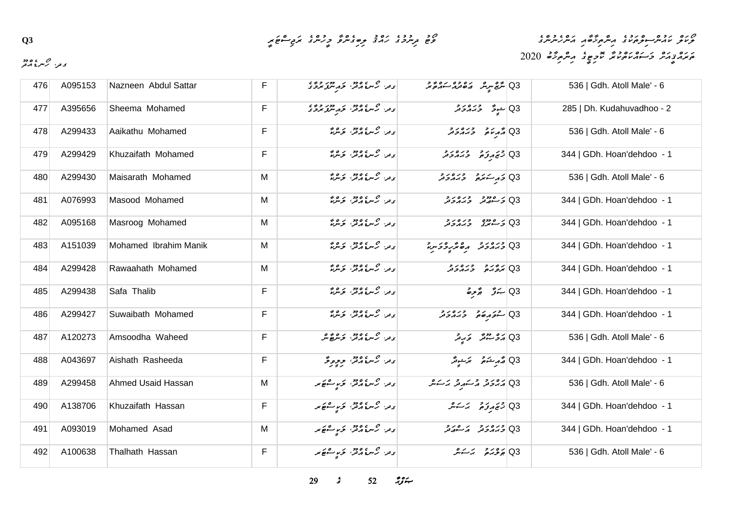*sCw7q7s5w7m< o<n9nOoAw7o< sCq;mAwBoEw7q<m; wBm;vB* م من المسجد المسجد المسجد المسجد المسجد العام 2020<br>مسجد المسجد المسجد المسجد المسجد المسجد المسجد المسجد المسجد ال

| 476 | A095153 | Nazneen Abdul Sattar  | F           | دىن كەس 200 كەرمەدىرى 20                                 |                                              | 536   Gdh. Atoll Male' - 6 |
|-----|---------|-----------------------|-------------|----------------------------------------------------------|----------------------------------------------|----------------------------|
| 477 | A395656 | Sheema Mohamed        | F           | دىن گەس 200 كەردىن 25 دى.<br>دىن گەس بەلىر، كەبەللى بىرى | لمبوحٌ وَيَرْمُومَرْ $\sim$                  | 285   Dh. Kudahuvadhoo - 2 |
| 478 | A299433 | Aaikathu Mohamed      | F           | ى تىر، كەس كەن ئەرەپ كە                                  | Q3 <i>مُمِينَ مِنْ دَوْدُونْد</i>            | 536   Gdh. Atoll Male' - 6 |
| 479 | A299429 | Khuzaifath Mohamed    | F           | ى تىر، كەس كەن ئەن ئەرەپ                                 | Q3 جنج مرتوكم وتمام وتد                      | 344   GDh. Hoan'dehdoo - 1 |
| 480 | A299430 | Maisarath Mohamed     | M           | ى قرار مىس كەن بىر ئەرەپ كەن ئەرەپ كەن ئەن ئاس           | Q3 <i>جَهِــَمَعَمْ</i> حَ <i>مَدُوَمِرْ</i> | 536   Gdh. Atoll Male' - 6 |
| 481 | A076993 | Masood Mohamed        | M           | ى تىر، كەس كەن ئەن ئەرەپ كە                              | Q3 كەسىر دىرەرد                              | 344   GDh. Hoan'dehdoo - 1 |
| 482 | A095168 | Masroog Mohamed       | M           | ى تەر، شەھەق ئەھەم                                       | Q3  <i>خ گېنگه</i> د <i>جن</i> ه <i>څخه</i>  | 344   GDh. Hoan'dehdoo - 1 |
| 483 | A151039 | Mohamed Ibrahim Manik | M           | ى قرار ھى سى ئە 2 ھى جار ھى ج                            | Q3  <i>دېمم</i> ونر م <i>ەھگردۇ ئىب</i> ر    | 344   GDh. Hoan'dehdoo - 1 |
| 484 | A299428 | Rawaahath Mohamed     | M           | ى مەركىس كەن ئەرەپ                                       | Q3 <i>بَرُوَّبَہُ دِينَ دِينَ</i>            | 344   GDh. Hoan'dehdoo - 1 |
| 485 | A299438 | Safa Thalib           | F           | ى تىر، كەس كەم بىر ئەرەپ كە                              | Q3 جۇ ق <sub>ە</sub> رى                      | 344   GDh. Hoan'dehdoo - 1 |
| 486 | A299427 | Suwaibath Mohamed     | $\mathsf F$ | ى تىر، كەس كە 20 كەن بول كە                              | $03$ $-222$                                  | 344   GDh. Hoan'dehdoo - 1 |
| 487 | A120273 | Amsoodha Waheed       | F           | ى بىر، كەس كەم بىر ئەرەپ بىر                             | Q3 كەنزىيىتى <i>گە قەببىتى</i>               | 536   Gdh. Atoll Male' - 6 |
| 488 | A043697 | Aishath Rasheeda      | F           | دىن ر°سا ئۇن مۇمۇمۇ                                      | Q3 م <i>ەم بەشقى تىم ش</i> وتىگە             | 344   GDh. Hoan'dehdoo - 1 |
| 489 | A299458 | Ahmed Usaid Hassan    | M           | كمحص من ووج كم موسوع مر                                  | Q3 <i>בک</i> وکر فرسکرفر ترسکنگر             | 536   Gdh. Atoll Male' - 6 |
| 490 | A138706 | Khuzaifath Hassan     | $\mathsf F$ | ى تىر، كەس ھەتى، ئۇراسلىھى تىر                           | Q3 <i>جىنى مەقەقى</i> بەسەھ                  | 344   GDh. Hoan'dehdoo - 1 |
| 491 | A093019 | Mohamed Asad          | M           | ى مى ئەمەدى ئەرسى                                        | Q3 32023                                     | 344   GDh. Hoan'dehdoo - 1 |
| 492 | A100638 | Thalhath Hassan       | F           | ومن كرس ودور كم كور ودير                                 | Q3 <i>چۇنى ئىر ئىرىش</i>                     | 536   Gdh. Atoll Male' - 6 |

*29 sC 52 nNw?mS*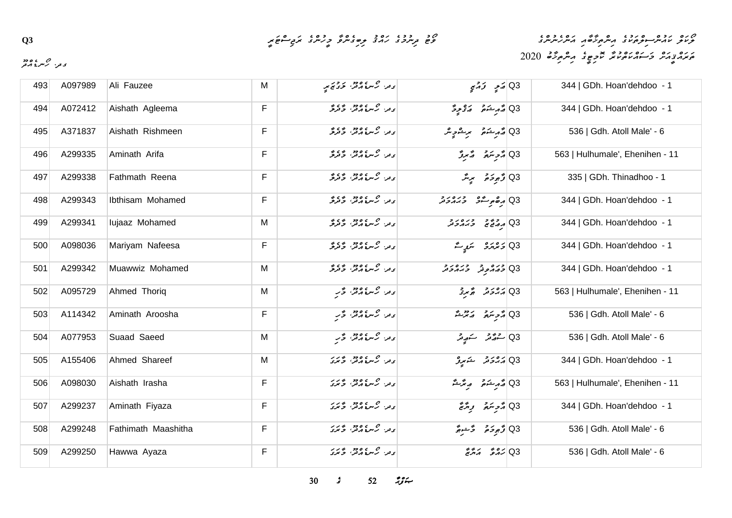*sCw7q7s5w7m< o<n9nOoAw7o< sCq;mAwBoEw7q<m; wBm;vB 2020<sup>, م</sup>وجدة المصرورة المجموعة المستورجة والم*جموعة والمجموعة والمجموعة والمجموعة والمجموعة والمجموعة والمجموعة

| 493 | A097989 | Ali Fauzee          | M           | ى قرار كەس كەقتى، ئۇي ئىمبر                     | Q3 <i>ھَ جِس ق</i> رقہ مِ              | 344   GDh. Hoan'dehdoo - 1      |
|-----|---------|---------------------|-------------|-------------------------------------------------|----------------------------------------|---------------------------------|
| 494 | A072412 | Aishath Agleema     | $\mathsf F$ | ى مەستەمەت ئەرەبە<br>ئەمەر سىستەمەتىرى بىرىمىتى | Q3 <i>مُّهِ شَهُمْ - مَاتَّوِج</i> َّ  | 344   GDh. Hoan'dehdoo - 1      |
| 495 | A371837 | Aishath Rishmeen    | $\mathsf F$ | ى تىر ، گەسكە 25% ، ئۇ تۈرگى                    | Q3 <i>۾ مرڪم جي شوچ مر</i>             | 536   Gdh. Atoll Male' - 6      |
| 496 | A299335 | Aminath Arifa       | $\mathsf F$ | ى تىر، گەسكە 20%، ئۇ تەترىخ                     | Q3 م <i>ُّجِسَعَة مُ</i> سِرَّدَ       | 563   Hulhumale', Ehenihen - 11 |
| 497 | A299338 | Fathmath Reena      | $\mathsf F$ | ى قرار كەس كەن ئۇ ئۇ ئۇ ئۇ ئۇ                   | Q3 <i>وَّجِودَةْ</i> بِرِيْتَر         | 335   GDh. Thinadhoo - 1        |
| 498 | A299343 | Ibthisam Mohamed    | $\mathsf F$ | ى تىر ، گەسكە 25% ، ئۇ تەرىخ                    | Q3 رەم شى ئەرەر ئ                      | 344   GDh. Hoan'dehdoo - 1      |
| 499 | A299341 | lujaaz Mohamed      | M           | ى تىر ، ھەرقىقى ، ئەرە ،                        | $03$ $03$ $03$ $03$                    | 344   GDh. Hoan'dehdoo - 1      |
| 500 | A098036 | Mariyam Nafeesa     | $\mathsf F$ | ى تىر ، ھەرقىقى ، ئەرە ،                        | Q3 كەنگەرنىڭ س <i>ىرى</i> گە           | 344   GDh. Hoan'dehdoo - 1      |
| 501 | A299342 | Muawwiz Mohamed     | M           | ى تىر، گەسكەم كەن ئۇ ئوتۇ ئى                    | Q3 <i>وَمَمْهُوفُرْ وَبَدُوفُرْ</i>    | 344   GDh. Hoan'dehdoo - 1      |
| 502 | A095729 | Ahmed Thoriq        | M           | ى مەسمى مەردە بەر                               | Q3 كەش <i>ەق قەيد</i> ق                | 563   Hulhumale', Ehenihen - 11 |
| 503 | A114342 | Aminath Aroosha     | $\mathsf F$ | ى مەر ئەس ئەمەدە بەر                            | Q3 مُرْحِسَمُ مَ <sup>7</sup> مُرْتُمُ | 536   Gdh. Atoll Male' - 6      |
| 504 | A077953 | Suaad Saeed         | M           | ى تىر، كەس 200 كەر                              | Q3 كەنگەنز سى <i>مبەن</i> ز            | 536   Gdh. Atoll Male' - 6      |
| 505 | A155406 | Ahmed Shareef       | M           | ړی ره ده ده در                                  | Q3 <i>مُمْدُوَنْل حُمَيِنْلُ</i>       | 344   GDh. Hoan'dehdoo - 1      |
| 506 | A098030 | Aishath Irasha      | $\mathsf F$ | دىن گەر 200 كەرر<br>دىن گەن ھەملى جەيرى         | Q3 گەرىش <i>ەق م</i> ېڭىشە             | 563   Hulhumale', Ehenihen - 11 |
| 507 | A299237 | Aminath Fiyaza      | F           | ړی ره شوه ده در                                 | Q3 م <i>گرم بعد و مرگ</i>              | 344   GDh. Hoan'dehdoo - 1      |
| 508 | A299248 | Fathimath Maashitha | $\mathsf F$ | ړی ره ده ده در                                  | Q3 <i>وَّجِ حَمْ</i> وَْسْبِعُ         | 536   Gdh. Atoll Male' - 6      |
| 509 | A299250 | Hawwa Ayaza         | F           | ړی ره ده ور در                                  | $z$ $z$ $z$ $\sim$ $\sim$ 03           | 536   Gdh. Atoll Male' - 6      |

**30** *s* **52** *n***<sub>y</sub>**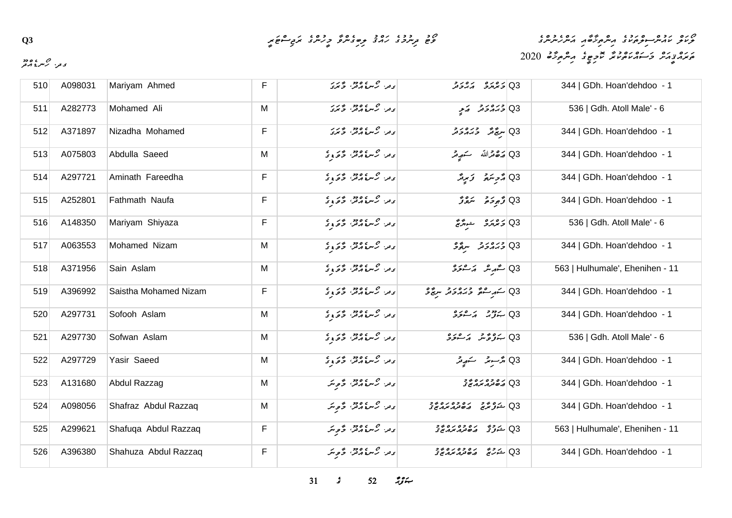*sCw7q7s5w7m< o<n9nOoAw7o< sCq;mAwBoEw7q<m; wBm;vB* م من المرة المرة المرة المرجع المرجع المرجع في 2020<br>مجم*د المريض المرجع المرجع المرجع المرجع المراجع المراجع الم*رجع

| 510 | A098031 | Mariyam Ahmed         | F            | ى قرار كەس كەرەر بەر بەر بەر | Q3 <i>كەبەر ئەرەرە</i>                         | 344   GDh. Hoan'dehdoo - 1      |
|-----|---------|-----------------------|--------------|------------------------------|------------------------------------------------|---------------------------------|
| 511 | A282773 | Mohamed Ali           | M            | ړين کرس ورو په <i>ډېر</i>    | Q3  <i>3223 كەب</i> ر                          | 536   Gdh. Atoll Male' - 6      |
| 512 | A371897 | Nizadha Mohamed       | F            | ى تەرەپ ئەرەپرىدىن           | Q3 سِمَّةً وَكَمْرَوْتَرْ                      | 344   GDh. Hoan'dehdoo - 1      |
| 513 | A075803 | Abdulla Saeed         | M            | ى مەستۇمەت ئەمدە             | Q3 كەڭ قىراللە كىم <i>بە</i> تر                | 344   GDh. Hoan'dehdoo - 1      |
| 514 | A297721 | Aminath Fareedha      | F            | ى مەستەمەت ئەمدە             | Q3 <i>مُرْحِ مَنْهُ وَم</i> ِيْتُر             | 344   GDh. Hoan'dehdoo - 1      |
| 515 | A252801 | Fathmath Naufa        | $\mathsf{F}$ | ى تىر، كەس كەن ئەر ئەر       | Q3 <i>وَّجِوَة مَعْوَدُ</i> ّ                  | 344   GDh. Hoan'dehdoo - 1      |
| 516 | A148350 | Mariyam Shiyaza       | F            | ى بىر كەس كەن ئۇ ئۇي ئ       | $\mathcal{L}$ كە ئىرىگە ئىستىدىكى $\log$       | 536   Gdh. Atoll Male' - 6      |
| 517 | A063553 | Mohamed Nizam         | M            | ى تەرەپ ئەرەپ ئەرە           | Q3 <i>وَبَدُوْدَوْ</i> سِهْرَةَ                | 344   GDh. Hoan'dehdoo - 1      |
| 518 | A371956 | Sain Aslam            | M            | كە ئەر ئەھمەت ئەر ئ          | Q3 گەرى <i>گە مەكتىۋ</i>                       | 563   Hulhumale', Ehenihen - 11 |
| 519 | A396992 | Saistha Mohamed Nizam | F            | ى مەستۇمەت ئەمدە             | Q3 سَمِرِ سَمَّۃٌ وَيَرْمُ وَمَدْ سِيَّۃٌ وَ   | 344   GDh. Hoan'dehdoo - 1      |
| 520 | A297731 | Sofooh Aslam          | M            | ى مەستۇمەت ئەمدە             | $2322 - 232 = 03$                              | 344   GDh. Hoan'dehdoo - 1      |
| 521 | A297730 | Sofwan Aslam          | M            | كەن كەس كەن ئەربى            | Q3 يەر <i>وشىر</i> مەش <i>ۇۋ</i>               | 536   Gdh. Atoll Male' - 6      |
| 522 | A297729 | Yasir Saeed           | M            | ى تىر كەس كەن ئەر ئ          | Q3   پژسېږي ست <sub>مو</sub> يژ                | 344   GDh. Hoan'dehdoo - 1      |
| 523 | A131680 | Abdul Razzag          | M            | ى مەسكەن ئەرەر               | 220202020<br>23 <i>הפנה ה</i> ה <sub>ב</sub> צ | 344   GDh. Hoan'dehdoo - 1      |
| 524 | A098056 | Shafraz Abdul Razzaq  | M            | ى مەسكەن ئۇم ئە              |                                                | 344   GDh. Hoan'dehdoo - 1      |
| 525 | A299621 | Shafuqa Abdul Razzaq  | $\mathsf F$  | ى مەسكەن ئۇي ئە              | Q3 شوتر مەھەرە بورى<br>Q3                      | 563   Hulhumale', Ehenihen - 11 |
| 526 | A396380 | Shahuza Abdul Razzaq  | F            | ى مەسكەن ئۇم ئە              | 280,020,022                                    | 344   GDh. Hoan'dehdoo - 1      |

*r@w<sF7v5 .@C*

 $31$  *s*  $52$  *n***<sub>y</sub>**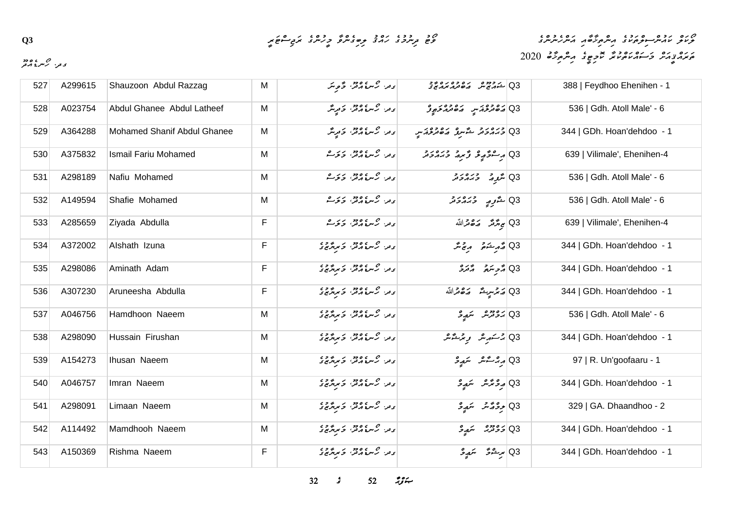*sCw7q7s5w7m< o<n9nOoAw7o< sCq;mAwBoEw7q<m; wBm;vB* م من المسجد المسجد المسجد المسجد المسجد العام 2020<br>مسجد المسجد المسجد المسجد المسجد المسجد المسجد المسجد المسجد ال

| 527 | A299615 | Shauzoon Abdul Razzag              | M            | ى قىز، كەس كەنگەن، ئۇ قېرىنگە      | Q3 شهری می موفرم مهری د                   | 388   Feydhoo Ehenihen - 1  |
|-----|---------|------------------------------------|--------------|------------------------------------|-------------------------------------------|-----------------------------|
| 528 | A023754 | Abdul Ghanee Abdul Latheef         | M            | دىن كەس كەن كەيدىگر                |                                           | 536   Gdh. Atoll Male' - 6  |
| 529 | A364288 | <b>Mohamed Shanif Abdul Ghanee</b> | M            | دىن كەسكەملار، كەيرىگر             | Q3  مەمەم ئەسرى مەمەر <i>ەنى</i>          | 344   GDh. Hoan'dehdoo - 1  |
| 530 | A375832 | <b>Ismail Fariu Mohamed</b>        | M            | ى مەس ئەرەپەر كەن ئەر              | Q3 م مش <i>ۇم بىر ئابىر ئىم ئەرەب</i>     | 639   Vilimale', Ehenihen-4 |
| 531 | A298189 | Nafiu Mohamed                      | M            | ى تىر، كەسكە ئەرەر ئە ئەترىك       | Q3 <i>مَّدِهُ حُمَدُوْمَ</i> رُ           | 536   Gdh. Atoll Male' - 6  |
| 532 | A149594 | Shafie Mohamed                     | M            | ى تىر، گەسكە ئەرگە ئەترىك          | Q3 ڪ <i>ئومي خندم</i> ومر                 | 536   Gdh. Atoll Male' - 6  |
| 533 | A285659 | Ziyada Abdulla                     | F            | ى تىر، كەس كەنتى، كەكەب كە         | Q3 بم ت <i>َرَّةَ مَرَّةَ مَ</i> اللَّه   | 639   Vilimale', Ehenihen-4 |
| 534 | A372002 | Alshath Izuna                      | $\mathsf{F}$ | وفرا رکس ورود کا مرحم              | Q3 مەم ئىسكىم مەم ئىگر                    | 344   GDh. Hoan'dehdoo - 1  |
| 535 | A298086 | Aminath Adam                       | F            | ى مى ئەرەبىرى ئەرەبى               | Q3 <i>مُّحِسَمَة مُ</i> مَرَّدُ           | 344   GDh. Hoan'dehdoo - 1  |
| 536 | A307230 | Aruneesha Abdulla                  | $\mathsf{F}$ | وتر کرس ورو کر وی                  | Q3 <i>مَرْسِرِيْتُہ مَرْھُتْرِ</i> اللّٰه | 344   GDh. Hoan'dehdoo - 1  |
| 537 | A046756 | Hamdhoon Naeem                     | M            | وتر کرس وو کر دو،                  | Q3 <i>بَدَوْنْزْنْدْ سَمِي</i> ْرَ        | 536   Gdh. Atoll Male' - 6  |
| 538 | A298090 | Hussain Firushan                   | M            | دور می صدق در ۱۳۶۴ و در ۱۳۶        | Q3  يُرسَمرِ مَشْ و بِرَسْدَمْد           | 344   GDh. Hoan'dehdoo - 1  |
| 539 | A154273 | Ihusan Naeem                       | M            | ى مى مەمەر ئەرە                    | Q3 م <i>ېر شمېر شمې</i> ر شکه د           | 97   R. Un'goofaaru - 1     |
| 540 | A046757 | Imran Naeem                        | M            | وفرا الرسوم ودوا والمحافر والمحافر | Q3 <i>موڅنگر سَموِ</i> ءُ                 | 344   GDh. Hoan'dehdoo - 1  |
| 541 | A298091 | Limaan Naeem                       | M            | وتر کرس ورو کر وی                  | Q3 م <i>وڈشٹر سَمی</i> و                  | 329   GA. Dhaandhoo - 2     |
| 542 | A114492 | Mamdhooh Naeem                     | M            | ومن كرس ودور و در و دا             | Q3 <i>ذَوْنَزْرْ ـَمَدِوْ</i>             | 344   GDh. Hoan'dehdoo - 1  |
| 543 | A150369 | Rishma Naeem                       | F            | وفرز الرسوم وجود المحافزة والمحافظ | Q3 مرڪو س <i>َمدٍ</i> \$                  | 344   GDh. Hoan'dehdoo - 1  |

**32** *s* **52** *z***<sub>***f***</sub>**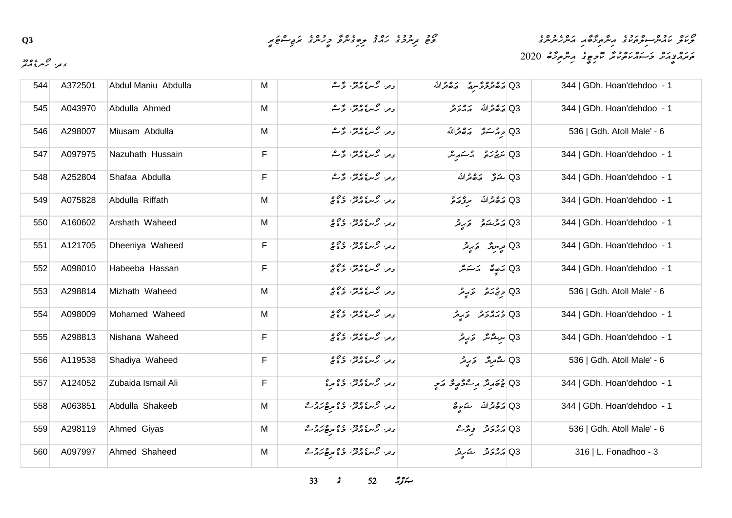*sCw7q7s5w7m< o<n9nOoAw7o< sCq;mAwBoEw7q<m; wBm;vB 2020<sup>, م</sup>وجدة المصرورة المجموعة المستورجة والم*جموعة والمجموعة والمجموعة والمجموعة والمجموعة والمجموعة والمجموعة

| 544 | A372501 | Abdul Maniu Abdulla | M           | ى قىر، كرسۇ مەقتى، ئۇ سە                      |                                                 | 344   GDh. Hoan'dehdoo - 1 |
|-----|---------|---------------------|-------------|-----------------------------------------------|-------------------------------------------------|----------------------------|
| 545 | A043970 | Abdulla Ahmed       | M           | ى تىر، كەس كەن ئۇ ئە                          |                                                 | 344   GDh. Hoan'dehdoo - 1 |
| 546 | A298007 | Miusam Abdulla      | M           | ى مەرەپ ئەرەپ ئۇ س                            | Q3 <i>جەمئىكى مەھەت</i> ەللە                    | 536   Gdh. Atoll Male' - 6 |
| 547 | A097975 | Nazuhath Hussain    | F           | ى تىر، كەس كەن ئۇ ئە                          | Q3 <i>سَيِّحْرَةْ بِ</i> مْ سَهْرِ مَ <i>رْ</i> | 344   GDh. Hoan'dehdoo - 1 |
| 548 | A252804 | Shafaa Abdulla      | F           | ى قىرا كەس كەمەت ئۇ ھ                         | Q3 خَوَّرَ صَرْحَةَ اللَّه                      | 344   GDh. Hoan'dehdoo - 1 |
| 549 | A075828 | Abdulla Riffath     | M           | ړیں گرس ورد ورو و                             | Q3 كەھىراللە م <i>وفەھ</i>                      | 344   GDh. Hoan'dehdoo - 1 |
| 550 | A160602 | Arshath Waheed      | M           | ړیں کرس ورد وره ور                            | Q3 <i>كەيۋىشكى قەي</i> رى <i>گ</i>              | 344   GDh. Hoan'dehdoo - 1 |
| 551 | A121705 | Dheeniya Waheed     | F           | ى تىر، كەس ئەم تەم ئەم ئ                      | Q3 مرسرمد تحرید ک                               | 344   GDh. Hoan'dehdoo - 1 |
| 552 | A098010 | Habeeba Hassan      | F           | ړیں کرس ورد ورو و                             | Q3 <i>كَمُعِدَّة بْكَ</i> سْر                   | 344   GDh. Hoan'dehdoo - 1 |
| 553 | A298814 | Mizhath Waheed      | M           | ړیں کرس ورد ورو ورو چ                         | Q3 <i>جەنمىق قې</i> رى <i>گ</i>                 | 536   Gdh. Atoll Male' - 6 |
| 554 | A098009 | Mohamed Waheed      | M           | ى تىر، كەس كەن تەن ئ                          | Q3 <i>\$نەۋەتى ق</i> ىيەتر                      | 344   GDh. Hoan'dehdoo - 1 |
| 555 | A298813 | Nishana Waheed      | $\mathsf F$ | ړیں گر ۵۲۵ ورو دی<br>دیں گر سرکا مرکز کر لائح | Q3 سرىشەمد   قەبرىتر                            | 344   GDh. Hoan'dehdoo - 1 |
| 556 | A119538 | Shadiya Waheed      | F           | ى تىر، كەس ئەم تەم ئەم ئ                      | Q3 ڪ <i>ئوبرگر ق پو</i> ٽر                      | 536   Gdh. Atoll Male' - 6 |
| 557 | A124052 | Zubaida Ismail Ali  | F           | ى مىر كەس كەر ئەر ئەمرە                       | Q3ع <i>قرمد وڪوڻو مو</i>                        | 344   GDh. Hoan'dehdoo - 1 |
| 558 | A063851 | Abdulla Shakeeb     | M           | ومن کرس دور ده ده در ده                       | Q3 كەڭ قىراللە مى <i>كەنو</i> گ                 | 344   GDh. Hoan'dehdoo - 1 |
| 559 | A298119 | Ahmed Giyas         | M           | ومن كرسي مرور وه و در و ده                    | Q3 كەندى ئەمەر توپىر ئىس                        | 536   Gdh. Atoll Male' - 6 |
| 560 | A097997 | Ahmed Shaheed       | M           | ومن کرس دور ده ده در ده                       | Q3  <i>كەنگەڭ</i> ر خ <i>ىرى</i> گر             | 316   L. Fonadhoo - 3      |

**33** *s* **52** *z***<sub>***f***</sub>**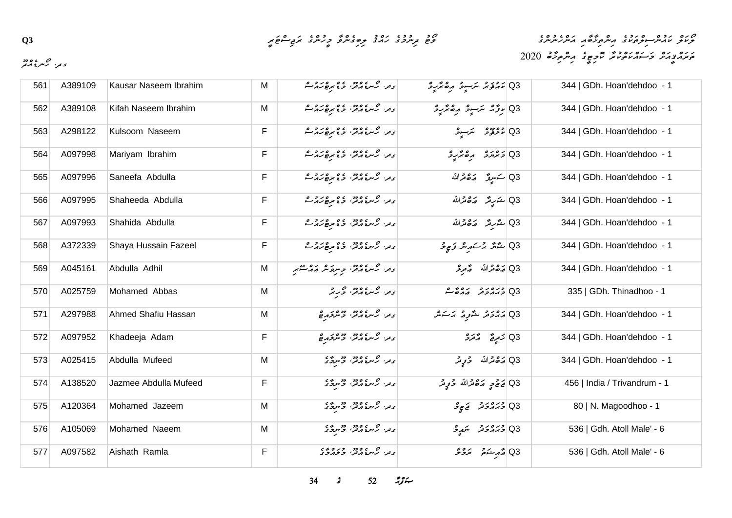*sCw7q7s5w7m< o<n9nOoAw7o< sCq;mAwBoEw7q<m; wBm;vB 2020<sup>, م</sup>وسوق المسجد التحقيق وسرمونية والم*جمع المسجد المسجد المسجد المسجد المسجد المسجد المسجد المسجد المسجد ال

| 561 | A389109 | Kausar Naseem Ibrahim | M | ومن كرس ودود المع و المرور و المحمد المرور المرور المرور المرور المرور المرور المرور المرور المرور المرور الم | Q3 عاڭرۇپر تىرىپوقە مەھەردى                                                                                                                                                                                                                                    | 344   GDh. Hoan'dehdoo - 1   |
|-----|---------|-----------------------|---|---------------------------------------------------------------------------------------------------------------|----------------------------------------------------------------------------------------------------------------------------------------------------------------------------------------------------------------------------------------------------------------|------------------------------|
| 562 | A389108 | Kifah Naseem Ibrahim  | M | ومن کرس دور ده ده در دره<br>دمن کرس دمن                                                                       | Q3   بروٌ مگر سر بره برگر برد                                                                                                                                                                                                                                  | 344   GDh. Hoan'dehdoo - 1   |
| 563 | A298122 | Kulsoom Naseem        | F | ومن کرس دور ده ده در دره<br>دمن کرس دمن                                                                       | Q3 <i>بالمؤثرة</i> مرّبة و                                                                                                                                                                                                                                     | 344   GDh. Hoan'dehdoo - 1   |
| 564 | A097998 | Mariyam Ibrahim       | F | ومن كرسي مرد و و و د و د و                                                                                    |                                                                                                                                                                                                                                                                | 344   GDh. Hoan'dehdoo - 1   |
| 565 | A097996 | Saneefa Abdulla       | F | צעי לייש תמי זי פי פי פי                                                                                      | Q3 كەس <i>وپۇ مەھ</i> قراللە                                                                                                                                                                                                                                   | 344   GDh. Hoan'dehdoo - 1   |
| 566 | A097995 | Shaheeda Abdulla      | F | ومن كرس ودور وه و و و دوره                                                                                    | Q3 كوس <b>تر ترگ ق</b> ىراللە                                                                                                                                                                                                                                  | 344   GDh. Hoan'dehdoo - 1   |
| 567 | A097993 | Shahida Abdulla       | F | ومن كرسوم ود وه ود د و و                                                                                      | Q3 گرى <i>گە مەھەردالل</i> ە                                                                                                                                                                                                                                   | 344   GDh. Hoan'dehdoo - 1   |
| 568 | A372339 | Shaya Hussain Fazeel  | F | ومن كرسي مرد و و و د و د و                                                                                    | Q3 غۇنگە ئەسكەر <i>بىل ق يې</i> خ                                                                                                                                                                                                                              | 344   GDh. Hoan'dehdoo - 1   |
| 569 | A045161 | Abdulla Adhil         | M | צעי צייע הפרי ביינט מי ההליטות                                                                                | Q3 كَرْجْ مْرْ لِلّه     كَرْ مَرْ تْرْ                                                                                                                                                                                                                        | 344   GDh. Hoan'dehdoo - 1   |
| 570 | A025759 | Mohamed Abbas         | м | ى قرار كەس كەرلىق ئۇرىر                                                                                       | $03 - 222$                                                                                                                                                                                                                                                     | 335   GDh. Thinadhoo - 1     |
| 571 | A297988 | Ahmed Shafiu Hassan   | M | ومن كرس ودور دور و                                                                                            | Q3 <i>كەنگەنگە</i> ھە <i>گەرگە كەسكەنل</i>                                                                                                                                                                                                                     | 344   GDh. Hoan'dehdoo - 1   |
| 572 | A097952 | Khadeeja Adam         | F | ومن كرس ووج ودور و                                                                                            | Q3 تَر <i>ْمِيعٌ مُ</i> تَرَكَّرُ                                                                                                                                                                                                                              | 344   GDh. Hoan'dehdoo - 1   |
| 573 | A025415 | Abdulla Mufeed        | M | צעי צייע ברבי ביינביב                                                                                         | Q3 كەھەرللە ئ <i>ۇي</i> تر                                                                                                                                                                                                                                     | 344   GDh. Hoan'dehdoo - 1   |
| 574 | A138520 | Jazmee Abdulla Mufeed | F | ציני צייט ברופי די פינדי ב                                                                                    | $\sigma$ ي جُ حِي صَرْهُ حَرْاللّه - حَرَمِ حَرْبِ                                                                                                                                                                                                             | 456   India / Trivandrum - 1 |
| 575 | A120364 | Mohamed Jazeem        | M | צעי צייע ברי די יש בי                                                                                         | $\begin{array}{cc} \mathcal{L}_{\mathcal{L}} & \mathcal{L}_{\mathcal{L}} & \mathcal{L}_{\mathcal{L}} & \mathcal{L}_{\mathcal{L}} \\ \mathcal{L}_{\mathcal{L}} & \mathcal{L}_{\mathcal{L}} & \mathcal{L}_{\mathcal{L}} & \mathcal{L}_{\mathcal{L}} \end{array}$ | 80   N. Magoodhoo - 1        |
| 576 | A105069 | Mohamed Naeem         | M | צעי צייע בלי די ישרא                                                                                          | Q3 <i>\$22,25 سَمدِ</i> \$                                                                                                                                                                                                                                     | 536   Gdh. Atoll Male' - 6   |
| 577 | A097582 | Aishath Ramla         | F | و در ه ده در دره در<br>وی کس دی کرد در                                                                        | لاي ئەرەشقى ئىكىنى ئىكىن ئىكىن ئىكىن ئىكىن ئىكىن ئىكىن ئىكىن ئىكىن ئىكىن ئىكىن ئىكىن $ \Omega3 $                                                                                                                                                               | 536   Gdh. Atoll Male' - 6   |

**34** *s* **52** *z***<sub>***f***</sub>**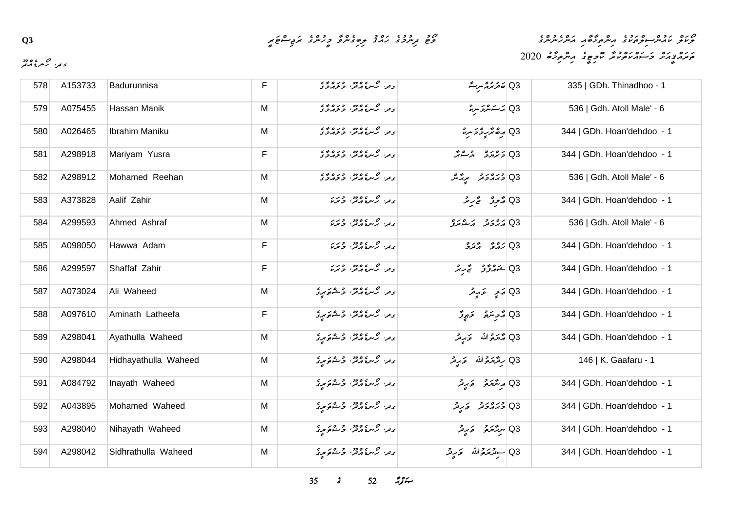*sCw7q7s5w7m< o<n9nOoAw7o< sCq;mAwBoEw7q<m; wBm;vB 2020<sup>, م</sup>وجدة المصرورة المجموعة المستورجة والم*جموعة والمجموعة والمجموعة والمجموعة والمجموعة والمجموعة والمجموعة

| 578 | A153733 | Badurunnisa          | F            | دىر. ر <i>ىس ەەھەرە بە</i> ء<br>دىر. رىس <i>ەھەرى</i>                                                             | Q3 <i>ھوتر پر سر</i> گ                       | 335   GDh. Thinadhoo - 1   |
|-----|---------|----------------------|--------------|-------------------------------------------------------------------------------------------------------------------|----------------------------------------------|----------------------------|
| 579 | A075455 | Hassan Manik         | M            | دىن كەس بەھ دىرەپە<br>دىن كەس مەتىر، جامەر دى                                                                     | Q3   ئەسەئىكە ئىبر <i>ى</i> ر                | 536   Gdh. Atoll Male' - 6 |
| 580 | A026465 | Ibrahim Maniku       | M            | ړین کرس وره دره وره ده<br>دین کرس ورود در                                                                         | Q3 <sub>مو</sub> ڭ ئۆرىي ئەس <sup>رى</sup> ر | 344   GDh. Hoan'dehdoo - 1 |
| 581 | A298918 | Mariyam Yusra        | $\mathsf F$  | دىن كەس 200 دىرەپ.<br>دىن كەس مەتىر، مەمەم دى                                                                     | Q3 <i>ويوه</i> و مرشو                        | 344   GDh. Hoan'dehdoo - 1 |
| 582 | A298912 | Mohamed Reehan       | M            | رىر. ر <i>ىس ۋە دە دە</i> بەر<br>رىر. رىس كەن                                                                     | Q3  <i>\$نەۋەقى بېرى</i> گىر                 | 536   Gdh. Atoll Male' - 6 |
| 583 | A373828 | Aalif Zahir          | M            | ى تىر، كەس كەن ئەترىرىم                                                                                           | Q3 <i>مُّعِردْ</i> مُحْرِسْمُ                | 344   GDh. Hoan'dehdoo - 1 |
| 584 | A299593 | Ahmed Ashraf         | M            | ړین کرس ورو، دربر<br>دین کرس ورتو، و برن                                                                          | Q3  كەبرو كەشلىرى                            | 536   Gdh. Atoll Male' - 6 |
| 585 | A098050 | Hawwa Adam           | $\mathsf{F}$ | ړی ري ري ده.<br>دی ري کردن وی                                                                                     | Q3 كەبۇ ئۇن <i>رۇ</i>                        | 344   GDh. Hoan'dehdoo - 1 |
| 586 | A299597 | Shaffaf Zahir        | F            | ى تىر، كەس كەن ئەترىرى                                                                                            | Q3 ش <i>ەرۇق تارى</i> تە                     | 344   GDh. Hoan'dehdoo - 1 |
| 587 | A073024 | Ali Waheed           | M            | ر مر س و دور و دور د و د                                                                                          |                                              | 344   GDh. Hoan'dehdoo - 1 |
| 588 | A097610 | Aminath Latheefa     | $\mathsf F$  | وفر کرس گرفته و مرد ده د                                                                                          | Q3 مٌ <i>جِسَعْۃَ خَفِيوَدٌ</i>              | 344   GDh. Hoan'dehdoo - 1 |
| 589 | A298041 | Ayathulla Waheed     | M            | وتر کرس ووو و وړ و                                                                                                | Q3 مُحَمَّدَة اللَّهُ عَ مِيعْر              | 344   GDh. Hoan'dehdoo - 1 |
| 590 | A298044 | Hidhayathulla Waheed | M            | دىن كەس مەدەر دەر بى                                                                                              | Q3   بِعَدَّمَرَةَ اللّه       قَرْبِهَرْ    | 146   K. Gaafaru - 1       |
| 591 | A084792 | Inayath Waheed       | M            | وفرا الرسمي ودوار والمحمد والمحمد والمحمد والمحمد والمحمد والمحمد والمحمد والمحمد والمحمد والمحمد والمحمد والمحمد | Q3 م <i>ېنگونۇ غې</i> وتر                    | 344   GDh. Hoan'dehdoo - 1 |
| 592 | A043895 | Mohamed Waheed       | M            | دىر. ر°س مەدر، ئ <sup>ە</sup> شەرىر،                                                                              | Q3 <i>وَبَرْوْدُو تَوَبِ</i> رْ              | 344   GDh. Hoan'dehdoo - 1 |
| 593 | A298040 | Nihayath Waheed      | M            |                                                                                                                   | Q3 س <i>رنگەنگە ق</i> ەربىگە                 | 344   GDh. Hoan'dehdoo - 1 |
| 594 | A298042 | Sidhrathulla Waheed  | M            | وتر کرس ووو و وړ و                                                                                                | Q3 سو <i>متر مترة</i> الله - قرير متر        | 344   GDh. Hoan'dehdoo - 1 |

**35** *s* **52** *n***<sub>y</sub> <b>***n*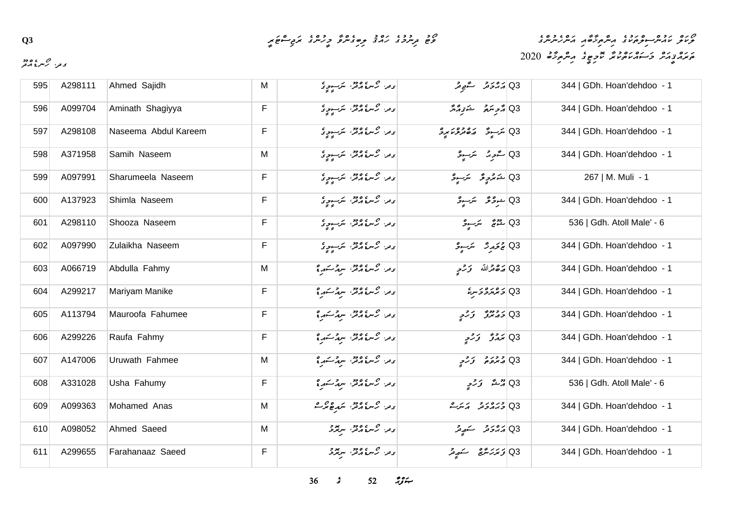*sCw7q7s5w7m< o<n9nOoAw7o< sCq;mAwBoEw7q<m; wBm;vB 2020<sup>, م</sup>وجدة المصرورة المجموعة المستورجة والم*جموعة والمجموعة والمجموعة والمجموعة والمجموعة والمجموعة والمجموعة

| 595 | A298111 | Ahmed Sajidh         | M           | ى تەر، ئۇسۇ مەكتى، ئىكرىسوچە ئى         | Q3   <i>دَ بْرْدَ دْتْر سُ</i> ّەمِ <i>تْرْ</i>         | 344   GDh. Hoan'dehdoo - 1 |
|-----|---------|----------------------|-------------|-----------------------------------------|---------------------------------------------------------|----------------------------|
| 596 | A099704 | Aminath Shagiyya     | F           | ى تەرەپ ئۇ ئۇق ئىرسولى                  | Q3 م <i>گرم مگرم گرم مگرم م</i> یگر                     | 344   GDh. Hoan'dehdoo - 1 |
| 597 | A298108 | Naseema Abdul Kareem | F           | دىن گەر، 29 كەن مەسورى                  | Q3 مَرْسِوڤ 20° مَرْحَرْمَ مِرْحَ                       | 344   GDh. Hoan'dehdoo - 1 |
| 598 | A371958 | Samih Naseem         | M           | ى قرار مى مەمەدىقى كەن مەمىرى           | Q3 گەمە <sup>چ</sup> ە سىرسونى                          | 344   GDh. Hoan'dehdoo - 1 |
| 599 | A097991 | Sharumeela Naseem    | F           | ى تەر، ئۇس كەن ئەس ئەس ئەس ئە           | Q3 ش <i>ەمر<sub>ىچ</sub>ى تىرسى</i> ر                   | 267   M. Muli - 1          |
| 600 | A137923 | Shimla Naseem        | $\mathsf F$ | ى قرار ھى ئام ھەرق ئىكرىسوچە ئ          | Q3 جو <i>و</i> گر - مرکز ک                              | 344   GDh. Hoan'dehdoo - 1 |
| 601 | A298110 | Shooza Naseem        | F           | ى قرار ھى مەمەدىق كىرگىسى ئ             | Q3 ڪُنيجَ سَرَسِ <i>وڤ</i>                              | 536   Gdh. Atoll Male' - 6 |
| 602 | A097990 | Zulaikha Naseem      | F           | ى قىر ، كەس كەن كەن ئىرىسى <i>يەن</i> ئ | Q3 <i>جُوَّرِدُ مَرْسِ</i> وْ                           | 344   GDh. Hoan'dehdoo - 1 |
| 603 | A066719 | Abdulla Fahmy        | M           | ى مر مى مى مەدر بىر مىدىكى مى           | Q3 كەڭ قورىسى ئۆزىر                                     | 344   GDh. Hoan'dehdoo - 1 |
| 604 | A299217 | Mariyam Manike       | F           | ى مر كرس ودى سر كرم و                   | Q3 كەنگە <i>كەنگە ئەرىئ</i>                             | 344   GDh. Hoan'dehdoo - 1 |
| 605 | A113794 | Mauroofa Fahumee     | F           | ى مى مى مەدەب سىدىسىدە                  | Q3 <i>وَدُيْرٌ وَرُوِ</i>                               | 344   GDh. Hoan'dehdoo - 1 |
| 606 | A299226 | Raufa Fahmy          | F           | ى مىن كىسكە ئەقرى سىدىكتىدى             | Q3  <i>بَرْہُ تَلَ تَرَجِ</i>                           | 344   GDh. Hoan'dehdoo - 1 |
| 607 | A147006 | Uruwath Fahmee       | M           | ىمى ئەس ئەمەس ئىرگىدە                   | Q3 <i>محموم وَرْدِ</i>                                  | 344   GDh. Hoan'dehdoo - 1 |
| 608 | A331028 | Usha Fahumy          | F           | كمحص متحدث سروكتها                      | Q3 ۾ شڪ تر <sup>ح</sup> ي                               | 536   Gdh. Atoll Male' - 6 |
| 609 | A099363 | Mohamed Anas         | M           | رى ئەرەبى ئىرەمى                        | $ 03 $ $\sim$ $\sim$ $\sim$ $\sim$ $\sim$ $\sim$ $\sim$ | 344   GDh. Hoan'dehdoo - 1 |
| 610 | A098052 | Ahmed Saeed          | M           | ئەس كەس دەھقى سەيدى                     | Q3 <i>مەردى ئىم</i> ەتر                                 | 344   GDh. Hoan'dehdoo - 1 |
| 611 | A299655 | Farahanaaz Saeed     | F           | ى قىرا كەس 200 س <i>ى</i> پىرىگە        | Q3 <i>وَ تَدَرَ مَرَّجْ _ سَهِ قَرْ</i>                 | 344   GDh. Hoan'dehdoo - 1 |

**36** *s* **52** *n***<sub>y</sub> <b>***n*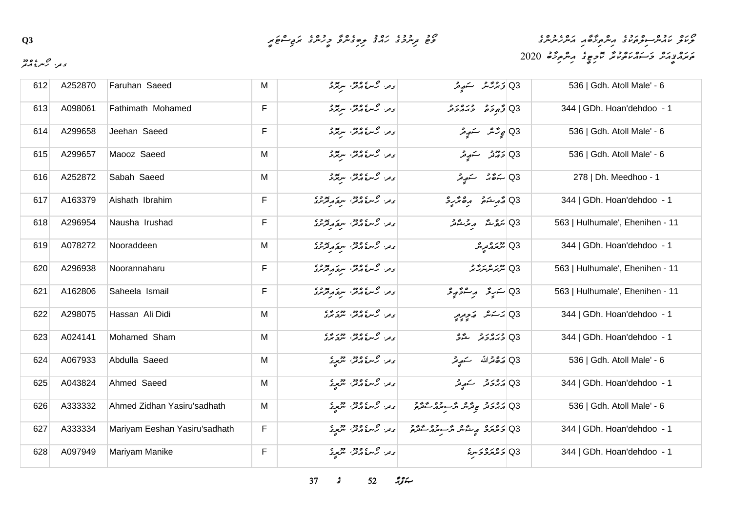*sCw7q7s5w7m< o<n9nOoAw7o< sCq;mAwBoEw7q<m; wBm;vB* م من المسجد المسجد المسجد المسجد المسجد العام 2020<br>مسجد المسجد المسجد المسجد المسجد المسجد المسجد المسجد المسجد ال

| 612 | A252870 | Faruhan Saeed                 | M            | ئەمەر مىسكەر ئەمەر ئىس ئىرىگەر<br>  ئەمەر مىسكەر ئىس ئىس ئىرىگەر                                       | Q3 كۈنىزنىڭ سى <i>مبەن</i> ز                   | 536   Gdh. Atoll Male' - 6      |
|-----|---------|-------------------------------|--------------|--------------------------------------------------------------------------------------------------------|------------------------------------------------|---------------------------------|
| 613 | A098061 | Fathimath Mohamed             | F            | <sub>م</sub> ی کس دور سربرد                                                                            | Q3 <i>وَّجِعَةْ حَيَدْ دَوَ</i> رَ             | 344   GDh. Hoan'dehdoo - 1      |
| 614 | A299658 | Jeehan Saeed                  | F            | ى قرار كەس كەن ئەس بىرى<br>ئ                                                                           | Q3   م <sub>ح</sub> رثہ سے میں تھ              | 536   Gdh. Atoll Male' - 6      |
| 615 | A299657 | Maooz Saeed                   | M            | ى قرار مىس ئەھ بىر ئىس ئىرىمى ئىس                                                                      | Q3 كەنتىق سى <i>مپى</i> تر                     | 536   Gdh. Atoll Male' - 6      |
| 616 | A252872 | Sabah Saeed                   | M            | ى قرار كەس كەن ئەس بىرى                                                                                | Q3 بەن <i>تەنتى</i> سەربىتىر                   | 278   Dh. Meedhoo - 1           |
| 617 | A163379 | Aishath Ibrahim               | F            | ومن كرس ودو. سرخ موضوع                                                                                 | Q3 <i>مۇم شەھ مەھەتگەي</i> گە                  | 344   GDh. Hoan'dehdoo - 1      |
| 618 | A296954 | Nausha Irushad                | F            | رور، حرس ورود.<br>المحمد، حرس المحمد المحمد المحمد المحمد المحمد المحمد المحمد المحمد المحمد المحمد ال | Q3 <i>مَرَهْتُہ بِہ بُرْتُ مَّ</i> رَ          | 563   Hulhumale', Ehenihen - 11 |
| 619 | A078272 | Nooraddeen                    | M            | ومن كرسية أرود. سيع أربوع                                                                              | Q3 مىز مەھمەر مىر                              | 344   GDh. Hoan'dehdoo - 1      |
| 620 | A296938 | Noorannaharu                  | F            | دىن كەس 200 بودى.<br>دىن كەس 200 سىۋە تەرىرى                                                           | Q3 تېرىگەنگەنگە                                | 563   Hulhumale', Ehenihen - 11 |
| 621 | A162806 | Saheela Ismail                | $\mathsf{F}$ | دو. حسن معدد معدود.<br>دو. حسن مایل سرچ مایلوری                                                        | Q3   سَرِءٌ مِرِ سُمَّةٍ مِرْءُ                | 563   Hulhumale', Ehenihen - 11 |
| 622 | A298075 | Hassan Ali Didi               | M            | געי ריי משורש ברי מיט.<br>געי ריימוש וליט, ייטב זעב                                                    | Q3   پرسكى   كەيۋەير                           | 344   GDh. Hoan'dehdoo - 1      |
| 623 | A024141 | Mohamed Sham                  | M            |                                                                                                        | $22.202$ $22.203$                              | 344   GDh. Hoan'dehdoo - 1      |
| 624 | A067933 | Abdulla Saeed                 | M            | ى قرار ئىس كەن ئەتەر ئە                                                                                | Q3 كەڭداللە كى <i>رون</i> گە                   | 536   Gdh. Atoll Male' - 6      |
| 625 | A043824 | Ahmed Saeed                   | M            | دین کرس مرین امریزی                                                                                    | Q3 <i>مَدْدَة. سَهِيرْ</i>                     | 344   GDh. Hoan'dehdoo - 1      |
| 626 | A333332 | Ahmed Zidhan Yasiru'sadhath   | M            | دىن كەس مەدەبىرى<br>  دىن كەس مەدىن شىرى                                                               | Q3 <i>ב</i> לב <i>ב ב قرىگە قرىسى قرەڭ قرە</i> | 536   Gdh. Atoll Male' - 6      |
| 627 | A333334 | Mariyam Eeshan Yasiru'sadhath | F            | دىن كەسكەر 30 مەسىرى                                                                                   | Q3 کو مرمز د پر شوره کرد و د بر د دره          | 344   GDh. Hoan'dehdoo - 1      |
| 628 | A097949 | Mariyam Manike                | F            | ى قىر ، كەس كەن بىر ئەس بىرى                                                                           | Q3 كەبىر <i>بىر بىرىتى</i>                     | 344   GDh. Hoan'dehdoo - 1      |

**37** *s* **52** *z***<sub>***f***</sub>**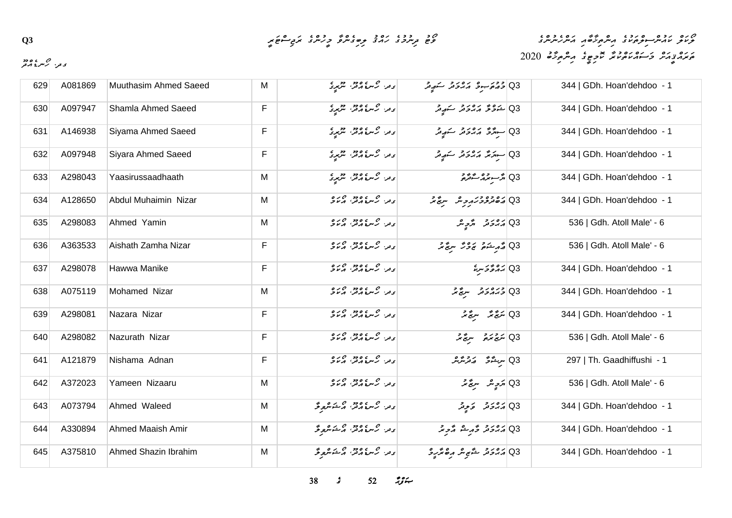*sCw7q7s5w7m< o<n9nOoAw7o< sCq;mAwBoEw7q<m; wBm;vB 2020<sup>, م</sup>وجدة المصرورة المجموعة المستورجة والم*جموعة والمجموعة والمجموعة والمجموعة والمجموعة والمجموعة والمجموعة

| 629 | A081869 | Muuthasim Ahmed Saeed    | M           | ى قىر ، گرىس؟ مەقىر ، مىزىيرى                             | Q3  35 جمع شرح مرکز بر ایرانی میگرد           | 344   GDh. Hoan'dehdoo - 1 |
|-----|---------|--------------------------|-------------|-----------------------------------------------------------|-----------------------------------------------|----------------------------|
| 630 | A097947 | Shamla Ahmed Saeed       | $\mathsf F$ | ى تىر ، ھى مىڭ مەر بىرى .<br>ئىس ئاس ئىرلىرى ، سىرىرى     | Q3 خۇقۇ كەبر <i>ۇقر سەم</i> بەتر              | 344   GDh. Hoan'dehdoo - 1 |
| 631 | A146938 | Siyama Ahmed Saeed       | F           | ى قرار كەس كەن ئەرەر ئەن ئىرى<br>ئىس كەس كەنتىرى ئىس بىرى | Q3 سەئەم كەندى كەر ئىككە بىر ئىككە بىر        | 344   GDh. Hoan'dehdoo - 1 |
| 632 | A097948 | Siyara Ahmed Saeed       | F           | ى قرار ئىس كەن ئەتەر ئە                                   | Q3 سىرىگە ئەكەنى سەرىپەر                      | 344   GDh. Hoan'dehdoo - 1 |
| 633 | A298043 | Yaasirussaadhaath        | м           |                                                           | Q3 گەسىمە <i>ر شەقرە</i>                      | 344   GDh. Hoan'dehdoo - 1 |
| 634 | A128650 | Abdul Muhaimin Nizar     | M           | ړی ري ده ده ده ده<br>دی رسومان                            | Q3 مەھەر <i>25 دەرە بىر</i> سى <i>نى قى</i> ر | 344   GDh. Hoan'dehdoo - 1 |
| 635 | A298083 | Ahmed Yamin              | M           | ړیں گرس ورد اور دره<br>دی گرس مریض مربر و                 | Q3  <i>كەنگە كىڭ مۇج</i> ىر                   | 536   Gdh. Atoll Male' - 6 |
| 636 | A363533 | Aishath Zamha Nizar      | F           | ى تىر، كەس كەن ئەرە                                       | Q3 مەم ئىقتىم ئىم ئىگە ئىس ئىم                | 536   Gdh. Atoll Male' - 6 |
| 637 | A298078 | Hawwa Manike             | $\mathsf F$ | ى قرار مى مەمدە ئەرە                                      | Q3 ئەرمەتى ئىرىئە                             | 344   GDh. Hoan'dehdoo - 1 |
| 638 | A075119 | <b>Mohamed Nizar</b>     | M           | ى تىر، كەس كەن ئەرە                                       | Q3 <i>دېمم</i> ونه سرچ کړ                     | 344   GDh. Hoan'dehdoo - 1 |
| 639 | A298081 | Nazara Nizar             | $\mathsf F$ | <i>ى تەن ھەرەھەر ھەرە</i>                                 | Q3 سَيِّءَ سِيِّءَ                            | 344   GDh. Hoan'dehdoo - 1 |
| 640 | A298082 | Nazurath Nizar           | F           | ړی ره سره ده ده ده ده ده ده ده ده د                       | Q3 س <i>مع مَرة</i> سِمَّة مُر                | 536   Gdh. Atoll Male' - 6 |
| 641 | A121879 | Nishama Adnan            | $\mathsf F$ | ړی ره ده مړه ده ده ده ده ده ده ده د                       | Q3 س <i>رڪر گرمگرنگر</i>                      | 297   Th. Gaadhiffushi - 1 |
| 642 | A372023 | Yameen Nizaaru           | M           | <i>ى تەن ھەرەھەر ھەرە</i>                                 | Q3 أ <i>مَّدٍ شَرِيعٌ مِ</i>                  | 536   Gdh. Atoll Male' - 6 |
| 643 | A073794 | Ahmed Waleed             | м           | ىمىن كەس مەدىر، كەنت ئىرىم ئ                              | Q3  كەندى قى كەنبە قىلىپ ئىلگەن ئاپلىقى ئا    | 344   GDh. Hoan'dehdoo - 1 |
| 644 | A330894 | <b>Ahmed Maaish Amir</b> | M           | ىمى ئەمغەمى مىشكەرگە                                      | Q3 <i>مُدْدَوَنْدْ دُوجْهْ مُ</i> ْحِجْدُ     | 344   GDh. Hoan'dehdoo - 1 |
| 645 | A375810 | Ahmed Shazin Ibrahim     | M           | ىمىن كەسلەم قىر كەشكە ھەم ئى                              | Q3 <i>كەنگەنگە ھەتبەر مەھەتگەر</i> 2          | 344   GDh. Hoan'dehdoo - 1 |

**38** *s* **52** *n***<sub>y</sub> <b>***n*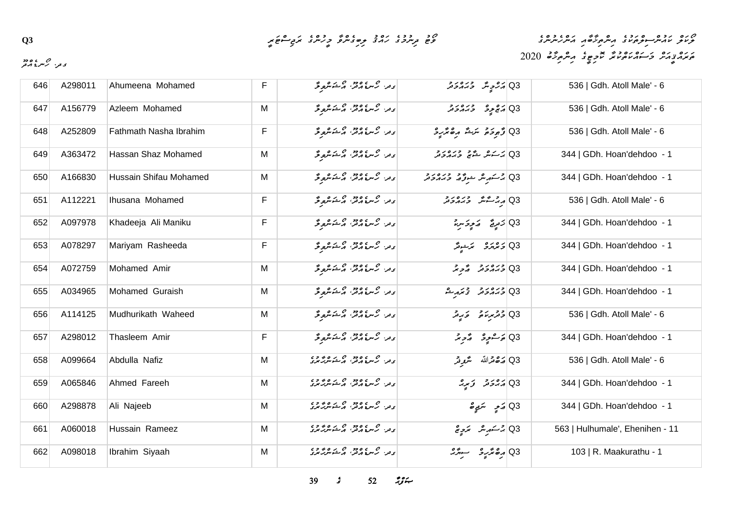*sCw7q7s5w7m< o<n9nOoAw7o< sCq;mAwBoEw7q<m; wBm;vB 2020<sup>, م</sup>وجدة المصرورة المجموعة المستورجة والم*جموعة والمجموعة والمجموعة والمجموعة والمجموعة والمجموعة والمجموعة

| 646 | A298011 | Ahumeena Mohamed       | F            | ىمىن كەس مەق كەشكەھ ئ                                                                                           | Q3   در عبر المرد و در مرد و در حسن<br>  Q3                               | 536   Gdh. Atoll Male' - 6      |
|-----|---------|------------------------|--------------|-----------------------------------------------------------------------------------------------------------------|---------------------------------------------------------------------------|---------------------------------|
| 647 | A156779 | Azleem Mohamed         | M            | ىمىن كەسلەم قىر كەشكە ھەم ئى                                                                                    | Q3  كانجام في المحدد المحمد المحمد الم                                    | 536   Gdh. Atoll Male' - 6      |
| 648 | A252809 | Fathmath Nasha Ibrahim | F            | ىمىز، كەس مەھىر، كەشكەھلىرى ئى                                                                                  | Q3 <i>وَّجِوَدَةُ</i> مَرْئَة <i>ُ مِـ&amp;مَرْرِدْ</i>                   | 536   Gdh. Atoll Male' - 6      |
| 649 | A363472 | Hassan Shaz Mohamed    | M            | ىمىن كەس مەدەر، كەشكەھلىرى ئ                                                                                    | Q3 بَرْسَمْرْ حَدَّمْ وَبَرْدُونْدْ                                       | 344   GDh. Hoan'dehdoo - 1      |
| 650 | A166830 | Hussain Shifau Mohamed | M            | ى تىر، كەس كەن كەن كەن ئىشرى ئى                                                                                 | Q3 يُرْسَمبِ شَرِ وُمَنْ مُحَمَّدٍ وَمَنْ مُحَمَّدٍ مِنْ الْمَحْمَدِ مِنْ | 344   GDh. Hoan'dehdoo - 1      |
| 651 | A112221 | Ihusana Mohamed        | $\mathsf F$  | ىمىن كەس مەدىر، كەشكەھ ئى                                                                                       | Q3 مەششىر <i>مەم</i> مەدىر                                                | 536   Gdh. Atoll Male' - 6      |
| 652 | A097978 | Khadeeja Ali Maniku    | F            | ىمىن كەس مەم كەن كەشكە بىر ئە                                                                                   | Q3 كَتَرِيعٌ - <i>مَرْجِ</i> كَسِرْتُمْ-                                  | 344   GDh. Hoan'dehdoo - 1      |
| 653 | A078297 | Mariyam Rasheeda       | $\mathsf F$  | ىمىن كەس مەدەر، كەشكەھلىرى ئ                                                                                    | Q3 ك <i>ر بركر كم بركسوم</i> گر                                           | 344   GDh. Hoan'dehdoo - 1      |
| 654 | A072759 | Mohamed Amir           | M            | ى تىر. كەس ھەت كەشكە ھەت ئىس ئۇ                                                                                 | Q3 <i>كەنە ئەڭ مەج</i> تر                                                 | 344   GDh. Hoan'dehdoo - 1      |
| 655 | A034965 | Mohamed Guraish        | M            | ىمىن كەس مەدەر، كەشكەھلىرى ئ                                                                                    | Q3 <i>وبرودو وبرم</i>                                                     | 344   GDh. Hoan'dehdoo - 1      |
| 656 | A114125 | Mudhurikath Waheed     | M            | ىمىن كەس مەدىر، كەشكەھ ئى                                                                                       | Q3 <i>دېمبرمنو ځې</i> وتر                                                 | 536   Gdh. Atoll Male' - 6      |
| 657 | A298012 | Thasleem Amir          | $\mathsf{F}$ | ى تىر، كەس كەن كەن كەشقە ئە                                                                                     | Q3 كۈشۈ <i>چە مۇجەت</i> ر                                                 | 344   GDh. Hoan'dehdoo - 1      |
| 658 | A099664 | Abdulla Nafiz          | M            | وی کرس وود می دره د و و و<br>وی کرس دی کرک مرکب مرکز                                                            | Q3 كەڭ قىراللە گىرىمىتى بىر                                               | 536   Gdh. Atoll Male' - 6      |
| 659 | A065846 | Ahmed Fareeh           | M            | وی کسی مرد هست سره به وی                                                                                        | Q3 <i>كەندى كى تىرى</i> گ                                                 | 344   GDh. Hoan'dehdoo - 1      |
| 660 | A298878 | Ali Najeeb             | M            | دىن گىستە ەەدەرە بەرەپە دە<br>دىن گىستە ئارىن ئاستىلىرى بىرى                                                    | Q3 <i>کی چ</i> س <i>کھ</i> ی                                              | 344   GDh. Hoan'dehdoo - 1      |
| 661 | A060018 | Hussain Rameez         | M            | وفرز المحر موجود الملح المحرور والمحدود والمحرور والمحرور والمحرور والمحرور والمحرور والمحرور والمحرور والمحرور | Q3   جر <i>سَمبر مُدَّج ج</i>                                             | 563   Hulhumale', Ehenihen - 11 |
| 662 | A098018 | Ibrahim Siyaah         | M            | وفر کرس ورود ہے کہ و و و و و و و تا                                                                             | Q3 رەڭزىر ئىش <sup>ى</sup> ر                                              | 103   R. Maakurathu - 1         |

**39** *s* **52** *z s*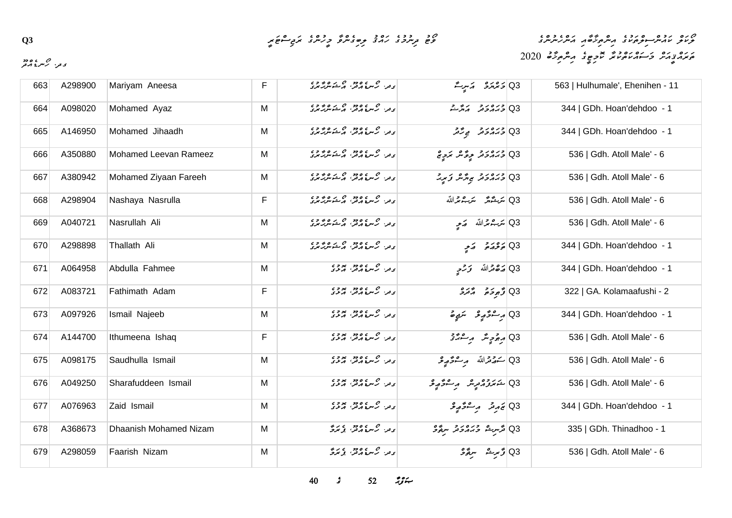*sCw7q7s5w7m< o<n9nOoAw7o< sCq;mAwBoEw7q<m; wBm;vB 2020<sup>, م</sup>وسوق المسجد التحقيق وسرمونية والم*جمع المسجد المسجد المسجد المسجد المسجد المسجد المسجد المسجد المسجد ال

| 663 | A298900 | Mariyam Aneesa         | F           |                                                          | Q3 كەنگە <i>ردە كەيدى</i> گە                           | 563   Hulhumale', Ehenihen - 11 |
|-----|---------|------------------------|-------------|----------------------------------------------------------|--------------------------------------------------------|---------------------------------|
| 664 | A098020 | Mohamed Ayaz           | M           | وی کس وہ صحیح دہ دہ                                      | Q3 <i>وبرودند م</i> رگزشه                              | 344   GDh. Hoan'dehdoo - 1      |
| 665 | A146950 | Mohamed Jihaadh        | м           | ى تىر كەس كەردە كەر مەھ دە                               | Q3  <i>3223 ق م</i> ترتر                               | 344   GDh. Hoan'dehdoo - 1      |
| 666 | A350880 | Mohamed Leevan Rameez  | M           | وی کرس وہ میں دوسر دو                                    | Q3  <i>وْبَهْدُوَمْ</i> مِوِمَّةٌ مَرَ <i>دٍ جْ</i>    | 536   Gdh. Atoll Male' - 6      |
| 667 | A380942 | Mohamed Ziyaan Fareeh  | M           | ى تەرەپ ھەر بىر ھەر دە                                   | Q3  <i>دېمم</i> رد پر پر تر تر برج                     | 536   Gdh. Atoll Male' - 6      |
| 668 | A298904 | Nashaya Nasrulla       | $\mathsf F$ | وتر، کرس وور می دره بود و د<br>وتر، کرس ورتر، ورکشوس مرد | Q3 سَرَحْتَهُرَّ سَرَبْ مِرَ اللّه                     | 536   Gdh. Atoll Male' - 6      |
| 669 | A040721 | Nasrullah Ali          | M           | ى تىر كەس كەردە كەر مەھ دە                               | Q3 مَرْبِّدْتِمْرَاللَّه <sub>ض</sub> َعِ              | 536   Gdh. Atoll Male' - 6      |
| 670 | A298898 | Thallath Ali           | M           | د د. کرس ورو او در ورو و د<br>د د. کرس ورتر، او شوس برد  | Q3 <i>جَرْحْهُ جَ</i> بِرَ                             | 344   GDh. Hoan'dehdoo - 1      |
| 671 | A064958 | Abdulla Fahmee         | M           | ړین کرس وروپه پروه<br>ډین کرس ورون اولاد                 | Q3 كەھ قىراللە     تۈڭ ج <sub>ە</sub>                  | 344   GDh. Hoan'dehdoo - 1      |
| 672 | A083721 | Fathimath Adam         | F           | ړی ره ده پروه<br>ډېر رګېږو هغر هغوی                      | Q3 <i>وَّجِوَۃ مُ</i> مَرَّدُ                          | 322   GA. Kolamaafushi - 2      |
| 673 | A097926 | Ismail Najeeb          | M           | ړین کرس وروپه پرول<br>ډین کرس کرین اړبرې                 | $\omega_{\rm g}$ مِ سَرَّم کِمْ مِنْ $\sim$ 03         | 344   GDh. Hoan'dehdoo - 1      |
| 674 | A144700 | Ithumeena Ishaq        | F           | ړی ره ده پروه<br>ډېر رګېږو هغر هغوی                      | Q3 رچ <sub>و</sub> پٹر برگ پڑ                          | 536   Gdh. Atoll Male' - 6      |
| 675 | A098175 | Saudhulla Ismail       | M           | ړین کرس وروپه پروه<br>ډین کرس ورتن اولوي                 | Q3 كەمەتراللە ب <i>ەشۇرى</i> تو                        | 536   Gdh. Atoll Male' - 6      |
| 676 | A049250 | Sharafuddeen Ismail    | M           | ړی ره ده پروه<br>ډېر رګېږو هغر هغوی                      | Q3 خەترۇم يوپىر ب <sub>ە</sub> ر مەئزى <sub>م</sub> ىۋ | 536   Gdh. Atoll Male' - 6      |
| 677 | A076963 | Zaid Ismail            | M           | ړی ره ده پروه<br>دې رسومان                               | Q3 كۆرى <i>گە بې</i> شۇرېدى                            | 344   GDh. Hoan'dehdoo - 1      |
| 678 | A368673 | Dhaanish Mohamed Nizam | M           | ړی ره په ده ده ده<br>دین کرس کامرفر، ب <u>و</u> برگ      | Q3 تَرْسِيْدْ وْبَرْدْوَتْرْ سِيَّرْوْ                 | 335   GDh. Thinadhoo - 1        |
| 679 | A298059 | Faarish Nizam          | M           | ړين کرس ورو دي ده.<br>د تر کرس و ټرنو او مرح             | Q3 <i>وُم</i> رِث مِر <i>مَّة وَ</i>                   | 536   Gdh. Atoll Male' - 6      |

*40 sC 52 nNw?mS*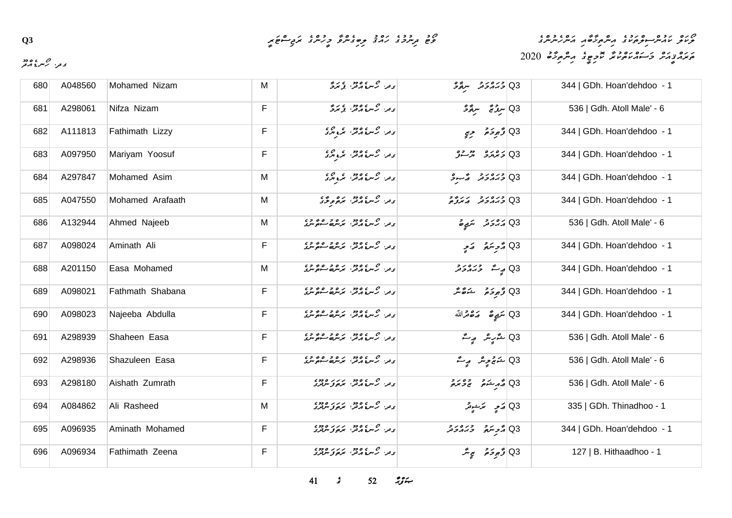*sCw7q7s5w7m< o<n9nOoAw7o< sCq;mAwBoEw7q<m; wBm;vB 2020<sup>, م</sup>وسوق المسجد التحقيق وسرمونية والم*جمع المسجد المسجد المسجد المسجد المسجد المسجد المسجد المسجد المسجد ال

| 680 | A048560 | Mohamed Nizam    | M            | ى قرار مىس كەرەر بىر ئەرەر                                                                                                                                                                                                       | Q3  <i>2223 مرتگ<sup>2</sup></i>           | 344   GDh. Hoan'dehdoo - 1 |
|-----|---------|------------------|--------------|----------------------------------------------------------------------------------------------------------------------------------------------------------------------------------------------------------------------------------|--------------------------------------------|----------------------------|
| 681 | A298061 | Nifza Nizam      | F            | ى قرار مى مەركى ئەركى ئەركى ئىل                                                                                                                                                                                                  | Q3 سِرْجٌ سِمَّرَدُ                        | 536   Gdh. Atoll Male' - 6 |
| 682 | A111813 | Fathimath Lizzy  | $\mathsf F$  | دىن كەس 200 كى 200.<br>دىن كەس 200 كى يونى                                                                                                                                                                                       | Q3 <i>وگيوڅو چي</i>                        | 344   GDh. Hoan'dehdoo - 1 |
| 683 | A097950 | Mariyam Yoosuf   | $\mathsf{F}$ | ى تىر بىر سى مەھرىپ مەھرى<br>ئى تىر بىر سىيا مەھرىكى بىر ئىر بىرى                                                                                                                                                                | Q3 <i>كې</i> رېزو ترمنو                    | 344   GDh. Hoan'dehdoo - 1 |
| 684 | A297847 | Mohamed Asim     | M            | دىن كەس 200 كى مىڭ 20                                                                                                                                                                                                            | Q3  <i>وبزوونز وب</i> ه                    | 344   GDh. Hoan'dehdoo - 1 |
| 685 | A047550 | Mohamed Arafaath | M            | رىر. ر <i>ىس ئەمەد بەھ بو</i> رى.<br>رىر. رىس مەس                                                                                                                                                                                | Q3 <i>وبروبرو مترق</i> و                   | 344   GDh. Hoan'dehdoo - 1 |
| 686 | A132944 | Ahmed Najeeb     | M            | د د. د ده د ده د ه د د د د د د د د<br>د د. د سره بر د. مرسره سوه سر                                                                                                                                                              | Q3  <i>كەنگەنىڭ سىرى ئ</i>                 | 536   Gdh. Atoll Male' - 6 |
| 687 | A098024 | Aminath Ali      | F            | ړی ده ده ده ده ده ده ده.<br>دی کسي دی برس                                                                                                                                                                                        | Q3 أ <i>مَّ حِيسَة مَّةٍ</i>               | 344   GDh. Hoan'dehdoo - 1 |
| 688 | A201150 | Easa Mohamed     | M            | ومن کر دی وجود اور دی وارد و در در کارون کرد که در در کارون کرد که در این کارون که در این کارون که در این کارو<br>مردم کردن کارون کردن کارون کردن کردن که در این کارون کردن که در این کارون که در این کارون که در این کارون که د | Q3 م <sub>ە</sub> ت ئەيمەدىر               | 344   GDh. Hoan'dehdoo - 1 |
| 689 | A098021 | Fathmath Shabana | F            | د تر ده ده ده ده و ده ده<br>د تر رسو مرتب مرس ها سو سر                                                                                                                                                                           | Q3 <i>وَّجِودَة</i> شَقَّعَہ               | 344   GDh. Hoan'dehdoo - 1 |
| 690 | A098023 | Najeeba Abdulla  | F            | وتر کرس 200 در 200 ورو 2<br>وتر کرس دتر تر سر 200 سورس                                                                                                                                                                           | Q3 <i>مَتْعِيرةُ 1 مَنْ قَ</i> مَّرَاللَّه | 344   GDh. Hoan'dehdoo - 1 |
| 691 | A298939 | Shaheen Easa     | F            | ړی ده ده ده ده ده ده ده.<br>دی کسي دی برس                                                                                                                                                                                        | Q3  گەرپى <i>گە</i> ب <sub>و</sub> سە      | 536   Gdh. Atoll Male' - 6 |
| 692 | A298936 | Shazuleen Easa   | F            | ړی ده ده ده ده ده ده ده<br>ري کرسۍ دند، ترسره سوړس                                                                                                                                                                               | Q3 خۇمچمىر م <sub>و</sub> ستە              | 536   Gdh. Atoll Male' - 6 |
| 693 | A298180 | Aishath Zumrath  | F            | وفر کرس وہ در در وہ دور<br>وفر کرس ارفر مربوق س                                                                                                                                                                                  | $Q3$ مُجْمَدِ مِشْهَمْ مَحْمَدَ مِنْ       | 536   Gdh. Atoll Male' - 6 |
| 694 | A084862 | Ali Rasheed      | M            | وتر کرس وور دربر وود .<br>وتر کرس ارتر بروژ سرتری                                                                                                                                                                                | Q3 <i>أەڭمچ</i> - تم <i>َ</i> شوش          | 335   GDh. Thinadhoo - 1   |
| 695 | A096935 | Aminath Mohamed  | F            | د من ره ده در دره ده ده<br>د من رگسوی من برخود سرمرد                                                                                                                                                                             | Q3 أ <i>مُّجِسَعْ دَيَدُونَد</i>           | 344   GDh. Hoan'dehdoo - 1 |
| 696 | A096934 | Fathimath Zeena  | F            | د تر به عروف بربر دود .<br>د تر بر سره بر تر از برجو برتر د                                                                                                                                                                      | Q3 <i>وگوڅو پې</i> گر                      | 127   B. Hithaadhoo - 1    |

*41 <i>s 52 <i>n*<sub>1</sub>; *s*<sub>1</sub>; *s*<sub>1</sub>; *s*<sub>1</sub>; *s*<sub>1</sub>; *s*<sub>1</sub>; *s*<sub>1</sub>; *s*<sub>1</sub>; *s*<sub>1</sub>; *s*<sub>1</sub>; *s*<sub>1</sub>; *s*<sub>1</sub>; *s*<sub>1</sub>; *s*<sub>1</sub>; *s*<sub>1</sub>; *s*<sub>1</sub>; *s*<sub>1</sub>; *s*<sub>1</sub>; *s*<sub>1</sub>; *s*<sub>1</sub>; *s*<sub>1</sub>; *s*<sub>1</sub>; *s*<sub>1</sub>; *s*<sub>1</sub>; *s*<sub>1</sub>; *s*<sub>1</sub>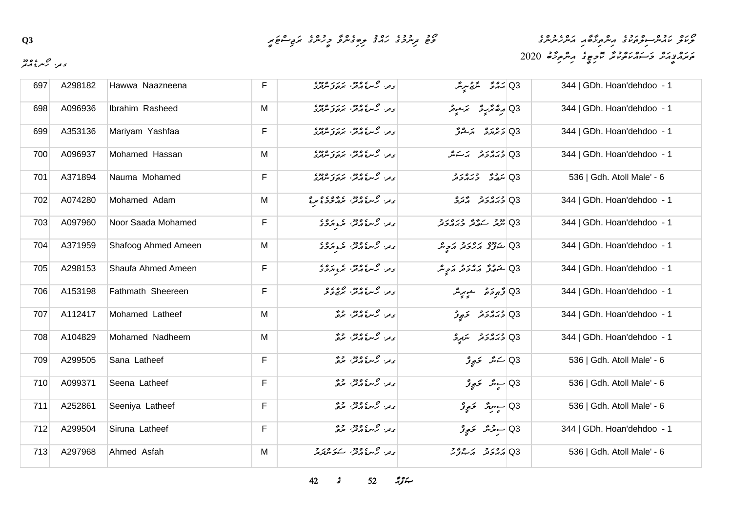*sCw7q7s5w7m< o<n9nOoAw7o< sCq;mAwBoEw7q<m; wBm;vB* م من المسجد المسجد المسجد المسجد المسجد العام 2020<br>مسجد المسجد المسجد المسجد المسجد المسجد المسجد المسجد المسجد ال

| 697 | A298182 | Hawwa Naazneena     | F           | ړی کرس ده.<br>دی کرس دری برجوړ سرچری                                                                          | Q3  <i>ئەنگەڭ مەنگى</i> توپىگە           | 344   GDh. Hoan'dehdoo - 1 |
|-----|---------|---------------------|-------------|---------------------------------------------------------------------------------------------------------------|------------------------------------------|----------------------------|
| 698 | A096936 | Ibrahim Rasheed     | M           | د من ره ده در در ده ده د<br>د من رگسو مرتب مرد و سربرد                                                        | Q3 م <i>ِ®مَّرْرٍ\$ مَرْشِيةَر</i> ْ     | 344   GDh. Hoan'dehdoo - 1 |
| 699 | A353136 | Mariyam Yashfaa     | F           | وی کس ورو در دوره<br>وی کس دیگری مردوس                                                                        | Q3 كەنگەر كەرگە ئى                       | 344   GDh. Hoan'dehdoo - 1 |
| 700 | A096937 | Mohamed Hassan      | M           | و در دوده در دره دود.<br>و در کرس از دور استرو در در                                                          | Q3 <i>دېم دور</i> برخش                   | 344   GDh. Hoan'dehdoo - 1 |
| 701 | A371894 | Nauma Mohamed       | F           | د در ۱۶۶۵ در در دود.<br>د در کرس د د در عروف س                                                                | Q3 <i>شەڭ جەم</i> ەرىر                   | 536   Gdh. Atoll Male' - 6 |
| 702 | A074280 | Mohamed Adam        | M           | دىن كەس بەھ ئەمەدە ئەرە                                                                                       | Q3 <i>جەممى بىر مەمرى</i>                | 344   GDh. Hoan'dehdoo - 1 |
| 703 | A097960 | Noor Saada Mohamed  | F           | رور، کرس ورو، دره دره د                                                                                       | Q3 يتريز س <i>ترة. بحر دو</i> ر در       | 344   GDh. Hoan'dehdoo - 1 |
| 704 | A371959 | Shafoog Ahmed Ameen | M           | ومن كرس ودور و روه                                                                                            | Q3 شۇقۇق ئ <i>ەبرىق ئەبە</i> ر           | 344   GDh. Hoan'dehdoo - 1 |
| 705 | A298153 | Shaufa Ahmed Ameen  | F           | دىن كەس مەدەر كەرەك<br>دىن كەس مەدىن سى مەدىر                                                                 | Q3 خە <i>مۇ مەدەنە مۇم</i> رىر           | 344   GDh. Hoan'dehdoo - 1 |
| 706 | A153198 | Fathmath Sheereen   | F           |                                                                                                               | Q3 <i>وَّج<sub>و</sub>دَة</i> شِيتِيْتَر | 344   GDh. Hoan'dehdoo - 1 |
| 707 | A112417 | Mohamed Latheef     | M           | ړی ره ده وه<br>دی رسومان                                                                                      | Q3 <i>دېممردنگ خپو</i> گر                | 344   GDh. Hoan'dehdoo - 1 |
| 708 | A104829 | Mohamed Nadheem     | M           | ى قرار كى سى 30 قام 2 قام 2 قام 2 قام 2 قام 2 قام 2 قام 2 قام 2 قام 2 قام 2 قام 2 قام 2 قام 2 قام 2 قام 2 قام | $\mathbb{R}$ جەيرى ئىبرى $\sim$          | 344   GDh. Hoan'dehdoo - 1 |
| 709 | A299505 | Sana Latheef        | F           | ى قرار كەس 200 مۇرى بولۇ                                                                                      | Q3 سەنئر    ق <sub>ات</sub> جونۇ         | 536   Gdh. Atoll Male' - 6 |
| 710 | A099371 | Seena Latheef       | F           | ى قرار كەس 200 مۇرى بولۇ                                                                                      |                                          | 536   Gdh. Atoll Male' - 6 |
| 711 | A252861 | Seeniya Latheef     | F           | ى قرار كى سى 30 قام 2 قام 2 قام 2 قام 2 قام 2 قام 2 قام 2 قام 2 قام 2 قام 2 قام 2 قام 2 قام 2 قام 2 قام 2 قام | 03 سېپىر ئىم <u>ب</u> ۇ                  | 536   Gdh. Atoll Male' - 6 |
| 712 | A299504 | Siruna Latheef      | $\mathsf F$ | ړی ره ده وه<br>دی رسو ماندا نړۍ                                                                               | Q3 سو <i>مرنگ خوبو</i> ر                 | 344   GDh. Hoan'dehdoo - 1 |
| 713 | A297968 | Ahmed Asfah         | M           | ړين کرس وروس در د د د ور و                                                                                    | Q3 كەبروتىر كەس <i>بۇ</i> بر             | 536   Gdh. Atoll Male' - 6 |

*r@w<sF7v5 .@C*

*42 s* 52  $2.94$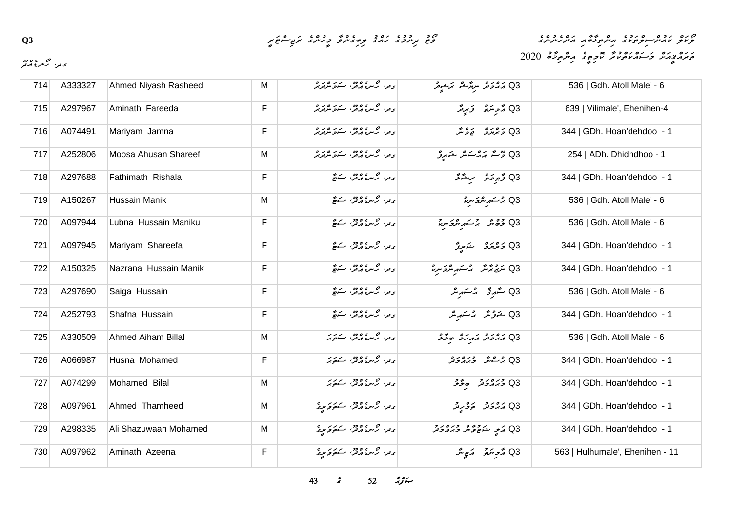*sCw7q7s5w7m< o<n9nOoAw7o< sCq;mAwBoEw7q<m; wBm;vB* م من المرة المرة المرة المرجع المرجع المرجع في 2020<br>مجم*د المريض المرجع المرجع المرجع المرجع المراجع المراجع الم*رجع

| 714 | A333327 | Ahmed Niyash Rasheed      | M           | ى قرار مى سى 30 مى مەركى بىر قىر قىزىر بىر                                                                    | Q3 <i>كەندى كى بىر بىر ئى</i> ر ئىرىدى كەندى       | 536   Gdh. Atoll Male' - 6      |
|-----|---------|---------------------------|-------------|---------------------------------------------------------------------------------------------------------------|----------------------------------------------------|---------------------------------|
| 715 | A297967 | Aminath Fareeda           | F           | دىن گەرە 250 كەن 25 دەر ج                                                                                     | Q3 م <i>ُّ حِ سَمَّةً وَ م</i> ِ مََّ              | 639   Vilimale', Ehenihen-4     |
| 716 | A074491 | Mariyam Jamna             | F           |                                                                                                               | Q3 <i>وَ بِرْمَرْدَ</i> م <i>ِ وَ مَرَّ</i>        | 344   GDh. Hoan'dehdoo - 1      |
| 717 | A252806 | Moosa Ahusan Shareef      | M           | دىن گەرە 250 كەن 25 دەر ج                                                                                     | Q3 تۇڭ كەيرىسىگىر ش <i>ەيرى</i>                    | 254   ADh. Dhidhdhoo - 1        |
| 718 | A297688 | Fathimath Rishala         | F           | ى تىر، كەس كەن ئەس كەنتى                                                                                      | Q3 <i>وُّهِ دَمَّ</i> مِشَوَّ                      | 344   GDh. Hoan'dehdoo - 1      |
| 719 | A150267 | Hussain Manik             | M           | ى تىر، كەس كە 30 مۇم كىسى                                                                                     | Q3   يُرْسَمَهِ مِنْدَوَ <sub>مَ</sub> رِيمُ       | 536   Gdh. Atoll Male' - 6      |
| 720 | A097944 | Lubna Hussain Maniku      | F           | ى قىر بىر مەم 30 كەنتى كەنتى كەنتى كەنتى كەنتى كەنتى كەنتى كەنتى كەنتى كەنتى كەنتى كەنتى كەنتى كەنتى كەنتى كە | Q3 كۇھ <i>ىگە جىسكىر بىرىدى</i>                    | 536   Gdh. Atoll Male' - 6      |
| 721 | A097945 | Mariyam Shareefa          | $\mathsf F$ | ى تىر، كەس كە 30 مۇم كىسى                                                                                     | Q3 كەنگەنگە ئىكەنبو <i>گ</i>                       | 344   GDh. Hoan'dehdoo - 1      |
| 722 | A150325 | Nazrana Hussain Manik     | $\mathsf F$ | ى قىر كەس كە ئۇ ئەس كەنتى                                                                                     | Q3 ىىز چە ئىگە بار ئىككە بىر ئىككە بىر <i>ئى</i> ر | 344   GDh. Hoan'dehdoo - 1      |
| 723 | A297690 | Saiga Hussain             | F           | ى قىز، كەس كە ھۇر، سىزى                                                                                       | Q3 ست <sub>م</sub> ربرت برستمبر شر                 | 536   Gdh. Atoll Male' - 6      |
| 724 | A252793 | Shafna Hussain            | F           | ى قىر ، كەس كە 2 كەنتى كەنتى كەنتى كەنتى كەنتى كەنتى كەنتى كەنتى كەنتى كەنتى كەنتى كەنتى كەنتى كەنتى كەنتى كە | Q3 خۇق ئ <i>ۇسكىرى</i> گە                          | 344   GDh. Hoan'dehdoo - 1      |
| 725 | A330509 | <b>Ahmed Aiham Billal</b> | М           | ى قرار كى سى ئەرەر ئەرىرىر                                                                                    | Q3 <i>أَمُدْدَوْرُ أَمَدِرَدْ هِ وَّذْ</i>         | 536   Gdh. Atoll Male' - 6      |
| 726 | A066987 | Husna Mohamed             | $\mathsf F$ | ى قرار مىسى ئەمەدىر بىر بىر بىر                                                                               | Q3 پرېشتر <i>دې ډو</i> نر                          | 344   GDh. Hoan'dehdoo - 1      |
| 727 | A074299 | Mohamed Bilal             | M           | ى تىر ، ھى ھى جو بەر بەر بەر بەر بەر                                                                          | Q3 <i>\$نەۋەتر ھۇۋ</i>                             | 344   GDh. Hoan'dehdoo - 1      |
| 728 | A097961 | Ahmed Thamheed            | M           | دىن كەس ھەرىپى كەرىر كە                                                                                       | Q3 <i>كەندى قىمى ئۇم</i> رىتر                      | 344   GDh. Hoan'dehdoo - 1      |
| 729 | A298335 | Ali Shazuwaan Mohamed     | M           | ى تىر كەس كەردىن كەن كەرگە ئەر                                                                                | Q3 كەي شەيرە بىر <i>دىن دەر د</i>                  | 344   GDh. Hoan'dehdoo - 1      |
| 730 | A097962 | Aminath Azeena            | F           | ى مەس ھەر ئەرىر كەن                                                                                           | Q3 م <i>گو مئين مگې</i> مگر                        | 563   Hulhumale', Ehenihen - 11 |

*43 <i>s 52 <i>z*<sub>3</sub> <del>*i*</sup></del>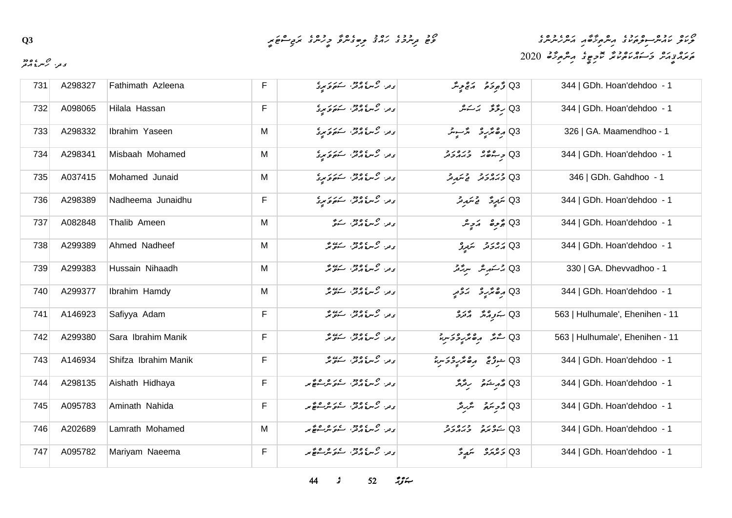*sCw7q7s5w7m< o<n9nOoAw7o< sCq;mAwBoEw7q<m; wBm;vB* م من المسجد المسجد المسجد المسجد المسجد العام 2020<br>مسجد المسجد المسجد المسجد المسجد المسجد المسجد المسجد المسجد ال

| 731 | A298327 | Fathimath Azleena    | F           | دىن گەس 200 سىمىرىسى<br>دىن گەس بەلىر، سەھ <i>ۋى</i> رى                                                        | Q3  <i>وَّهِ دَهْ • مَعْ بِ</i> سَّر               | 344   GDh. Hoan'dehdoo - 1      |
|-----|---------|----------------------|-------------|----------------------------------------------------------------------------------------------------------------|----------------------------------------------------|---------------------------------|
| 732 | A098065 | Hilala Hassan        | F           | ى مەس ھەر ئەرىرى                                                                                               | Q3 <i>ب</i> ۇۇ - ئەس <i>ە</i> ش                    | 344   GDh. Hoan'dehdoo - 1      |
| 733 | A298332 | Ibrahim Yaseen       | M           | ى قرار مى سى قام بىر كى بىر كى بىرى كى بىرى كى بىرى كى بىرى كى بىرى كى بىرى كى بىرى كى بىرى كى بىرى كى بىرى كى | Q3 <i>مەھەتگىي</i> ھەسپەتتى                        | 326   GA. Maamendhoo - 1        |
| 734 | A298341 | Misbaah Mohamed      | M           | ى مەسلەم بەر بەر بەر                                                                                           | $03$ $0.000$ $0.000$ $0.000$                       | 344   GDh. Hoan'dehdoo - 1      |
| 735 | A037415 | Mohamed Junaid       | M           | ى تەرەپ ئەھۋىرىدە ئەرەپ ئە                                                                                     | Q3  <i>وتەۋەۋە</i> ق <i>ىتمەش</i>                  | 346   GDh. Gahdhoo - 1          |
| 736 | A298389 | Nadheema Junaidhu    | $\mathsf F$ | دىن گەس 200 كەرىر ئ                                                                                            | Q3 <i>سَعِرِدُ</i> – <i>2 سَمَدِ مَ</i>            | 344   GDh. Hoan'dehdoo - 1      |
| 737 | A082848 | Thalib Ameen         | M           | ى قىر ، ھى مەھ بۇر ئەسكەنى كە                                                                                  | Q3 <i>۾ُوھ مَ</i> حِيثر                            | 344   GDh. Hoan'dehdoo - 1      |
| 738 | A299389 | Ahmed Nadheef        | M           | ړین کرس وو <i>ه ريږي و</i>                                                                                     | Q3 <i>كەنگەنىڭ سىرى</i> ر                          | 344   GDh. Hoan'dehdoo - 1      |
| 739 | A299383 | Hussain Nihaadh      | M           | ى تىر ، ھى مەھ بەر بەيدە بور                                                                                   | Q3   پرستمبر میں سریٹر شر                          | 330   GA. Dhevvadhoo - 1        |
| 740 | A299377 | Ibrahim Hamdy        | M           | ى تىر. گەسكە 200 مەيدىن ئە                                                                                     | Q3 <i>مەمگىر ئى</i> مىسى                           | 344   GDh. Hoan'dehdoo - 1      |
| 741 | A146923 | Safiyya Adam         | F           | ړین کرس وو <i>ه ريږي</i><br>ريس کرس ورتش                                                                       | Q3  ب <i>ەَوِهْہُ مُ</i> مَّتَرَدُ                 | 563   Hulhumale', Ehenihen - 11 |
| 742 | A299380 | Sara Ibrahim Manik   | F           | ړین کرس وو <i>ه ريږي</i><br>ريس کرس ورتش                                                                       | Q3 مَسَّرٌ مِر <i>ە مَّرْبِ</i> وْ <i>خَ</i> سِرْ، | 563   Hulhumale', Ehenihen - 11 |
| 743 | A146934 | Shifza Ibrahim Manik | F           | ى قرار كەس كە 3 مەككە ئە                                                                                       | لاي جوري موھ گرچ کا مر                             | 344   GDh. Hoan'dehdoo - 1      |
| 744 | A298135 | Aishath Hidhaya      | F           | ى قىر بىر مەدەبەر بىر مەدەبىر بىر                                                                              | Q3 مەم شىم بىر ئىر                                 | 344   GDh. Hoan'dehdoo - 1      |
| 745 | A095783 | Aminath Nahida       | F           |                                                                                                                | Q3 م <i>ُّ جِسَمَّة مُّ سُرْبةُ</i> ّ              | 344   GDh. Hoan'dehdoo - 1      |
| 746 | A202689 | Lamrath Mohamed      | M           |                                                                                                                | $03$ $-222$                                        | 344   GDh. Hoan'dehdoo - 1      |
| 747 | A095782 | Mariyam Naeema       | F           | ى تىر، كەس كەن كەن كەن كەن كەن ئەر                                                                             | Q3 كەنگەنىڭ سى <i>مبە</i> گ                        | 344   GDh. Hoan'dehdoo - 1      |

*44 sC 52 nNw?mS*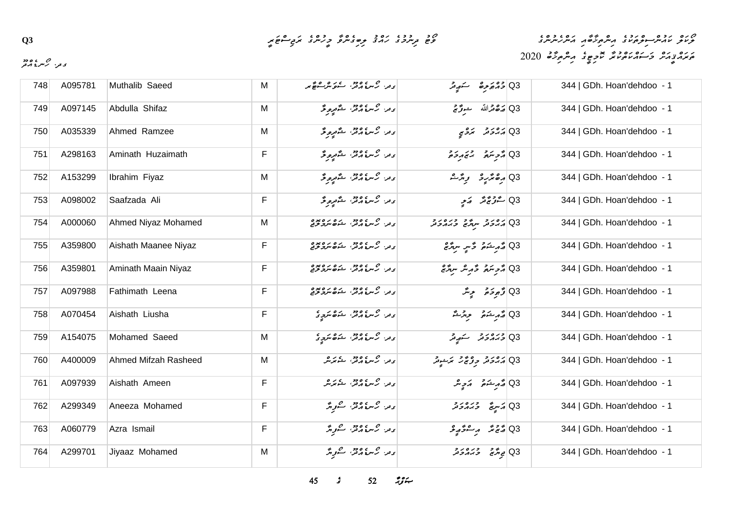*sCw7q7s5w7m< o<n9nOoAw7o< sCq;mAwBoEw7q<m; wBm;vB 2020<sup>, م</sup>وجدة المصرورة المجموعة المستورجة والم*جموعة والمجموعة والمجموعة والمجموعة والمجموعة والمجموعة والمجموعة

| 748 | A095781 | Muthalib Saeed       | M           | ى تىر، كەس ئەرەر مەرە ئەس بىر                                             | Q3 <i>ح.م.م.م.م.ھ</i> سَم <i>.م</i> ي                      | 344   GDh. Hoan'dehdoo - 1 |
|-----|---------|----------------------|-------------|---------------------------------------------------------------------------|------------------------------------------------------------|----------------------------|
| 749 | A097145 | Abdulla Shifaz       | M           | ى تىر كەس كەنتى ئىشتېرى ئى                                                | Q3 كەڭ ئىر <i>ۇ</i> تىم                                    | 344   GDh. Hoan'dehdoo - 1 |
| 750 | A035339 | Ahmed Ramzee         | M           | ى تىر. گەس كەنتى، ئىشتېرى ئى                                              | Q3 <i>كەندى كى</i> ر ئىكى ئىر                              | 344   GDh. Hoan'dehdoo - 1 |
| 751 | A298163 | Aminath Huzaimath    | F           | ى قرار كەس كەنتى ئىش ئورى ئى                                              | Q3 مُجِسَعَة بِمَعَ <i>مِجَ</i> مِّدَةً                    | 344   GDh. Hoan'dehdoo - 1 |
| 752 | A153299 | Ibrahim Fiyaz        | M           | ىر ئەر، ئەھ شەرەق                                                         | Q3 مەھ <i>مگىي</i> ئومگەشە                                 | 344   GDh. Hoan'dehdoo - 1 |
| 753 | A098002 | Saafzada Ali         | F           | ى بىر كەس كەنتى، ئىشتىرە بىرگ                                             | Q3 گۇنج قر <sub>م</sub> كرم                                | 344   GDh. Hoan'dehdoo - 1 |
| 754 | A000060 | Ahmed Niyaz Mohamed  | M           | ى تىر: 2 سى 20 مى 20 سى 20 مى 20<br>يى تىر: 2 سى 2 مى 2 مى 2 مى 2 مى 2 مى | Q3 كەندى ئىر ئەمەد ئەرەر د                                 | 344   GDh. Hoan'dehdoo - 1 |
| 755 | A359800 | Aishath Maanee Niyaz | F           | ى تىر كەس كەن ئەھ سىر تەرەپدە                                             | Q3 مَّ مِـ شَمَّ وَّ سِ سِتَرَجَّ                          | 344   GDh. Hoan'dehdoo - 1 |
| 756 | A359801 | Aminath Maain Niyaz  | F           | ى تىر كەس 200 مىڭ ھەمزىر توقى                                             | Q3 أَمَّ مِ سَمَّةً ۖ قَدِيمٌ سِيَّتَّعَ                   | 344   GDh. Hoan'dehdoo - 1 |
| 757 | A097988 | Fathimath Leena      | F           | وتر کرس وہ دور دورہ دور                                                   | Q3 <i>وُّجِودَة</i> مِيسَّر                                | 344   GDh. Hoan'dehdoo - 1 |
| 758 | A070454 | Aishath Liusha       | F           | ى مىس ئەمەر ئەھ ئىچە ئە                                                   | Q3 گەرىشەق <sub>ە</sub> موم <sup>ى</sup> شە                | 344   GDh. Hoan'dehdoo - 1 |
| 759 | A154075 | Mohamed Saeed        | M           | ى مىس ئەمەر ئەھ ئىچە ئە                                                   | Q3 <i>\$ ئەۋۋىق سەمبەتر</i>                                | 344   GDh. Hoan'dehdoo - 1 |
| 760 | A400009 | Ahmed Mifzah Rasheed | M           | ى قرار كى سى كەنتى، ئەنتى كىلىر                                           | Q3 <i>גُגُوَنَّدْ وِوْيُّ</i> رْ بَرَ <sub>ْسُم</sub> ِثْر | 344   GDh. Hoan'dehdoo - 1 |
| 761 | A097939 | Aishath Ameen        | F           | ى قرار كى سى كەنتى، ئەنتى كىلىر                                           | Q3 <i>مُگهِ شَهْنِ مَ</i> حِيش                             | 344   GDh. Hoan'dehdoo - 1 |
| 762 | A299349 | Aneeza Mohamed       | F           | ى تىر، كەس ئەرەر، كەن ئىر                                                 | Q3 كەس <sub>ىن</sub> ى ئ <i>ىكەدە</i> تر                   | 344   GDh. Hoan'dehdoo - 1 |
| 763 | A060779 | Azra Ismail          | $\mathsf F$ | ى تىر، كەس كەردىن، سەنو بار                                               | Q3 <i>مۇنج ئۇ</i> ب <i>ې</i> شۇن <i>م</i> ۇ                | 344   GDh. Hoan'dehdoo - 1 |
| 764 | A299701 | Jiyaaz Mohamed       | M           | ى قىر ، كەس كەرگە كەرگە كەرگە                                             | Q3   م <sub>و</sub> مرَّج   ح <i>. بُرود قر</i>            | 344   GDh. Hoan'dehdoo - 1 |

*45 sC 52 nNw?mS*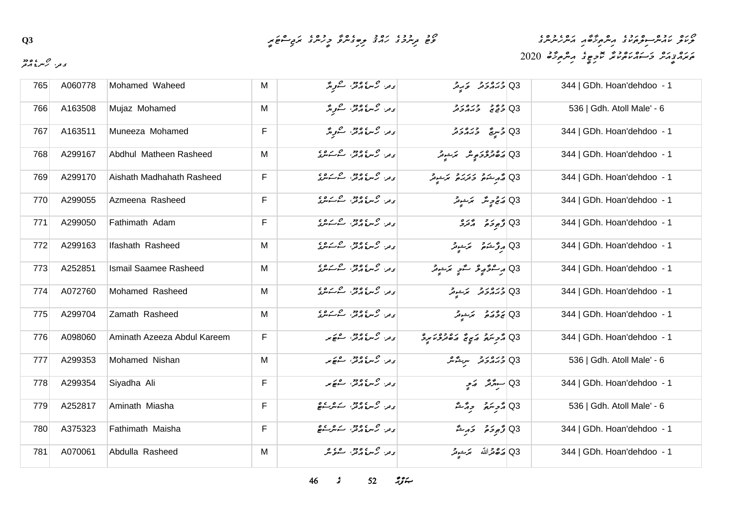*sCw7q7s5w7m< o<n9nOoAw7o< sCq;mAwBoEw7q<m; wBm;vB 2020<sup>, م</sup>وسوق المسجد التحقيق وسرمونية والم*جمع المسجد المسجد المسجد المسجد المسجد المسجد المسجد المسجد المسجد ال

| 765 | A060778 | Mohamed Waheed               | M            | ى تىر. كەس كەرتى، سىزىرگە              | Q3 <i>وُبَهُمُوَنَّزَ وَب</i> ِيْرَ      | 344   GDh. Hoan'dehdoo - 1 |
|-----|---------|------------------------------|--------------|----------------------------------------|------------------------------------------|----------------------------|
| 766 | A163508 | Mujaz Mohamed                | M            | ى تىر. گەسكەرگەنگە كەنگەرگە            | Q3  جۇيج ئ <i>ۇنەۋەتر</i>                | 536   Gdh. Atoll Male' - 6 |
| 767 | A163511 | Muneeza Mohamed              | $\mathsf{F}$ | ى قىر، كەسكەر ئەرەت كەر ئۇرۇگە         | Q3 ك <sup>ې</sup> رى <i>گە كەنگەك</i> تر | 344   GDh. Hoan'dehdoo - 1 |
| 768 | A299167 | Abdhul Matheen Rasheed       | M            | ى قرار كى سا ئەرەر كى ئەسكەنلىكى       | Q3 <i>مەھەرگى مۇ م</i> ىشى <i>رى</i> ر   | 344   GDh. Hoan'dehdoo - 1 |
| 769 | A299170 | Aishath Madhahath Rasheed    | $\mathsf{F}$ | ىمىن كەس ئەمەس سىگە ئىسكەتلىكى         | Q3 <i>مەم خەركە ئىر مەخ</i> ون           | 344   GDh. Hoan'dehdoo - 1 |
| 770 | A299055 | Azmeena Rasheed              | $\mathsf F$  | ى قرار مى مەم ئە ئەر ئەس ئەسىرى        | Q3 <i>ھَنجُ جِنگَہ مَرَحْبِيثَر</i> َ    | 344   GDh. Hoan'dehdoo - 1 |
| 771 | A299050 | Fathimath Adam               | F            | ړیں کرس وروس کے کے دور                 | Q3 <i>وَّجِوَة مُ</i> تَرَدُّ            | 344   GDh. Hoan'dehdoo - 1 |
| 772 | A299163 | Ifashath Rasheed             | M            | ى تىر، كەس ئەرەپ كەسكەتلىكى            | Q3 م <i>وقَّ</i> شَمَعَ مَمَّسُومَرُ     | 344   GDh. Hoan'dehdoo - 1 |
| 773 | A252851 | <b>Ismail Saamee Rasheed</b> | M            | ى قرار كى سى مەدىر كى ئەسكەنلىكى       | Q3 م <i>ې شۇمپىۋىنىڭ بىر م</i> ەسىر      | 344   GDh. Hoan'dehdoo - 1 |
| 774 | A072760 | Mohamed Rasheed              | M            | ى قرار كەس ئەرەر كەرگەر ئەرە ئ         | Q3 <i>وُبَرُوْدَوْ بَرَ</i> حْمِدُ       | 344   GDh. Hoan'dehdoo - 1 |
| 775 | A299704 | Zamath Rasheed               | M            | ى مەس ئەھەم ئەس ئەرەپ                  | Q3 <i>كاڭ ھەكە</i> كىم ئىسىر ئىگە        | 344   GDh. Hoan'dehdoo - 1 |
| 776 | A098060 | Aminath Azeeza Abdul Kareem  | F            | ى تىر، كەس كە 32 كەن سىزە كىر          |                                          | 344   GDh. Hoan'dehdoo - 1 |
| 777 | A299353 | Mohamed Nishan               | M            | ى قرار كى سى ئەرەردە كەن كىس ئوققا بىر | Q3 <i>وُيُرودُوْ</i> سِيشَمْر            | 536   Gdh. Atoll Male' - 6 |
| 778 | A299354 | Siyadha Ali                  | F            | ى تىر، گەس كەم تەرەپ كىس كەن ئى        | Q3 سوئ <i>زة مَي</i> ج                   | 344   GDh. Hoan'dehdoo - 1 |
| 779 | A252817 | Aminath Miasha               | $\mathsf{F}$ | ى تىر، كەس ئەھ تەرەپ ئەھرىك ھ          | Q3 م <i>ُّوِسَعُ وِمُ</i> ّتُّ           | 536   Gdh. Atoll Male' - 6 |
| 780 | A375323 | Fathimath Maisha             | F            | ى تىر، كەس ھەتەر، كەش كەھ              | Q3  <i>وَّجِوَدَةُ</i> دَرِسَةُ          | 344   GDh. Hoan'dehdoo - 1 |
| 781 | A070061 | Abdulla Rasheed              | M            | ى تىر، گەس كەم تەرەپ ھەر               | Q3 كەھەراللە   ئىرىسىرىتر                | 344   GDh. Hoan'dehdoo - 1 |

*46 s* 52  $2.94$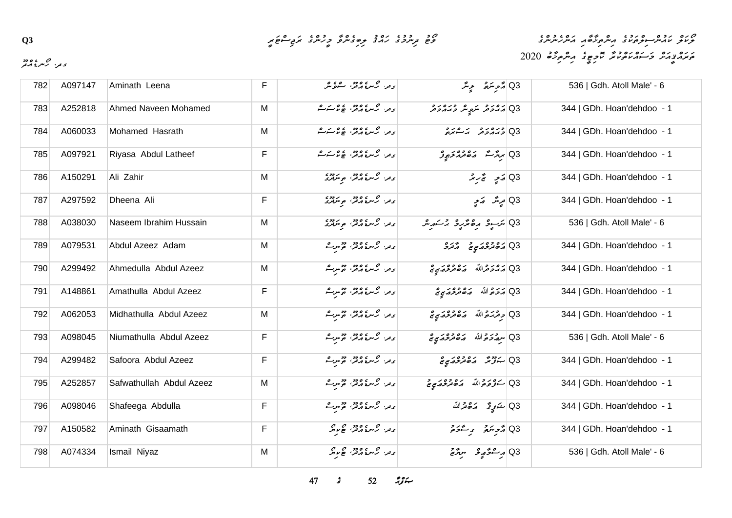*sCw7q7s5w7m< o<n9nOoAw7o< sCq;mAwBoEw7q<m; wBm;vB 2020<sup>, م</sup>وسوق المسجد التحقيق وسرمونية والم*جمع المسجد المسجد المسجد المسجد المسجد المسجد المسجد المسجد المسجد ال

| 782 | A097147 | Aminath Leena            | F           | ى تىر، گەستە ھۆر، كەن ھەر بىر                                 | Q3 <i>مُّحِ مَنْهُ بِهِ مُّ</i>                                | 536   Gdh. Atoll Male' - 6 |
|-----|---------|--------------------------|-------------|---------------------------------------------------------------|----------------------------------------------------------------|----------------------------|
| 783 | A252818 | Ahmed Naveen Mohamed     | M           | ى تىر، كەس ئەم تەرەپ ئەن كەن كە                               | Q3 <i>בَ بْدُوَ تَدْ سَعِي<sup>قْ</sup> وَبَرَوْ وَ</i> رَ     | 344   GDh. Hoan'dehdoo - 1 |
| 784 | A060033 | Mohamed Hasrath          | M           | ى تىر، كەس ھەر تەھ ب كە ئەسكەت                                | Q3 <i>ډېرونو بره ده</i>                                        | 344   GDh. Hoan'dehdoo - 1 |
| 785 | A097921 | Riyasa Abdul Latheef     | F           | ى تىر، كەس ئەم تەرەپ ئەسكەت                                   | Q3 برېژنگ مەھ <i>ىرم خې</i> رۇ                                 | 344   GDh. Hoan'dehdoo - 1 |
| 786 | A150291 | Ali Zahir                | M           | وفر به صرح وجود به برود و<br>وفر به مستعدم فرقر المحمد مرود و | Q3 <i>ھي چي تر</i>                                             | 344   GDh. Hoan'dehdoo - 1 |
| 787 | A297592 | Dheena Ali               | F           | وفر کر سره دود .<br>وفر کر سره دور ، موسرپرو                  | Q3   مرینز - <sub>م</sub> رَمٍ                                 | 344   GDh. Hoan'dehdoo - 1 |
| 788 | A038030 | Naseem Ibrahim Hussain   | M           | دود، کرس دوه<br>دور، کرس دور، موس دوه                         | Q3 مَرَسِوڤ م <i>ِرە مَرَّرِ</i> وْ ب <sub>ُرْسَمَ مِر</sub>   | 536   Gdh. Atoll Male' - 6 |
| 789 | A079531 | Abdul Azeez Adam         | M           | رىر. ر <i>ىس ئەمەدە مەس</i> رىش                               | Q3 <i>چەترىۋىي مەترى</i>                                       | 344   GDh. Hoan'dehdoo - 1 |
| 790 | A299492 | Ahmedulla Abdul Azeez    | M           | ى مىن كەس كە دەر بەر بەر                                      | Q3 كەبرى قىراللە كەھ <i>ەر ئەمەي قى</i>                        | 344   GDh. Hoan'dehdoo - 1 |
| 791 | A148861 | Amathulla Abdul Azeez    | F           | ى مىس ئەمەدە بەر ئە                                           | Q3 مَرَّدَّة اللَّهُ صَرْحَقَ مَعَ مِنْ مِنْ حَمَّدَ مِنْ مِنْ | 344   GDh. Hoan'dehdoo - 1 |
| 792 | A062053 | Midhathulla Abdul Azeez  | M           | رىر. ر <i>ىس ئەمەدە مەس</i> رىش                               | Q3 ح <i>وفربرة</i> الله م <i>م هو فر فره بي</i>                | 344   GDh. Hoan'dehdoo - 1 |
| 793 | A098045 | Niumathulla Abdul Azeez  | F           | ى مەس ئەرەردە مەسرى                                           | Q3 س <i>مەدە ئىللە مەھەر دەرى</i>                              | 536   Gdh. Atoll Male' - 6 |
| 794 | A299482 | Safoora Abdul Azeez      | $\mathsf F$ | ى مىس ئەمەدە بەر ئە                                           | $03 - 222$ $-27$                                               | 344   GDh. Hoan'dehdoo - 1 |
| 795 | A252857 | Safwathullah Abdul Azeez | M           | ى مىن كەس ئەمەدە بەدە بىر ب                                   | Q3 سَوْءَ تَمُ اللَّهُ مَصْعَرْ <i>حَرْجَ مِ</i>               | 344   GDh. Hoan'dehdoo - 1 |
| 796 | A098046 | Shafeega Abdulla         | F           | رىر. ر <i>ىس ئەمەدە مەس</i> رىش                               | Q3 خَوَرٍ مَّ صَرَّاطَة ِ اللَّهُ                              | 344   GDh. Hoan'dehdoo - 1 |
| 797 | A150582 | Aminath Gisaamath        | $\mathsf F$ | צעי צייע לקבל שיות                                            | Q3 مۇج <i>ىنىۋ بېشخەر</i>                                      | 344   GDh. Hoan'dehdoo - 1 |
| 798 | A074334 | Ismail Niyaz             | M           | צעי צייע ומבר קיית                                            | Q3 مرڪ <i>وگوري مرمڙج</i>                                      | 536   Gdh. Atoll Male' - 6 |

*47 sC 52 nNw?mS*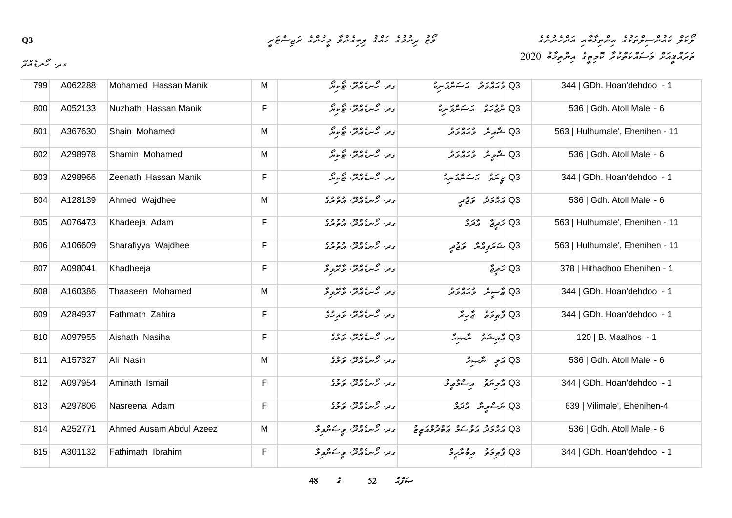*sCw7q7s5w7m< o<n9nOoAw7o< sCq;mAwBoEw7q<m; wBm;vB* م من المسجد المسجد المسجد المسجد المسجد العام 2020<br>مسجد المسجد المسجد المسجد المسجد المسجد المسجد المسجد المسجد ال

| 799 | A062288 | Mohamed Hassan Manik    | M            | ى تىر كرسۇ مەدە ھىم بىر                  | Q3  <i>ويەممى ئەسكىرى بىرى</i>                   | 344   GDh. Hoan'dehdoo - 1      |
|-----|---------|-------------------------|--------------|------------------------------------------|--------------------------------------------------|---------------------------------|
| 800 | A052133 | Nuzhath Hassan Manik    | $\mathsf F$  | צעי צייע המיני שעות                      | Q3 سى <i>نى ئىق بىر ئىشكەتلىرى</i> بىر           | 536   Gdh. Atoll Male' - 6      |
| 801 | A367630 | Shain Mohamed           | M            | צעי תייע בער שיות                        | Q3 شەرىئر ئ <i>ەندى</i> تىر                      | 563   Hulhumale', Ehenihen - 11 |
| 802 | A298978 | Shamin Mohamed          | M            | צעי צייע המיני שעות                      | Q3 ش <i>ۇمەر ئەندەت</i> ر                        | 536   Gdh. Atoll Male' - 6      |
| 803 | A298966 | Zeenath Hassan Manik    | F            | צעי המשלות לאת                           | Q3 <sub>م</sub> ېرى <i>ق ئەسەمگەكتىرىد</i>       | 344   GDh. Hoan'dehdoo - 1      |
| 804 | A128139 | Ahmed Wajdhee           | M            | ړی ره مورد ده ده<br>دې رسومړي مومر       | Q3 <i>كەنگە كىڭ ھەقى</i> ر                       | 536   Gdh. Atoll Male' - 6      |
| 805 | A076473 | Khadeeja Adam           | F            | ړی ره ده ده ده ده<br>ډېر ره کول مومر     | Q3 تَر <i>ْمِيعٌ مُ</i> دَّمَرُو                 | 563   Hulhumale', Ehenihen - 11 |
| 806 | A106609 | Sharafiyya Wajdhee      | F            | ړی ره مورد ده ده<br>ډین ره مولمنۍ مولمن  | Q3 ش <i>ەتزو بەنگە</i> قەتمەير                   | 563   Hulhumale', Ehenihen - 11 |
| 807 | A098041 | Khadheeja               | F            |                                          | Q3 كرميرچ<br>پ                                   | 378   Hithadhoo Ehenihen - 1    |
| 808 | A160386 | Thaaseen Mohamed        | M            | ى مەرەپ ھەر ئەستىم ئە                    | Q3  پۇسومىر <i>25,050</i>                        | 344   GDh. Hoan'dehdoo - 1      |
| 809 | A284937 | Fathmath Zahira         | $\mathsf F$  | ى مى مى مەمدى بول                        | Q3 <i>وَّجِوحَةْ</i> تَجْرِيمَّ                  | 344   GDh. Hoan'dehdoo - 1      |
| 810 | A097955 | Aishath Nasiha          | $\mathsf{F}$ | ړی که روم روم<br>ډی کس کری وی            | Q3 <i>مُگهرِ مِنْدَهُنْ</i> مُ <i>گَرِّبِ بُ</i> | 120   B. Maalhos - 1            |
| 811 | A157327 | Ali Nasih               | M            | ړی ره ده ده ده<br>دې رسوله تر وخ         | Q3 <i>أەڭمچ</i> - م <i>ىتىبە</i> ر               | 536   Gdh. Atoll Male' - 6      |
| 812 | A097954 | Aminath Ismail          | F            | ړند کرس ورو بروه<br>دندا کرس ورترا لومړي | Q3 مۇمىتى مەش <i>ۇم</i> بۇ                       | 344   GDh. Hoan'dehdoo - 1      |
| 813 | A297806 | Nasreena Adam           | $\mathsf F$  | ړی ره ده ده ده<br>دې رسوله تر وخ         | Q3 <i>مَرْ-مْبِسَّر مُ</i> قَرَّدُ               | 639   Vilimale', Ehenihen-4     |
| 814 | A252771 | Ahmed Ausam Abdul Azeez | M            | دىن رىس گەن ئۇسكىتى ئى                   | Q3 كەمرو بەھ سەھ بەھ <i>بەھ بەھ</i> بە           | 536   Gdh. Atoll Male' - 6      |
| 815 | A301132 | Fathimath Ibrahim       | F            | ىلا رىسىملار بوسكىموگ                    | Q3 <i>وُمِعَمْ م</i> ِهْتَرِيْتِ                 | 344   GDh. Hoan'dehdoo - 1      |

*48 s* 52  $2.94$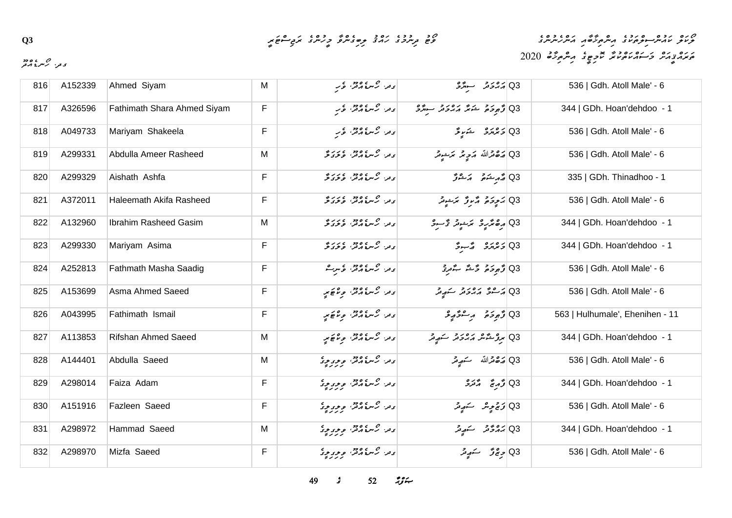*sCw7q7s5w7m< o<n9nOoAw7o< sCq;mAwBoEw7q<m; wBm;vB 2020<sup>, م</sup>وجدة المصرورة المجموعة المستورجة والم*جموعة والمجموعة والمجموعة والمجموعة والمجموعة والمجموعة والمجموعة

| 816 | A152339 | Ahmed Siyam                    | M           | دىن گەس 200 كى م                                                                                         | Q3 <i>كەندى قىلى سىزگى</i>                                                                            | 536   Gdh. Atoll Male' - 6      |
|-----|---------|--------------------------------|-------------|----------------------------------------------------------------------------------------------------------|-------------------------------------------------------------------------------------------------------|---------------------------------|
| 817 | A326596 | Fathimath Shara Ahmed Siyam    | F           | دىن كەس ھەر ئ                                                                                            | Q3 <i>وَّجِودَة څَخَمَّ مَ</i> هُدَوَرَ سِيَرَّدُّ                                                    | 344   GDh. Hoan'dehdoo - 1      |
| 818 | A049733 | Mariyam Shakeela               | $\mathsf F$ | ا دور گرس وروس کار                                                                                       | Q3 كەن <i>تەرگى</i> شە <i>بى</i> گە                                                                   | 536   Gdh. Atoll Male' - 6      |
| 819 | A299331 | Abdulla Ameer Rasheed          | M           | ى تەرىج ھەم ئەرىرى                                                                                       | Q3 كَەھەقداللە كەھ پىر مەسىر قىر                                                                      | 536   Gdh. Atoll Male' - 6      |
| 820 | A299329 | Aishath Ashfa                  | F           | ى تەرىجى ھەم ئەرىرى                                                                                      | Q3 مەم ئىشق <sub>ە</sub> مەشىر                                                                        | 335   GDh. Thinadhoo - 1        |
| 821 | A372011 | <b>Haleemath Akifa Rasheed</b> | $\mathsf F$ | ى تەرەپ ئەرەپە                                                                                           | Q3 <i>يَجِوَدَةُ مُزَيَّرٍ مَرْشِيْتَر</i>                                                            | 536   Gdh. Atoll Male' - 6      |
| 822 | A132960 | <b>Ibrahim Rasheed Gasim</b>   | M           | رىر، گەس 200 ، 200 كىلىدى.<br>كەنس گەس 200 كىلىمىتى تىرىپ                                                | Q3 مەھە <i>نگەي</i> كەنسىچە ئۇسىۋ                                                                     | 344   GDh. Hoan'dehdoo - 1      |
| 823 | A299330 | Mariyam Asima                  | F           | ى قرار بىل كەنتى كەرگە بىل كەرگە بىل كەنتى بىل كەنتى بىل كەنتى بىل كەنتى بىل كەنتى بىل كەنتى بىل كەنتى ب | Q3 <i>كا كاندى قىلىدۇ</i>                                                                             | 344   GDh. Hoan'dehdoo - 1      |
| 824 | A252813 | Fathmath Masha Saadig          | F           | كە ئەر ئەرەردە ئەسرى                                                                                     | را ئۇمۇمۇم ئۇيسى سۇمېرتى $\sim$                                                                       | 536   Gdh. Atoll Male' - 6      |
| 825 | A153699 | Asma Ahmed Saeed               | F           | ى بىر بىر بەر بەر بىر بىر بىر                                                                            | Q3 كەشش <i>ۇ كەندى كەم</i> ەتر                                                                        | 536   Gdh. Atoll Male' - 6      |
| 826 | A043995 | Fathimath Ismail               | F           | ى بور، كەسكەرتى، ئۇ ئاھايىي                                                                              | Q3 <i>ۇموخۇم مەشۇم</i> وگە                                                                            | 563   Hulhumale', Ehenihen - 11 |
| 827 | A113853 | <b>Rifshan Ahmed Saeed</b>     | M           | ى بور، كەسكەرتى، ئۇ ئاھايىي                                                                              | Q3 برو ئەمە ئەر ئەر ئەر ئىكەن ئىككەن ئىككەن ئىككەن ئىككەن ئىككەن ئىككەن ئىككەن ئىككەن ئىككەن ئىككەن ئ | 344   GDh. Hoan'dehdoo - 1      |
| 828 | A144401 | Abdulla Saeed                  | M           | ى تىر، شىرە دەر بەر بەر بەر بەر ئە                                                                       | Q3 كەڭداللە كى <i>م</i> وتىر                                                                          | 536   Gdh. Atoll Male' - 6      |
| 829 | A298014 | Faiza Adam                     | F           | دىن كەس دەھەر دىدى.<br>دىن كەس كەندا مەم دىدى.                                                           | Q3 <i>وَّمِ</i> يحَ مُرَّمَرَدُ                                                                       | 344   GDh. Hoan'dehdoo - 1      |
| 830 | A151916 | Fazleen Saeed                  | $\mathsf F$ | ه در کسوارود.<br>دىن کسوارتر، د د د د                                                                    | Q3 <i>وَچُوِينَ سَهِينَ</i>                                                                           | 536   Gdh. Atoll Male' - 6      |
| 831 | A298972 | Hammad Saeed                   | M           | ى تەرەپىسى ھەدىرى<br>ئەس كەسكەن ھەدىرە                                                                   | Q3 <i>بَدْدُوَّدْ سَهِيدْ</i>                                                                         | 344   GDh. Hoan'dehdoo - 1      |
| 832 | A298970 | Mizfa Saeed                    | F           | دىن رىستى مەدەبىرى<br>دىن رىستى مەنىش مەدەبىرى                                                           | Q3 <i>حِيَّةُ سَهِي</i> مُ                                                                            | 536   Gdh. Atoll Male' - 6      |

*49 s* 52  $2.3$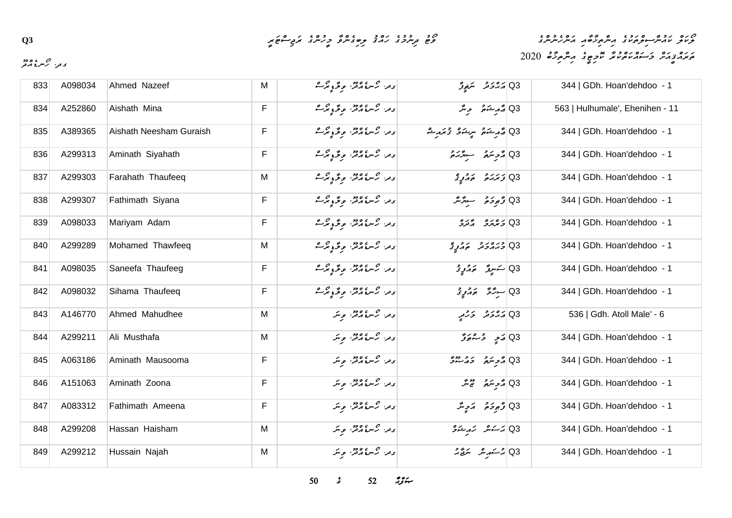*sCw7q7s5w7m< o<n9nOoAw7o< sCq;mAwBoEw7q<m; wBm;vB 2020<sup>, م</sup>وجدة المصرورة المجموعة المستورجة والم*جموعة والمجموعة والمجموعة والمجموعة والمجموعة والمجموعة والمجموعة

| 833 | A098034 | Ahmed Nazeef            | M            | دىر. ر <i>ىس ۋە دىن بو</i> گرېمىت بىر | Q3 <i>كەندى كىم تىرى ئى</i> ر                    | 344   GDh. Hoan'dehdoo - 1      |
|-----|---------|-------------------------|--------------|---------------------------------------|--------------------------------------------------|---------------------------------|
| 834 | A252860 | Aishath Mina            | F            | دىر. ر°سۇن ھۇر ھۇيەت ك                | Q3 <i>مُآمِيشَمُ</i> وِسَّرَ                     | 563   Hulhumale', Ehenihen - 11 |
| 835 | A389365 | Aishath Neesham Guraish | $\mathsf{F}$ | دىن رىس مەدىر، بوڭرېمىر شە            | Q3 <i>مەرخۇم سېخىۋ قىمەر</i> ىھ                  | 344   GDh. Hoan'dehdoo - 1      |
| 836 | A299313 | Aminath Siyahath        | F            | ىمىن ئۇسۇمەت موقى بۇي                 | Q3 مُجِسَمَّة سِيَ <i>رْدَة</i>                  | 344   GDh. Hoan'dehdoo - 1      |
| 837 | A299303 | Farahath Thaufeeq       | M            | ىلىن رىس مەدەر، ئۆتمەتكەشى            | Q3 <i>وَ بَدَيَ</i> مُ م <i>ُ مَ مُ وَ وَ وَ</i> | 344   GDh. Hoan'dehdoo - 1      |
| 838 | A299307 | Fathimath Siyana        | $\mathsf F$  | ى مەسكەن بوقۇپرىش                     | Q3 <i>وَّجوحَ</i> هُمْ سِيرَسَّرَ                | 344   GDh. Hoan'dehdoo - 1      |
| 839 | A098033 | Mariyam Adam            | F            | ىر ئىس ئەرەت مۇ ئىچى                  |                                                  | 344   GDh. Hoan'dehdoo - 1      |
| 840 | A299289 | Mohamed Thawfeeq        | M            | ىلىن رىس مەدەر، ئۆتمەتكەشى            | Q3 <i>جُہُدُوَنَہ وَہُ تو</i>                    | 344   GDh. Hoan'dehdoo - 1      |
| 841 | A098035 | Saneefa Thaufeeg        | F            | ىمىن ئۇسۇمەت موقى بۇي                 | Q3 سَسِيدً عَ <i>مَّدُوِي</i> دً                 | 344   GDh. Hoan'dehdoo - 1      |
| 842 | A098032 | Sihama Thaufeeq         | $\mathsf{F}$ | ىلىن رىس ئەقتى بوڭ بولىگ              | Q3 س <i>ېرنگە خەم ب</i> وتۇ                      | 344   GDh. Hoan'dehdoo - 1      |
| 843 | A146770 | Ahmed Mahudhee          | M            | ى قىرا كەس كەنتى، ئۆسكە               | Q3 <i>كەنگە كىلى ئى</i> ر                        | 536   Gdh. Atoll Male' - 6      |
| 844 | A299211 | Ali Musthafa            | M            | ى قىزا كەستا ھەتتى ، جانىكە           | Q3 <i>أَمَّجِ دُجُوَرٌ</i>                       | 344   GDh. Hoan'dehdoo - 1      |
| 845 | A063186 | Aminath Mausooma        | $\mathsf{F}$ | ى تىر كەس ھەت ھەسكە                   | Q3 <i>مُجِسَعْ دَمْ</i> جَمَّةَ                  | 344   GDh. Hoan'dehdoo - 1      |
| 846 | A151063 | Aminath Zoona           | F            | ى تىر بىر مەم دەرد.<br>ئ              | Q3 م <i>مْحِسَمْۃ</i> ڇميمُ                      | 344   GDh. Hoan'dehdoo - 1      |
| 847 | A083312 | Fathimath Ameena        | F            | ى قىز كەسمە مەدىر، ئ <i>ۆ</i> سكە     | Q3 <i>وَّجِوحَةْ مَ</i> حِيثَر                   | 344   GDh. Hoan'dehdoo - 1      |
| 848 | A299208 | Hassan Haisham          | M            | ى مەر بۇس ئە <mark>دەر بەيد</mark>    | Q3   كەسكەنلەر كەرىكەنى                          | 344   GDh. Hoan'dehdoo - 1      |
| 849 | A299212 | Hussain Najah           | M            | ى تىر، كەس كەن ھەتتى بىر كەنتىكە      | Q3   يُرْسَمَ مِنْ سَرَةٍ بِرَ                   | 344   GDh. Hoan'dehdoo - 1      |

 $50$  *s*  $52$  *z* $\frac{2}{3}$ *k*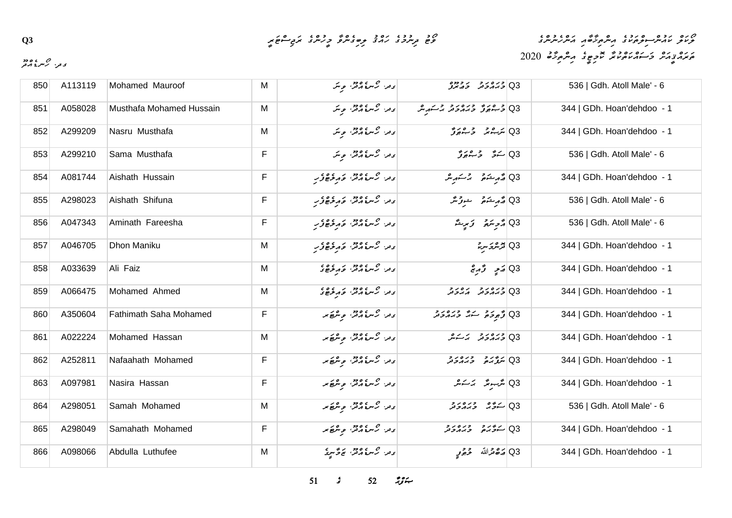*sCw7q7s5w7m< o<n9nOoAw7o< sCq;mAwBoEw7q<m; wBm;vB* م من المسجد المسجد المسجد المسجد المسجد العام 2020<br>مسجد المسجد المسجد المسجد المسجد المسجد المسجد المسجد المسجد ال

| 850 | A113119 | Mohamed Mauroof          | M           | ى تىر كەس كەتتى <sup>،</sup> جەنىڭ                                                                         | Q3 <i>دېممرد خوړوه</i>                    | 536   Gdh. Atoll Male' - 6 |
|-----|---------|--------------------------|-------------|------------------------------------------------------------------------------------------------------------|-------------------------------------------|----------------------------|
| 851 | A058028 | Musthafa Mohamed Hussain | M           | ا دورا کرس وروژا او مگر                                                                                    | Q3 و مرد ورورو و مرکز                     | 344   GDh. Hoan'dehdoo - 1 |
| 852 | A299209 | Nasru Musthafa           | M           | ى تىر، گەستەم بىرى تەرەپ كىيەت كەنتىكە بەلىكە بەلىكە بەلىكە بەلىكە بەلىكە بەلىكە بەلىكە بەلىكە بەلىكە بەل  | Q3 ئىربىقى ئ <i>ىر مەرۋ</i>               | 344   GDh. Hoan'dehdoo - 1 |
| 853 | A299210 | Sama Musthafa            | F           | ى مەر ئەر ئەھمى ئەسىر                                                                                      | Q3 خىرى ئ <i>ىشبۇق</i>                    | 536   Gdh. Atoll Male' - 6 |
| 854 | A081744 | Aishath Hussain          | F           | كمحد المحمد والمحدود المحمد والمحمد والمحمد المحمد المحمد المحمد المحمد المحمد المحمد المحمد المحمد المحمد | Q3 <i>ھُبرِڪو جُڪبر</i> يئر               | 344   GDh. Hoan'dehdoo - 1 |
| 855 | A298023 | Aishath Shifuna          | $\mathsf F$ | ى بىر بىرە بەر ئەم ئەرەبىر بىر                                                                             | Q3 <i>مُگهرِ مِشَہُمْ مُسْوِرْ مُگُرُ</i> | 536   Gdh. Atoll Male' - 6 |
| 856 | A047343 | Aminath Fareesha         | F           | ىلا ئۇس مەر مەم ئەم                                                                                        | Q3 <mark>مُرْ</mark> حِسَمُ وَمِرِّسُمُ   | 536   Gdh. Atoll Male' - 6 |
| 857 | A046705 | Dhon Maniku              | M           | ىلىن كەس مەدەر مەم ئ                                                                                       | Q3 كَتْرْمَتْكَهُ سِرْتُمْ                | 344   GDh. Hoan'dehdoo - 1 |
| 858 | A033639 | Ali Faiz                 | M           | ى مەسلەم ئەم ئەم ئ                                                                                         | Q3 <i>ھَيِ</i> تَ <i>دُوج</i>             | 344   GDh. Hoan'dehdoo - 1 |
| 859 | A066475 | Mohamed Ahmed            | M           | ى مىس كەرەپىي ئەر ئە                                                                                       | Q3 <i>בגמכת הפנ</i> ק                     | 344   GDh. Hoan'dehdoo - 1 |
| 860 | A350604 | Fathimath Saha Mohamed   | F           | ى مەستاملىق مەھم                                                                                           | Q3 <i>وُجودَة سَبَّدُ دَبَرورو</i>        | 344   GDh. Hoan'dehdoo - 1 |
| 861 | A022224 | Mohamed Hassan           | M           | ى قرار ئەس ئەمەدەر مەس ھەمد                                                                                | Q3 <i>وېزو دو برخپر</i>                   | 344   GDh. Hoan'dehdoo - 1 |
| 862 | A252811 | Nafaahath Mohamed        | $\mathsf F$ | ى تىر، كەس كەن ئەرەكتى تىر                                                                                 | Q3 <i>سَمَدَّ سَمَّ دَيَدُودَ</i> رَ      | 344   GDh. Hoan'dehdoo - 1 |
| 863 | A097981 | Nasira Hassan            | F           | دىن كەس كەن ئەس ھەر                                                                                        | Q3 مگرسو <i>مگر - برڪنگر</i>              | 344   GDh. Hoan'dehdoo - 1 |
| 864 | A298051 | Samah Mohamed            | M           | ى مەسكەن ئەرەپ ئەستى                                                                                       | Q3 كەنزىر مەدەرد                          | 536   Gdh. Atoll Male' - 6 |
| 865 | A298049 | Samahath Mohamed         | $\mathsf F$ | ى تىر، كەس كەن ئەرەكتى تىر                                                                                 | $03$ $-222$                               | 344   GDh. Hoan'dehdoo - 1 |
| 866 | A098066 | Abdulla Luthufee         | M           | ى قرار ئىس ئاھرى ئاھرىيە                                                                                   |                                           | 344   GDh. Hoan'dehdoo - 1 |

 $51$  *s*  $52$  *n***<sub>i</sub>** *n***<sub>i</sub>**